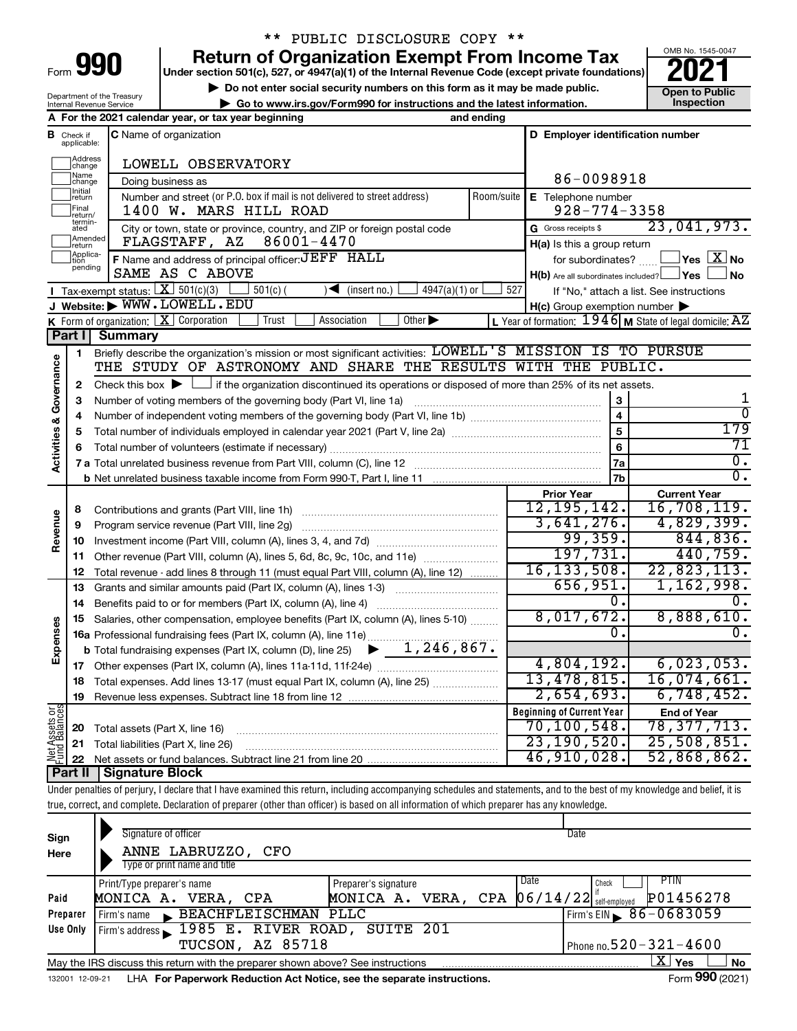| Form |  |  |
|------|--|--|
|      |  |  |

## \*\* PUBLIC DISCLOSURE COPY \*\*

**990 Return of Organization Exempt From Income Tax Punce 1845-004 2021** 

**▶ Do not enter social security numbers on this form as it may be made public. Open to Public**<br>
inspection instructions and the latest information. Inspection **| Go to www.irs.gov/Form990 for instructions and the latest information. Inspection**



Department of the Treasury Internal Revenue Service

┯

|                         |                               | A For the 2021 calendar year, or tax year beginning                                                                                                                        | and ending |                                                     |                                                           |
|-------------------------|-------------------------------|----------------------------------------------------------------------------------------------------------------------------------------------------------------------------|------------|-----------------------------------------------------|-----------------------------------------------------------|
|                         | <b>B</b> Check if applicable: | <b>C</b> Name of organization                                                                                                                                              |            | D Employer identification number                    |                                                           |
|                         | Address<br> change            | LOWELL OBSERVATORY                                                                                                                                                         |            |                                                     |                                                           |
|                         | Name<br> change               | Doing business as                                                                                                                                                          |            | 86-0098918                                          |                                                           |
|                         | Initial<br>return             | Number and street (or P.O. box if mail is not delivered to street address)                                                                                                 | Room/suite | E Telephone number                                  |                                                           |
|                         | Final<br>return/              | 1400 W. MARS HILL ROAD                                                                                                                                                     |            | $928 - 774 - 3358$                                  |                                                           |
|                         | termin-<br>ated               | City or town, state or province, country, and ZIP or foreign postal code                                                                                                   |            | G Gross receipts \$                                 | 23,041,973.                                               |
|                         | Amended<br>Ireturn            | 86001-4470<br>FLAGSTAFF, AZ                                                                                                                                                |            | H(a) Is this a group return                         |                                                           |
|                         | Applica-<br>Ition<br>pending  | F Name and address of principal officer: JEFF HALL                                                                                                                         |            | for subordinates?                                   | $\,$ Yes $\,$ $\,$ $\rm X$ $\,$ No $\,$                   |
|                         |                               | SAME AS C ABOVE                                                                                                                                                            |            | $H(b)$ Are all subordinates included? $\Box$ Yes    | No                                                        |
|                         |                               | Tax-exempt status: $X \over 301(c)(3)$<br>$4947(a)(1)$ or<br>$501(c)$ (<br>$\sqrt{\frac{1}{1}}$ (insert no.)                                                               | 527        |                                                     | If "No," attach a list. See instructions                  |
|                         |                               | J Website: WWW.LOWELL.EDU                                                                                                                                                  |            | $H(c)$ Group exemption number $\blacktriangleright$ |                                                           |
|                         |                               | K Form of organization: $X$ Corporation<br>Other $\blacktriangleright$<br>Trust<br>Association                                                                             |            |                                                     | L Year of formation: $1946$ M State of legal domicile: AZ |
|                         | Part I                        | <b>Summary</b>                                                                                                                                                             |            |                                                     |                                                           |
|                         | 1                             | Briefly describe the organization's mission or most significant activities: LOWELL'S MISSION IS TO PURSUE                                                                  |            |                                                     |                                                           |
| Governance              |                               | THE STUDY OF ASTRONOMY AND SHARE THE RESULTS WITH THE PUBLIC.                                                                                                              |            |                                                     |                                                           |
|                         | 2                             | Check this box $\blacktriangleright$ $\Box$ if the organization discontinued its operations or disposed of more than 25% of its net assets.                                |            |                                                     |                                                           |
|                         | З                             |                                                                                                                                                                            |            | 3                                                   | 1<br>$\overline{0}$                                       |
|                         | 4                             |                                                                                                                                                                            |            |                                                     | 179                                                       |
|                         | 5                             |                                                                                                                                                                            |            |                                                     | 71                                                        |
| <b>Activities &amp;</b> |                               |                                                                                                                                                                            |            | 6                                                   | $\overline{0}$ .                                          |
|                         |                               |                                                                                                                                                                            |            | 7a                                                  | $\overline{0}$ .                                          |
|                         |                               |                                                                                                                                                                            |            | 7b                                                  | <b>Current Year</b>                                       |
|                         | 8                             |                                                                                                                                                                            |            | <b>Prior Year</b><br>12, 195, 142.                  | 16,708,119.                                               |
| Revenue                 | 9                             | Program service revenue (Part VIII, line 2g)                                                                                                                               |            | 3,641,276.                                          | 4,829,399.                                                |
|                         | 10                            |                                                                                                                                                                            |            | 99, 359.                                            | 844, 836.                                                 |
|                         | 11                            | Other revenue (Part VIII, column (A), lines 5, 6d, 8c, 9c, 10c, and 11e)                                                                                                   |            | 197,731.                                            | 440,759.                                                  |
|                         | 12                            | Total revenue - add lines 8 through 11 (must equal Part VIII, column (A), line 12)                                                                                         |            | 16, 133, 508.                                       | 22,823,113.                                               |
|                         | 13                            | Grants and similar amounts paid (Part IX, column (A), lines 1-3)                                                                                                           |            | 656,951.                                            | 1,162,998.                                                |
|                         | 14                            |                                                                                                                                                                            |            | $0$ .                                               |                                                           |
|                         | 15                            | Salaries, other compensation, employee benefits (Part IX, column (A), lines 5-10)                                                                                          |            | 8,017,672.                                          | 8,888,610.                                                |
| Expenses                |                               | 16a Professional fundraising fees (Part IX, column (A), line 11e)                                                                                                          |            | 0.                                                  | ο.                                                        |
|                         |                               | <b>b</b> Total fundraising expenses (Part IX, column (D), line 25) $\rightarrow$ 1, 246, 867.                                                                              |            |                                                     |                                                           |
|                         |                               |                                                                                                                                                                            |            | 4,804,192.                                          | 6,023,053.                                                |
|                         |                               | 18 Total expenses. Add lines 13-17 (must equal Part IX, column (A), line 25)                                                                                               |            | 13,478,815.                                         | 16,074,661.                                               |
|                         |                               | 19 Revenue less expenses. Subtract line 18 from line 12                                                                                                                    |            | 2,654,693.                                          | 6,748,452.                                                |
|                         |                               |                                                                                                                                                                            |            | <b>Beginning of Current Year</b>                    | <b>End of Year</b>                                        |
| Net Assets or           | 20                            | Total assets (Part X, line 16)                                                                                                                                             |            | 70, 100, 548.                                       | 78, 377, 713.                                             |
|                         | 21                            | Total liabilities (Part X, line 26)                                                                                                                                        |            | 23, 190, 520.                                       | 25,508,851.                                               |
|                         | 22                            |                                                                                                                                                                            |            | 46,910,028.                                         | 52,868,862.                                               |
|                         | Part II                       | Signature Block                                                                                                                                                            |            |                                                     |                                                           |
|                         |                               | Under penalties of perjury, I declare that I have examined this return, including accompanying schedules and statements, and to the best of my knowledge and belief, it is |            |                                                     |                                                           |
|                         |                               | true, correct, and complete. Declaration of preparer (other than officer) is based on all information of which preparer has any knowledge.                                 |            |                                                     |                                                           |

| Sign<br>Here | Signature of officer<br>ANNE LABRUZZO,<br>CFO<br>Type or print name and title   |                      | Date                            |                              |
|--------------|---------------------------------------------------------------------------------|----------------------|---------------------------------|------------------------------|
|              | Print/Type preparer's name                                                      | Preparer's signature | Date                            | PTIN<br>Check                |
| Paid         | MONICA A. VERA, CPA                                                             | MONICA A. VERA,      | $06/14/22$ self-employed<br>CPA | P01456278                    |
| Preparer     | BEACHFLEISCHMAN PLLC<br>Firm's name                                             |                      |                                 | Firm's EIN $\, 86 - 0683059$ |
| Use Only     | Firm's address 1985 E. RIVER ROAD, SUITE 201                                    |                      |                                 |                              |
|              | TUCSON, AZ 85718                                                                |                      |                                 | Phone no. $520 - 321 - 4600$ |
|              | May the IRS discuss this return with the preparer shown above? See instructions |                      |                                 | 'X<br>Yes<br>No              |
|              |                                                                                 |                      |                                 | $\sim$                       |

132001 12-09-21 LHA **For Paperwork Reduction Act Notice, see the separate instructions.** The manuscription of the Separate instructions.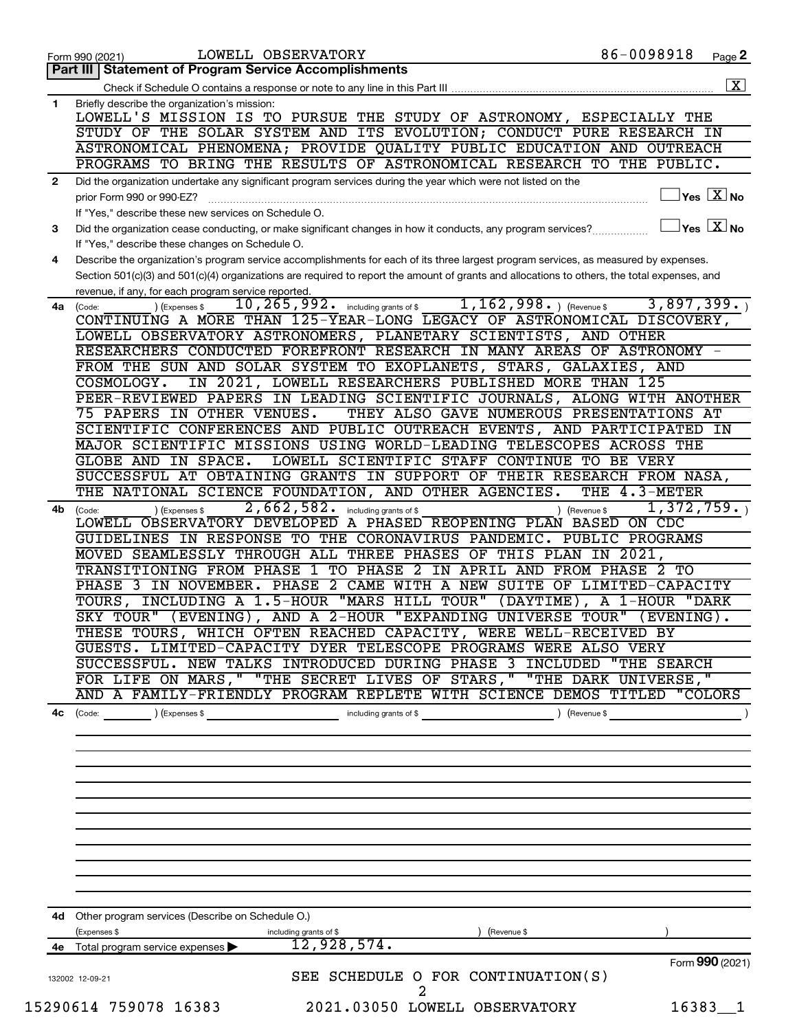| Part III   Statement of Program Service Accomplishments<br>Briefly describe the organization's mission:<br>LOWELL'S MISSION IS TO PURSUE THE STUDY OF ASTRONOMY, ESPECIALLY THE<br>STUDY OF THE SOLAR SYSTEM AND ITS EVOLUTION; CONDUCT PURE RESEARCH IN<br>ASTRONOMICAL PHENOMENA; PROVIDE QUALITY PUBLIC EDUCATION AND OUTREACH<br>PROGRAMS TO BRING THE RESULTS OF ASTRONOMICAL RESEARCH TO THE PUBLIC.<br>Did the organization undertake any significant program services during the year which were not listed on the<br>$\sqrt{}$ Yes $\sqrt{}$ $\overline{\rm X}$ No<br>prior Form 990 or 990-EZ?<br>If "Yes," describe these new services on Schedule O.<br>$\overline{\mathsf{Yes}}$ $\overline{\mathsf{X}}$ No<br>Did the organization cease conducting, or make significant changes in how it conducts, any program services?<br>If "Yes," describe these changes on Schedule O.<br>Describe the organization's program service accomplishments for each of its three largest program services, as measured by expenses.<br>Section 501(c)(3) and 501(c)(4) organizations are required to report the amount of grants and allocations to others, the total expenses, and<br>revenue, if any, for each program service reported.<br>$1, 162, 998.$ (Revenue \$)<br>3,897,399.<br>10, 265, 992. including grants of \$<br>4a (Code:<br>(Expenses \$<br>CONTINUING A MORE THAN 125-YEAR-LONG LEGACY OF ASTRONOMICAL DISCOVERY,<br>LOWELL OBSERVATORY ASTRONOMERS, PLANETARY SCIENTISTS, AND OTHER<br>RESEARCHERS CONDUCTED FOREFRONT RESEARCH IN MANY AREAS OF ASTRONOMY -<br>FROM THE SUN AND SOLAR SYSTEM TO EXOPLANETS, STARS, GALAXIES, AND<br>IN 2021, LOWELL RESEARCHERS PUBLISHED MORE THAN<br>-125<br>COSMOLOGY.<br>PEER-REVIEWED PAPERS IN LEADING SCIENTIFIC JOURNALS, ALONG WITH ANOTHER<br>75 PAPERS IN OTHER VENUES.<br>THEY ALSO GAVE NUMEROUS PRESENTATIONS AT<br>SCIENTIFIC CONFERENCES AND PUBLIC OUTREACH EVENTS, AND PARTICIPATED IN<br>MAJOR SCIENTIFIC MISSIONS USING WORLD-LEADING TELESCOPES ACROSS THE<br>LOWELL SCIENTIFIC STAFF CONTINUE<br>GLOBE AND IN SPACE.<br><b>BE VERY</b><br>TO<br>SUCCESSFUL AT OBTAINING GRANTS IN SUPPORT OF THEIR RESEARCH FROM NASA,<br>THE NATIONAL SCIENCE FOUNDATION, AND OTHER AGENCIES.<br>THE 4.3-METER<br>2,662,582.<br>1,372,759.<br>including grants of \$<br>(Expenses \$<br>(Revenue \$<br>(Code:<br>A PHASED REOPENING PLAN BASED ON CDC<br>LOWELL OBSERVATORY DEVELOPED<br>GUIDELINES IN RESPONSE TO THE CORONAVIRUS PANDEMIC. PUBLIC PROGRAMS<br>THIS PLAN<br>MOVED SEAMLESSLY THROUGH ALL THREE PHASES OF<br>IN<br>$\overline{2021}$ ,<br>1 TO PHASE<br>TRANSITIONING FROM PHASE<br>$\mathbf{2}$<br>IN APRIL<br>AND<br><b>FROM PHASE</b><br>2 TO<br>PHASE 2 CAME WITH A NEW SUITE OF LIMITED-CAPACITY<br>PHASE 3 IN NOVEMBER.<br>TOURS, INCLUDING A 1.5-HOUR "MARS HILL TOUR"<br>$(DAYTIME)$ ,<br>1-HOUR<br>"DARK<br>A<br>(EVENING), AND A 2-HOUR "EXPANDING UNIVERSE<br>SKY TOUR"<br><b>TOUR</b> "<br>(EVENING).<br>THESE TOURS, WHICH OFTEN REACHED CAPACITY, WERE WELL-RECEIVED BY<br>GUESTS. LIMITED-CAPACITY DYER TELESCOPE PROGRAMS WERE ALSO VERY<br>SUCCESSFUL. NEW TALKS INTRODUCED DURING PHASE 3 INCLUDED "THE SEARCH<br>FOR LIFE ON MARS, " "THE SECRET LIVES OF STARS, " "THE DARK UNIVERSE, "<br>AND A FAMILY-FRIENDLY PROGRAM REPLETE WITH SCIENCE DEMOS TITLED "COLORS<br>$\left(\text{Code:}\right)$ $\left(\text{Expenses $}\right)$<br>including grants of \$ (Revenue \$)<br>4d Other program services (Describe on Schedule O.)<br>(Expenses \$<br>including grants of \$<br>(Revenue \$<br>12,928,574.<br>Total program service expenses<br>Form 990 (2021)<br>SEE SCHEDULE O FOR CONTINUATION(S)<br>132002 12-09-21<br>15290614 759078 16383<br>2021.03050 LOWELL OBSERVATORY<br>16383 1 |              | LOWELL OBSERVATORY<br>Form 990 (2021) | 86-0098918 | Page 2                  |
|-----------------------------------------------------------------------------------------------------------------------------------------------------------------------------------------------------------------------------------------------------------------------------------------------------------------------------------------------------------------------------------------------------------------------------------------------------------------------------------------------------------------------------------------------------------------------------------------------------------------------------------------------------------------------------------------------------------------------------------------------------------------------------------------------------------------------------------------------------------------------------------------------------------------------------------------------------------------------------------------------------------------------------------------------------------------------------------------------------------------------------------------------------------------------------------------------------------------------------------------------------------------------------------------------------------------------------------------------------------------------------------------------------------------------------------------------------------------------------------------------------------------------------------------------------------------------------------------------------------------------------------------------------------------------------------------------------------------------------------------------------------------------------------------------------------------------------------------------------------------------------------------------------------------------------------------------------------------------------------------------------------------------------------------------------------------------------------------------------------------------------------------------------------------------------------------------------------------------------------------------------------------------------------------------------------------------------------------------------------------------------------------------------------------------------------------------------------------------------------------------------------------------------------------------------------------------------------------------------------------------------------------------------------------------------------------------------------------------------------------------------------------------------------------------------------------------------------------------------------------------------------------------------------------------------------------------------------------------------------------------------------------------------------------------------------------------------------------------------------------------------------------------------------------------------------------------------------------------------------------------------------------------------------------------------------------------------------------------------------------------------------------------------------------------------------------------------------------------------------------------------------------------------------------------------------------------------------------------------------------------------------------------------------------------------------------------------------------------------------------------------------------------------------------------|--------------|---------------------------------------|------------|-------------------------|
|                                                                                                                                                                                                                                                                                                                                                                                                                                                                                                                                                                                                                                                                                                                                                                                                                                                                                                                                                                                                                                                                                                                                                                                                                                                                                                                                                                                                                                                                                                                                                                                                                                                                                                                                                                                                                                                                                                                                                                                                                                                                                                                                                                                                                                                                                                                                                                                                                                                                                                                                                                                                                                                                                                                                                                                                                                                                                                                                                                                                                                                                                                                                                                                                                                                                                                                                                                                                                                                                                                                                                                                                                                                                                                                                                                                               |              |                                       |            |                         |
|                                                                                                                                                                                                                                                                                                                                                                                                                                                                                                                                                                                                                                                                                                                                                                                                                                                                                                                                                                                                                                                                                                                                                                                                                                                                                                                                                                                                                                                                                                                                                                                                                                                                                                                                                                                                                                                                                                                                                                                                                                                                                                                                                                                                                                                                                                                                                                                                                                                                                                                                                                                                                                                                                                                                                                                                                                                                                                                                                                                                                                                                                                                                                                                                                                                                                                                                                                                                                                                                                                                                                                                                                                                                                                                                                                                               |              |                                       |            | $\overline{\mathbf{X}}$ |
|                                                                                                                                                                                                                                                                                                                                                                                                                                                                                                                                                                                                                                                                                                                                                                                                                                                                                                                                                                                                                                                                                                                                                                                                                                                                                                                                                                                                                                                                                                                                                                                                                                                                                                                                                                                                                                                                                                                                                                                                                                                                                                                                                                                                                                                                                                                                                                                                                                                                                                                                                                                                                                                                                                                                                                                                                                                                                                                                                                                                                                                                                                                                                                                                                                                                                                                                                                                                                                                                                                                                                                                                                                                                                                                                                                                               | 1            |                                       |            |                         |
|                                                                                                                                                                                                                                                                                                                                                                                                                                                                                                                                                                                                                                                                                                                                                                                                                                                                                                                                                                                                                                                                                                                                                                                                                                                                                                                                                                                                                                                                                                                                                                                                                                                                                                                                                                                                                                                                                                                                                                                                                                                                                                                                                                                                                                                                                                                                                                                                                                                                                                                                                                                                                                                                                                                                                                                                                                                                                                                                                                                                                                                                                                                                                                                                                                                                                                                                                                                                                                                                                                                                                                                                                                                                                                                                                                                               |              |                                       |            |                         |
|                                                                                                                                                                                                                                                                                                                                                                                                                                                                                                                                                                                                                                                                                                                                                                                                                                                                                                                                                                                                                                                                                                                                                                                                                                                                                                                                                                                                                                                                                                                                                                                                                                                                                                                                                                                                                                                                                                                                                                                                                                                                                                                                                                                                                                                                                                                                                                                                                                                                                                                                                                                                                                                                                                                                                                                                                                                                                                                                                                                                                                                                                                                                                                                                                                                                                                                                                                                                                                                                                                                                                                                                                                                                                                                                                                                               | $\mathbf{2}$ |                                       |            |                         |
|                                                                                                                                                                                                                                                                                                                                                                                                                                                                                                                                                                                                                                                                                                                                                                                                                                                                                                                                                                                                                                                                                                                                                                                                                                                                                                                                                                                                                                                                                                                                                                                                                                                                                                                                                                                                                                                                                                                                                                                                                                                                                                                                                                                                                                                                                                                                                                                                                                                                                                                                                                                                                                                                                                                                                                                                                                                                                                                                                                                                                                                                                                                                                                                                                                                                                                                                                                                                                                                                                                                                                                                                                                                                                                                                                                                               | 3            |                                       |            |                         |
|                                                                                                                                                                                                                                                                                                                                                                                                                                                                                                                                                                                                                                                                                                                                                                                                                                                                                                                                                                                                                                                                                                                                                                                                                                                                                                                                                                                                                                                                                                                                                                                                                                                                                                                                                                                                                                                                                                                                                                                                                                                                                                                                                                                                                                                                                                                                                                                                                                                                                                                                                                                                                                                                                                                                                                                                                                                                                                                                                                                                                                                                                                                                                                                                                                                                                                                                                                                                                                                                                                                                                                                                                                                                                                                                                                                               | 4            |                                       |            |                         |
|                                                                                                                                                                                                                                                                                                                                                                                                                                                                                                                                                                                                                                                                                                                                                                                                                                                                                                                                                                                                                                                                                                                                                                                                                                                                                                                                                                                                                                                                                                                                                                                                                                                                                                                                                                                                                                                                                                                                                                                                                                                                                                                                                                                                                                                                                                                                                                                                                                                                                                                                                                                                                                                                                                                                                                                                                                                                                                                                                                                                                                                                                                                                                                                                                                                                                                                                                                                                                                                                                                                                                                                                                                                                                                                                                                                               |              |                                       |            |                         |
|                                                                                                                                                                                                                                                                                                                                                                                                                                                                                                                                                                                                                                                                                                                                                                                                                                                                                                                                                                                                                                                                                                                                                                                                                                                                                                                                                                                                                                                                                                                                                                                                                                                                                                                                                                                                                                                                                                                                                                                                                                                                                                                                                                                                                                                                                                                                                                                                                                                                                                                                                                                                                                                                                                                                                                                                                                                                                                                                                                                                                                                                                                                                                                                                                                                                                                                                                                                                                                                                                                                                                                                                                                                                                                                                                                                               |              |                                       |            |                         |
|                                                                                                                                                                                                                                                                                                                                                                                                                                                                                                                                                                                                                                                                                                                                                                                                                                                                                                                                                                                                                                                                                                                                                                                                                                                                                                                                                                                                                                                                                                                                                                                                                                                                                                                                                                                                                                                                                                                                                                                                                                                                                                                                                                                                                                                                                                                                                                                                                                                                                                                                                                                                                                                                                                                                                                                                                                                                                                                                                                                                                                                                                                                                                                                                                                                                                                                                                                                                                                                                                                                                                                                                                                                                                                                                                                                               |              |                                       |            |                         |
|                                                                                                                                                                                                                                                                                                                                                                                                                                                                                                                                                                                                                                                                                                                                                                                                                                                                                                                                                                                                                                                                                                                                                                                                                                                                                                                                                                                                                                                                                                                                                                                                                                                                                                                                                                                                                                                                                                                                                                                                                                                                                                                                                                                                                                                                                                                                                                                                                                                                                                                                                                                                                                                                                                                                                                                                                                                                                                                                                                                                                                                                                                                                                                                                                                                                                                                                                                                                                                                                                                                                                                                                                                                                                                                                                                                               |              |                                       |            |                         |
|                                                                                                                                                                                                                                                                                                                                                                                                                                                                                                                                                                                                                                                                                                                                                                                                                                                                                                                                                                                                                                                                                                                                                                                                                                                                                                                                                                                                                                                                                                                                                                                                                                                                                                                                                                                                                                                                                                                                                                                                                                                                                                                                                                                                                                                                                                                                                                                                                                                                                                                                                                                                                                                                                                                                                                                                                                                                                                                                                                                                                                                                                                                                                                                                                                                                                                                                                                                                                                                                                                                                                                                                                                                                                                                                                                                               |              |                                       |            |                         |
|                                                                                                                                                                                                                                                                                                                                                                                                                                                                                                                                                                                                                                                                                                                                                                                                                                                                                                                                                                                                                                                                                                                                                                                                                                                                                                                                                                                                                                                                                                                                                                                                                                                                                                                                                                                                                                                                                                                                                                                                                                                                                                                                                                                                                                                                                                                                                                                                                                                                                                                                                                                                                                                                                                                                                                                                                                                                                                                                                                                                                                                                                                                                                                                                                                                                                                                                                                                                                                                                                                                                                                                                                                                                                                                                                                                               |              |                                       |            |                         |
|                                                                                                                                                                                                                                                                                                                                                                                                                                                                                                                                                                                                                                                                                                                                                                                                                                                                                                                                                                                                                                                                                                                                                                                                                                                                                                                                                                                                                                                                                                                                                                                                                                                                                                                                                                                                                                                                                                                                                                                                                                                                                                                                                                                                                                                                                                                                                                                                                                                                                                                                                                                                                                                                                                                                                                                                                                                                                                                                                                                                                                                                                                                                                                                                                                                                                                                                                                                                                                                                                                                                                                                                                                                                                                                                                                                               |              |                                       |            |                         |
|                                                                                                                                                                                                                                                                                                                                                                                                                                                                                                                                                                                                                                                                                                                                                                                                                                                                                                                                                                                                                                                                                                                                                                                                                                                                                                                                                                                                                                                                                                                                                                                                                                                                                                                                                                                                                                                                                                                                                                                                                                                                                                                                                                                                                                                                                                                                                                                                                                                                                                                                                                                                                                                                                                                                                                                                                                                                                                                                                                                                                                                                                                                                                                                                                                                                                                                                                                                                                                                                                                                                                                                                                                                                                                                                                                                               |              |                                       |            |                         |
|                                                                                                                                                                                                                                                                                                                                                                                                                                                                                                                                                                                                                                                                                                                                                                                                                                                                                                                                                                                                                                                                                                                                                                                                                                                                                                                                                                                                                                                                                                                                                                                                                                                                                                                                                                                                                                                                                                                                                                                                                                                                                                                                                                                                                                                                                                                                                                                                                                                                                                                                                                                                                                                                                                                                                                                                                                                                                                                                                                                                                                                                                                                                                                                                                                                                                                                                                                                                                                                                                                                                                                                                                                                                                                                                                                                               |              |                                       |            |                         |
|                                                                                                                                                                                                                                                                                                                                                                                                                                                                                                                                                                                                                                                                                                                                                                                                                                                                                                                                                                                                                                                                                                                                                                                                                                                                                                                                                                                                                                                                                                                                                                                                                                                                                                                                                                                                                                                                                                                                                                                                                                                                                                                                                                                                                                                                                                                                                                                                                                                                                                                                                                                                                                                                                                                                                                                                                                                                                                                                                                                                                                                                                                                                                                                                                                                                                                                                                                                                                                                                                                                                                                                                                                                                                                                                                                                               |              |                                       |            |                         |
|                                                                                                                                                                                                                                                                                                                                                                                                                                                                                                                                                                                                                                                                                                                                                                                                                                                                                                                                                                                                                                                                                                                                                                                                                                                                                                                                                                                                                                                                                                                                                                                                                                                                                                                                                                                                                                                                                                                                                                                                                                                                                                                                                                                                                                                                                                                                                                                                                                                                                                                                                                                                                                                                                                                                                                                                                                                                                                                                                                                                                                                                                                                                                                                                                                                                                                                                                                                                                                                                                                                                                                                                                                                                                                                                                                                               |              |                                       |            |                         |
|                                                                                                                                                                                                                                                                                                                                                                                                                                                                                                                                                                                                                                                                                                                                                                                                                                                                                                                                                                                                                                                                                                                                                                                                                                                                                                                                                                                                                                                                                                                                                                                                                                                                                                                                                                                                                                                                                                                                                                                                                                                                                                                                                                                                                                                                                                                                                                                                                                                                                                                                                                                                                                                                                                                                                                                                                                                                                                                                                                                                                                                                                                                                                                                                                                                                                                                                                                                                                                                                                                                                                                                                                                                                                                                                                                                               |              |                                       |            |                         |
|                                                                                                                                                                                                                                                                                                                                                                                                                                                                                                                                                                                                                                                                                                                                                                                                                                                                                                                                                                                                                                                                                                                                                                                                                                                                                                                                                                                                                                                                                                                                                                                                                                                                                                                                                                                                                                                                                                                                                                                                                                                                                                                                                                                                                                                                                                                                                                                                                                                                                                                                                                                                                                                                                                                                                                                                                                                                                                                                                                                                                                                                                                                                                                                                                                                                                                                                                                                                                                                                                                                                                                                                                                                                                                                                                                                               |              |                                       |            |                         |
|                                                                                                                                                                                                                                                                                                                                                                                                                                                                                                                                                                                                                                                                                                                                                                                                                                                                                                                                                                                                                                                                                                                                                                                                                                                                                                                                                                                                                                                                                                                                                                                                                                                                                                                                                                                                                                                                                                                                                                                                                                                                                                                                                                                                                                                                                                                                                                                                                                                                                                                                                                                                                                                                                                                                                                                                                                                                                                                                                                                                                                                                                                                                                                                                                                                                                                                                                                                                                                                                                                                                                                                                                                                                                                                                                                                               |              |                                       |            |                         |
|                                                                                                                                                                                                                                                                                                                                                                                                                                                                                                                                                                                                                                                                                                                                                                                                                                                                                                                                                                                                                                                                                                                                                                                                                                                                                                                                                                                                                                                                                                                                                                                                                                                                                                                                                                                                                                                                                                                                                                                                                                                                                                                                                                                                                                                                                                                                                                                                                                                                                                                                                                                                                                                                                                                                                                                                                                                                                                                                                                                                                                                                                                                                                                                                                                                                                                                                                                                                                                                                                                                                                                                                                                                                                                                                                                                               | 4b           |                                       |            |                         |
|                                                                                                                                                                                                                                                                                                                                                                                                                                                                                                                                                                                                                                                                                                                                                                                                                                                                                                                                                                                                                                                                                                                                                                                                                                                                                                                                                                                                                                                                                                                                                                                                                                                                                                                                                                                                                                                                                                                                                                                                                                                                                                                                                                                                                                                                                                                                                                                                                                                                                                                                                                                                                                                                                                                                                                                                                                                                                                                                                                                                                                                                                                                                                                                                                                                                                                                                                                                                                                                                                                                                                                                                                                                                                                                                                                                               |              |                                       |            |                         |
|                                                                                                                                                                                                                                                                                                                                                                                                                                                                                                                                                                                                                                                                                                                                                                                                                                                                                                                                                                                                                                                                                                                                                                                                                                                                                                                                                                                                                                                                                                                                                                                                                                                                                                                                                                                                                                                                                                                                                                                                                                                                                                                                                                                                                                                                                                                                                                                                                                                                                                                                                                                                                                                                                                                                                                                                                                                                                                                                                                                                                                                                                                                                                                                                                                                                                                                                                                                                                                                                                                                                                                                                                                                                                                                                                                                               |              |                                       |            |                         |
|                                                                                                                                                                                                                                                                                                                                                                                                                                                                                                                                                                                                                                                                                                                                                                                                                                                                                                                                                                                                                                                                                                                                                                                                                                                                                                                                                                                                                                                                                                                                                                                                                                                                                                                                                                                                                                                                                                                                                                                                                                                                                                                                                                                                                                                                                                                                                                                                                                                                                                                                                                                                                                                                                                                                                                                                                                                                                                                                                                                                                                                                                                                                                                                                                                                                                                                                                                                                                                                                                                                                                                                                                                                                                                                                                                                               |              |                                       |            |                         |
|                                                                                                                                                                                                                                                                                                                                                                                                                                                                                                                                                                                                                                                                                                                                                                                                                                                                                                                                                                                                                                                                                                                                                                                                                                                                                                                                                                                                                                                                                                                                                                                                                                                                                                                                                                                                                                                                                                                                                                                                                                                                                                                                                                                                                                                                                                                                                                                                                                                                                                                                                                                                                                                                                                                                                                                                                                                                                                                                                                                                                                                                                                                                                                                                                                                                                                                                                                                                                                                                                                                                                                                                                                                                                                                                                                                               |              |                                       |            |                         |
|                                                                                                                                                                                                                                                                                                                                                                                                                                                                                                                                                                                                                                                                                                                                                                                                                                                                                                                                                                                                                                                                                                                                                                                                                                                                                                                                                                                                                                                                                                                                                                                                                                                                                                                                                                                                                                                                                                                                                                                                                                                                                                                                                                                                                                                                                                                                                                                                                                                                                                                                                                                                                                                                                                                                                                                                                                                                                                                                                                                                                                                                                                                                                                                                                                                                                                                                                                                                                                                                                                                                                                                                                                                                                                                                                                                               |              |                                       |            |                         |
|                                                                                                                                                                                                                                                                                                                                                                                                                                                                                                                                                                                                                                                                                                                                                                                                                                                                                                                                                                                                                                                                                                                                                                                                                                                                                                                                                                                                                                                                                                                                                                                                                                                                                                                                                                                                                                                                                                                                                                                                                                                                                                                                                                                                                                                                                                                                                                                                                                                                                                                                                                                                                                                                                                                                                                                                                                                                                                                                                                                                                                                                                                                                                                                                                                                                                                                                                                                                                                                                                                                                                                                                                                                                                                                                                                                               |              |                                       |            |                         |
|                                                                                                                                                                                                                                                                                                                                                                                                                                                                                                                                                                                                                                                                                                                                                                                                                                                                                                                                                                                                                                                                                                                                                                                                                                                                                                                                                                                                                                                                                                                                                                                                                                                                                                                                                                                                                                                                                                                                                                                                                                                                                                                                                                                                                                                                                                                                                                                                                                                                                                                                                                                                                                                                                                                                                                                                                                                                                                                                                                                                                                                                                                                                                                                                                                                                                                                                                                                                                                                                                                                                                                                                                                                                                                                                                                                               |              |                                       |            |                         |
|                                                                                                                                                                                                                                                                                                                                                                                                                                                                                                                                                                                                                                                                                                                                                                                                                                                                                                                                                                                                                                                                                                                                                                                                                                                                                                                                                                                                                                                                                                                                                                                                                                                                                                                                                                                                                                                                                                                                                                                                                                                                                                                                                                                                                                                                                                                                                                                                                                                                                                                                                                                                                                                                                                                                                                                                                                                                                                                                                                                                                                                                                                                                                                                                                                                                                                                                                                                                                                                                                                                                                                                                                                                                                                                                                                                               |              |                                       |            |                         |
|                                                                                                                                                                                                                                                                                                                                                                                                                                                                                                                                                                                                                                                                                                                                                                                                                                                                                                                                                                                                                                                                                                                                                                                                                                                                                                                                                                                                                                                                                                                                                                                                                                                                                                                                                                                                                                                                                                                                                                                                                                                                                                                                                                                                                                                                                                                                                                                                                                                                                                                                                                                                                                                                                                                                                                                                                                                                                                                                                                                                                                                                                                                                                                                                                                                                                                                                                                                                                                                                                                                                                                                                                                                                                                                                                                                               |              |                                       |            |                         |
|                                                                                                                                                                                                                                                                                                                                                                                                                                                                                                                                                                                                                                                                                                                                                                                                                                                                                                                                                                                                                                                                                                                                                                                                                                                                                                                                                                                                                                                                                                                                                                                                                                                                                                                                                                                                                                                                                                                                                                                                                                                                                                                                                                                                                                                                                                                                                                                                                                                                                                                                                                                                                                                                                                                                                                                                                                                                                                                                                                                                                                                                                                                                                                                                                                                                                                                                                                                                                                                                                                                                                                                                                                                                                                                                                                                               |              |                                       |            |                         |
|                                                                                                                                                                                                                                                                                                                                                                                                                                                                                                                                                                                                                                                                                                                                                                                                                                                                                                                                                                                                                                                                                                                                                                                                                                                                                                                                                                                                                                                                                                                                                                                                                                                                                                                                                                                                                                                                                                                                                                                                                                                                                                                                                                                                                                                                                                                                                                                                                                                                                                                                                                                                                                                                                                                                                                                                                                                                                                                                                                                                                                                                                                                                                                                                                                                                                                                                                                                                                                                                                                                                                                                                                                                                                                                                                                                               |              |                                       |            |                         |
|                                                                                                                                                                                                                                                                                                                                                                                                                                                                                                                                                                                                                                                                                                                                                                                                                                                                                                                                                                                                                                                                                                                                                                                                                                                                                                                                                                                                                                                                                                                                                                                                                                                                                                                                                                                                                                                                                                                                                                                                                                                                                                                                                                                                                                                                                                                                                                                                                                                                                                                                                                                                                                                                                                                                                                                                                                                                                                                                                                                                                                                                                                                                                                                                                                                                                                                                                                                                                                                                                                                                                                                                                                                                                                                                                                                               |              |                                       |            |                         |
|                                                                                                                                                                                                                                                                                                                                                                                                                                                                                                                                                                                                                                                                                                                                                                                                                                                                                                                                                                                                                                                                                                                                                                                                                                                                                                                                                                                                                                                                                                                                                                                                                                                                                                                                                                                                                                                                                                                                                                                                                                                                                                                                                                                                                                                                                                                                                                                                                                                                                                                                                                                                                                                                                                                                                                                                                                                                                                                                                                                                                                                                                                                                                                                                                                                                                                                                                                                                                                                                                                                                                                                                                                                                                                                                                                                               | 4с           |                                       |            |                         |
|                                                                                                                                                                                                                                                                                                                                                                                                                                                                                                                                                                                                                                                                                                                                                                                                                                                                                                                                                                                                                                                                                                                                                                                                                                                                                                                                                                                                                                                                                                                                                                                                                                                                                                                                                                                                                                                                                                                                                                                                                                                                                                                                                                                                                                                                                                                                                                                                                                                                                                                                                                                                                                                                                                                                                                                                                                                                                                                                                                                                                                                                                                                                                                                                                                                                                                                                                                                                                                                                                                                                                                                                                                                                                                                                                                                               |              |                                       |            |                         |
|                                                                                                                                                                                                                                                                                                                                                                                                                                                                                                                                                                                                                                                                                                                                                                                                                                                                                                                                                                                                                                                                                                                                                                                                                                                                                                                                                                                                                                                                                                                                                                                                                                                                                                                                                                                                                                                                                                                                                                                                                                                                                                                                                                                                                                                                                                                                                                                                                                                                                                                                                                                                                                                                                                                                                                                                                                                                                                                                                                                                                                                                                                                                                                                                                                                                                                                                                                                                                                                                                                                                                                                                                                                                                                                                                                                               |              |                                       |            |                         |
|                                                                                                                                                                                                                                                                                                                                                                                                                                                                                                                                                                                                                                                                                                                                                                                                                                                                                                                                                                                                                                                                                                                                                                                                                                                                                                                                                                                                                                                                                                                                                                                                                                                                                                                                                                                                                                                                                                                                                                                                                                                                                                                                                                                                                                                                                                                                                                                                                                                                                                                                                                                                                                                                                                                                                                                                                                                                                                                                                                                                                                                                                                                                                                                                                                                                                                                                                                                                                                                                                                                                                                                                                                                                                                                                                                                               |              |                                       |            |                         |
|                                                                                                                                                                                                                                                                                                                                                                                                                                                                                                                                                                                                                                                                                                                                                                                                                                                                                                                                                                                                                                                                                                                                                                                                                                                                                                                                                                                                                                                                                                                                                                                                                                                                                                                                                                                                                                                                                                                                                                                                                                                                                                                                                                                                                                                                                                                                                                                                                                                                                                                                                                                                                                                                                                                                                                                                                                                                                                                                                                                                                                                                                                                                                                                                                                                                                                                                                                                                                                                                                                                                                                                                                                                                                                                                                                                               |              |                                       |            |                         |
|                                                                                                                                                                                                                                                                                                                                                                                                                                                                                                                                                                                                                                                                                                                                                                                                                                                                                                                                                                                                                                                                                                                                                                                                                                                                                                                                                                                                                                                                                                                                                                                                                                                                                                                                                                                                                                                                                                                                                                                                                                                                                                                                                                                                                                                                                                                                                                                                                                                                                                                                                                                                                                                                                                                                                                                                                                                                                                                                                                                                                                                                                                                                                                                                                                                                                                                                                                                                                                                                                                                                                                                                                                                                                                                                                                                               |              |                                       |            |                         |
|                                                                                                                                                                                                                                                                                                                                                                                                                                                                                                                                                                                                                                                                                                                                                                                                                                                                                                                                                                                                                                                                                                                                                                                                                                                                                                                                                                                                                                                                                                                                                                                                                                                                                                                                                                                                                                                                                                                                                                                                                                                                                                                                                                                                                                                                                                                                                                                                                                                                                                                                                                                                                                                                                                                                                                                                                                                                                                                                                                                                                                                                                                                                                                                                                                                                                                                                                                                                                                                                                                                                                                                                                                                                                                                                                                                               |              |                                       |            |                         |
|                                                                                                                                                                                                                                                                                                                                                                                                                                                                                                                                                                                                                                                                                                                                                                                                                                                                                                                                                                                                                                                                                                                                                                                                                                                                                                                                                                                                                                                                                                                                                                                                                                                                                                                                                                                                                                                                                                                                                                                                                                                                                                                                                                                                                                                                                                                                                                                                                                                                                                                                                                                                                                                                                                                                                                                                                                                                                                                                                                                                                                                                                                                                                                                                                                                                                                                                                                                                                                                                                                                                                                                                                                                                                                                                                                                               |              |                                       |            |                         |
|                                                                                                                                                                                                                                                                                                                                                                                                                                                                                                                                                                                                                                                                                                                                                                                                                                                                                                                                                                                                                                                                                                                                                                                                                                                                                                                                                                                                                                                                                                                                                                                                                                                                                                                                                                                                                                                                                                                                                                                                                                                                                                                                                                                                                                                                                                                                                                                                                                                                                                                                                                                                                                                                                                                                                                                                                                                                                                                                                                                                                                                                                                                                                                                                                                                                                                                                                                                                                                                                                                                                                                                                                                                                                                                                                                                               |              |                                       |            |                         |
|                                                                                                                                                                                                                                                                                                                                                                                                                                                                                                                                                                                                                                                                                                                                                                                                                                                                                                                                                                                                                                                                                                                                                                                                                                                                                                                                                                                                                                                                                                                                                                                                                                                                                                                                                                                                                                                                                                                                                                                                                                                                                                                                                                                                                                                                                                                                                                                                                                                                                                                                                                                                                                                                                                                                                                                                                                                                                                                                                                                                                                                                                                                                                                                                                                                                                                                                                                                                                                                                                                                                                                                                                                                                                                                                                                                               |              |                                       |            |                         |
|                                                                                                                                                                                                                                                                                                                                                                                                                                                                                                                                                                                                                                                                                                                                                                                                                                                                                                                                                                                                                                                                                                                                                                                                                                                                                                                                                                                                                                                                                                                                                                                                                                                                                                                                                                                                                                                                                                                                                                                                                                                                                                                                                                                                                                                                                                                                                                                                                                                                                                                                                                                                                                                                                                                                                                                                                                                                                                                                                                                                                                                                                                                                                                                                                                                                                                                                                                                                                                                                                                                                                                                                                                                                                                                                                                                               | 4е           |                                       |            |                         |
|                                                                                                                                                                                                                                                                                                                                                                                                                                                                                                                                                                                                                                                                                                                                                                                                                                                                                                                                                                                                                                                                                                                                                                                                                                                                                                                                                                                                                                                                                                                                                                                                                                                                                                                                                                                                                                                                                                                                                                                                                                                                                                                                                                                                                                                                                                                                                                                                                                                                                                                                                                                                                                                                                                                                                                                                                                                                                                                                                                                                                                                                                                                                                                                                                                                                                                                                                                                                                                                                                                                                                                                                                                                                                                                                                                                               |              |                                       |            |                         |
|                                                                                                                                                                                                                                                                                                                                                                                                                                                                                                                                                                                                                                                                                                                                                                                                                                                                                                                                                                                                                                                                                                                                                                                                                                                                                                                                                                                                                                                                                                                                                                                                                                                                                                                                                                                                                                                                                                                                                                                                                                                                                                                                                                                                                                                                                                                                                                                                                                                                                                                                                                                                                                                                                                                                                                                                                                                                                                                                                                                                                                                                                                                                                                                                                                                                                                                                                                                                                                                                                                                                                                                                                                                                                                                                                                                               |              |                                       |            |                         |
|                                                                                                                                                                                                                                                                                                                                                                                                                                                                                                                                                                                                                                                                                                                                                                                                                                                                                                                                                                                                                                                                                                                                                                                                                                                                                                                                                                                                                                                                                                                                                                                                                                                                                                                                                                                                                                                                                                                                                                                                                                                                                                                                                                                                                                                                                                                                                                                                                                                                                                                                                                                                                                                                                                                                                                                                                                                                                                                                                                                                                                                                                                                                                                                                                                                                                                                                                                                                                                                                                                                                                                                                                                                                                                                                                                                               |              |                                       |            |                         |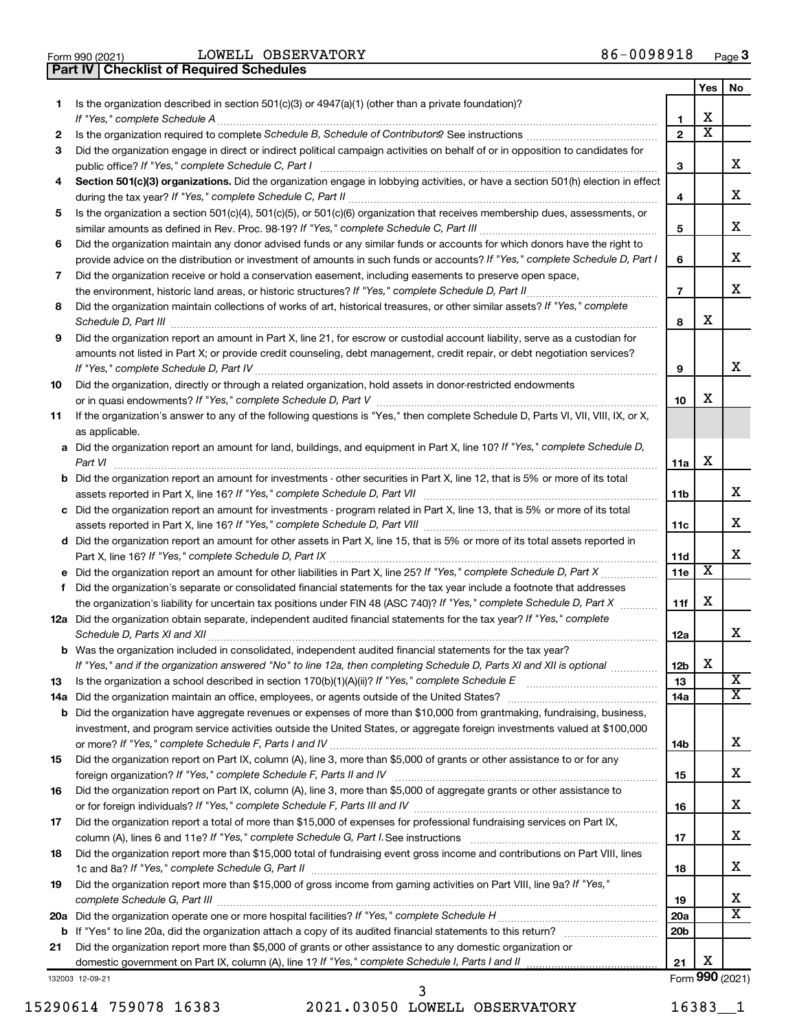Form 990 (2021)  $LOWELL$   $OBSERVATORY$   $86-0098918$   $Page$ **Part IV Checklist of Required Schedules**

|     |                                                                                                                                       |                 | Yes | No                      |
|-----|---------------------------------------------------------------------------------------------------------------------------------------|-----------------|-----|-------------------------|
| 1.  | Is the organization described in section 501(c)(3) or 4947(a)(1) (other than a private foundation)?                                   |                 |     |                         |
|     | If "Yes," complete Schedule A                                                                                                         | 1               | x   |                         |
| 2   |                                                                                                                                       | $\mathbf{2}$    | X   |                         |
| 3   | Did the organization engage in direct or indirect political campaign activities on behalf of or in opposition to candidates for       |                 |     | х                       |
|     | public office? If "Yes," complete Schedule C, Part I                                                                                  | З               |     |                         |
| 4   | Section 501(c)(3) organizations. Did the organization engage in lobbying activities, or have a section 501(h) election in effect      | 4               |     | х                       |
|     | Is the organization a section 501(c)(4), 501(c)(5), or 501(c)(6) organization that receives membership dues, assessments, or          |                 |     |                         |
| 5   |                                                                                                                                       | 5               |     | х                       |
| 6   | Did the organization maintain any donor advised funds or any similar funds or accounts for which donors have the right to             |                 |     |                         |
|     | provide advice on the distribution or investment of amounts in such funds or accounts? If "Yes," complete Schedule D, Part I          | 6               |     | х                       |
| 7   | Did the organization receive or hold a conservation easement, including easements to preserve open space,                             |                 |     |                         |
|     | the environment, historic land areas, or historic structures? If "Yes," complete Schedule D, Part II                                  | $\overline{7}$  |     | х                       |
| 8   | Did the organization maintain collections of works of art, historical treasures, or other similar assets? If "Yes," complete          |                 |     |                         |
|     |                                                                                                                                       | 8               | х   |                         |
| 9   | Did the organization report an amount in Part X, line 21, for escrow or custodial account liability, serve as a custodian for         |                 |     |                         |
|     | amounts not listed in Part X; or provide credit counseling, debt management, credit repair, or debt negotiation services?             |                 |     |                         |
|     |                                                                                                                                       | 9               |     | x                       |
| 10  | Did the organization, directly or through a related organization, hold assets in donor-restricted endowments                          |                 |     |                         |
|     |                                                                                                                                       | 10              | x   |                         |
| 11  | If the organization's answer to any of the following questions is "Yes," then complete Schedule D, Parts VI, VII, VIII, IX, or X,     |                 |     |                         |
|     | as applicable.                                                                                                                        |                 |     |                         |
|     | a Did the organization report an amount for land, buildings, and equipment in Part X, line 10? If "Yes," complete Schedule D,         |                 |     |                         |
|     | Part VI                                                                                                                               | 11a             | х   |                         |
|     | <b>b</b> Did the organization report an amount for investments - other securities in Part X, line 12, that is 5% or more of its total | 11 <sub>b</sub> |     | x                       |
|     | c Did the organization report an amount for investments - program related in Part X, line 13, that is 5% or more of its total         |                 |     |                         |
|     |                                                                                                                                       | 11c             |     | x                       |
|     | d Did the organization report an amount for other assets in Part X, line 15, that is 5% or more of its total assets reported in       |                 |     |                         |
|     |                                                                                                                                       | 11d             |     | x                       |
|     |                                                                                                                                       | 11e             | X   |                         |
| f   | Did the organization's separate or consolidated financial statements for the tax year include a footnote that addresses               |                 |     |                         |
|     | the organization's liability for uncertain tax positions under FIN 48 (ASC 740)? If "Yes," complete Schedule D, Part X                | 11f             | х   |                         |
|     | 12a Did the organization obtain separate, independent audited financial statements for the tax year? If "Yes," complete               |                 |     |                         |
|     |                                                                                                                                       | 12a             |     | х                       |
|     | <b>b</b> Was the organization included in consolidated, independent audited financial statements for the tax year?                    |                 |     |                         |
|     | If "Yes," and if the organization answered "No" to line 12a, then completing Schedule D, Parts XI and XII is optional                 | 12 <sub>b</sub> | х   | $\overline{\textbf{x}}$ |
| 13  |                                                                                                                                       | 13              |     | х                       |
| 14a | Did the organization have aggregate revenues or expenses of more than \$10,000 from grantmaking, fundraising, business,               | 14a             |     |                         |
| b   | investment, and program service activities outside the United States, or aggregate foreign investments valued at \$100,000            |                 |     |                         |
|     |                                                                                                                                       | 14b             |     | х                       |
| 15  | Did the organization report on Part IX, column (A), line 3, more than \$5,000 of grants or other assistance to or for any             |                 |     |                         |
|     |                                                                                                                                       | 15              |     | х                       |
| 16  | Did the organization report on Part IX, column (A), line 3, more than \$5,000 of aggregate grants or other assistance to              |                 |     |                         |
|     |                                                                                                                                       | 16              |     | х                       |
| 17  | Did the organization report a total of more than \$15,000 of expenses for professional fundraising services on Part IX,               |                 |     |                         |
|     |                                                                                                                                       | 17              |     | х                       |
| 18  | Did the organization report more than \$15,000 total of fundraising event gross income and contributions on Part VIII, lines          |                 |     |                         |
|     |                                                                                                                                       | 18              |     | х                       |
| 19  | Did the organization report more than \$15,000 of gross income from gaming activities on Part VIII, line 9a? If "Yes,"                |                 |     |                         |
|     |                                                                                                                                       | 19              |     | x                       |
| 20a |                                                                                                                                       | 20a             |     | х                       |
| b   |                                                                                                                                       | 20 <sub>b</sub> |     |                         |
| 21  | Did the organization report more than \$5,000 of grants or other assistance to any domestic organization or                           | 21              | х   |                         |
|     | 132003 12-09-21                                                                                                                       |                 |     | Form 990 (2021)         |

132003 12-09-21

15290614 759078 16383 2021.03050 LOWELL OBSERVATORY 16383\_\_1 3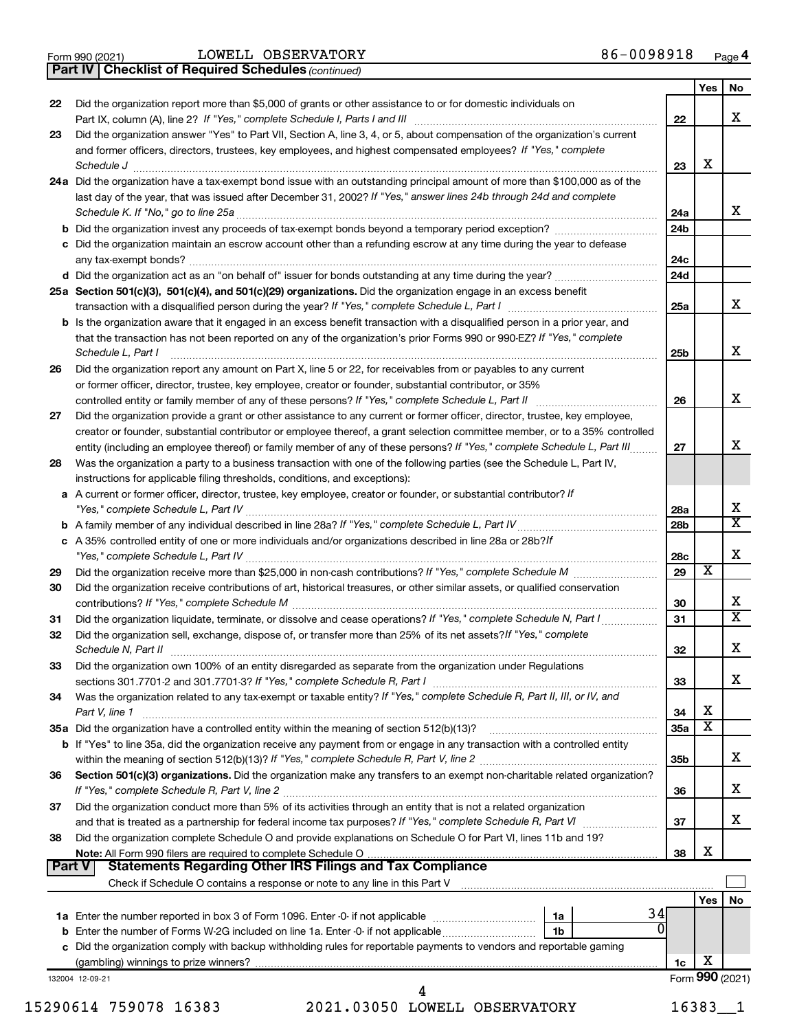|  | Form 990 (2021) |
|--|-----------------|
|  |                 |

Form 990 (2021)  $LOWELL$   $OBSERVATORY$   $86-0098918$   $Page$ 

*(continued)* **Part IV Checklist of Required Schedules**

|        |                                                                                                                                                                                                      |                 | Yes                          | No                      |
|--------|------------------------------------------------------------------------------------------------------------------------------------------------------------------------------------------------------|-----------------|------------------------------|-------------------------|
| 22     | Did the organization report more than \$5,000 of grants or other assistance to or for domestic individuals on                                                                                        |                 |                              |                         |
|        |                                                                                                                                                                                                      | 22              |                              | x                       |
| 23     | Did the organization answer "Yes" to Part VII, Section A, line 3, 4, or 5, about compensation of the organization's current                                                                          |                 |                              |                         |
|        | and former officers, directors, trustees, key employees, and highest compensated employees? If "Yes," complete                                                                                       |                 |                              |                         |
|        | Schedule J <b>Example 2 Contract 2 Contract 2 Contract 2 Contract 2 Contract 2 Contract 2 Contract 2 Contract 2 Contract 2 Contract 2 Contract 2 Contract 2 Contract 2 Contract 2 Contract 2 Con</b> | 23              | X                            |                         |
|        | 24a Did the organization have a tax-exempt bond issue with an outstanding principal amount of more than \$100,000 as of the                                                                          |                 |                              |                         |
|        | last day of the year, that was issued after December 31, 2002? If "Yes," answer lines 24b through 24d and complete                                                                                   |                 |                              |                         |
|        |                                                                                                                                                                                                      | 24a             |                              | x                       |
|        |                                                                                                                                                                                                      | 24 <sub>b</sub> |                              |                         |
|        | c Did the organization maintain an escrow account other than a refunding escrow at any time during the year to defease                                                                               | 24c             |                              |                         |
|        |                                                                                                                                                                                                      | 24d             |                              |                         |
|        | 25a Section 501(c)(3), 501(c)(4), and 501(c)(29) organizations. Did the organization engage in an excess benefit                                                                                     |                 |                              |                         |
|        |                                                                                                                                                                                                      | 25a             |                              | x                       |
|        | <b>b</b> Is the organization aware that it engaged in an excess benefit transaction with a disqualified person in a prior year, and                                                                  |                 |                              |                         |
|        | that the transaction has not been reported on any of the organization's prior Forms 990 or 990-EZ? If "Yes," complete                                                                                |                 |                              |                         |
|        | Schedule L. Part I                                                                                                                                                                                   | 25b             |                              | x                       |
| 26     | Did the organization report any amount on Part X, line 5 or 22, for receivables from or payables to any current                                                                                      |                 |                              |                         |
|        | or former officer, director, trustee, key employee, creator or founder, substantial contributor, or 35%                                                                                              |                 |                              |                         |
|        |                                                                                                                                                                                                      | 26              |                              | x                       |
| 27     | Did the organization provide a grant or other assistance to any current or former officer, director, trustee, key employee,                                                                          |                 |                              |                         |
|        | creator or founder, substantial contributor or employee thereof, a grant selection committee member, or to a 35% controlled                                                                          |                 |                              |                         |
|        | entity (including an employee thereof) or family member of any of these persons? If "Yes," complete Schedule L, Part III                                                                             | 27              |                              | x                       |
| 28     | Was the organization a party to a business transaction with one of the following parties (see the Schedule L, Part IV,                                                                               |                 |                              |                         |
|        | instructions for applicable filing thresholds, conditions, and exceptions):                                                                                                                          |                 |                              |                         |
|        | a A current or former officer, director, trustee, key employee, creator or founder, or substantial contributor? If                                                                                   | 28a             |                              | х                       |
|        |                                                                                                                                                                                                      | 28b             |                              | $\overline{\mathtt{x}}$ |
|        | c A 35% controlled entity of one or more individuals and/or organizations described in line 28a or 28b?If                                                                                            |                 |                              |                         |
|        |                                                                                                                                                                                                      | 28c             |                              | X                       |
| 29     |                                                                                                                                                                                                      | 29              | X                            |                         |
| 30     | Did the organization receive contributions of art, historical treasures, or other similar assets, or qualified conservation                                                                          |                 |                              |                         |
|        |                                                                                                                                                                                                      | 30              |                              | x                       |
| 31     |                                                                                                                                                                                                      | 31              |                              | $\overline{\mathtt{x}}$ |
| 32     | Did the organization sell, exchange, dispose of, or transfer more than 25% of its net assets? If "Yes," complete                                                                                     |                 |                              |                         |
|        |                                                                                                                                                                                                      | 32              |                              | X                       |
| 33     | Did the organization own 100% of an entity disregarded as separate from the organization under Regulations                                                                                           |                 |                              |                         |
|        |                                                                                                                                                                                                      | 33              |                              | x                       |
| 34     | Was the organization related to any tax-exempt or taxable entity? If "Yes," complete Schedule R, Part II, III, or IV, and                                                                            |                 |                              |                         |
|        | Part V, line 1                                                                                                                                                                                       | 34              | х<br>$\overline{\texttt{x}}$ |                         |
|        |                                                                                                                                                                                                      | 35a             |                              |                         |
|        | b If "Yes" to line 35a, did the organization receive any payment from or engage in any transaction with a controlled entity                                                                          | 35b             |                              | x                       |
| 36     | Section 501(c)(3) organizations. Did the organization make any transfers to an exempt non-charitable related organization?                                                                           |                 |                              |                         |
|        |                                                                                                                                                                                                      | 36              |                              | x                       |
| 37     | Did the organization conduct more than 5% of its activities through an entity that is not a related organization                                                                                     |                 |                              |                         |
|        |                                                                                                                                                                                                      | 37              |                              | x                       |
| 38     | Did the organization complete Schedule O and provide explanations on Schedule O for Part VI, lines 11b and 19?                                                                                       |                 |                              |                         |
|        |                                                                                                                                                                                                      | 38              | х                            |                         |
| Part V |                                                                                                                                                                                                      |                 |                              |                         |
|        |                                                                                                                                                                                                      |                 |                              |                         |
|        |                                                                                                                                                                                                      |                 | Yes                          | No                      |
|        | 34<br>1a                                                                                                                                                                                             |                 |                              |                         |
|        | 1b                                                                                                                                                                                                   |                 |                              |                         |
|        | c Did the organization comply with backup withholding rules for reportable payments to vendors and reportable gaming                                                                                 |                 | X                            |                         |
|        |                                                                                                                                                                                                      | 1c              |                              | Form 990 (2021)         |
|        | 132004 12-09-21<br>4                                                                                                                                                                                 |                 |                              |                         |

15290614 759078 16383 2021.03050 LOWELL OBSERVATORY 16383\_\_1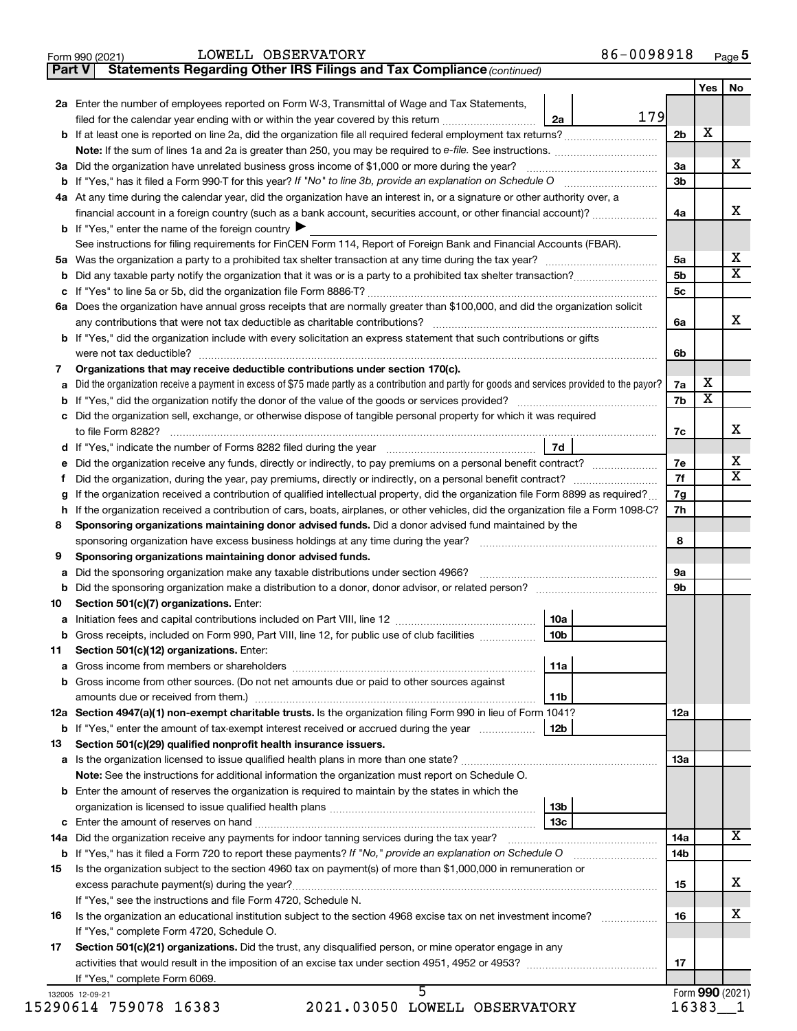| Form 990 (2021) | LOWELL OBSERVATORY | 86-0098918<br>Page 5 |
|-----------------|--------------------|----------------------|
|-----------------|--------------------|----------------------|

| orm 990 (2021) | LOWELL OBSERVATORY                                                           | 86-0098918 |
|----------------|------------------------------------------------------------------------------|------------|
|                | Part V Statements Regarding Other IRS Filings and Tax Compliance (continued) |            |

|                  |                                                                                                                                                                                   |                 |     |                | Yes                     | No                         |
|------------------|-----------------------------------------------------------------------------------------------------------------------------------------------------------------------------------|-----------------|-----|----------------|-------------------------|----------------------------|
|                  | 2a Enter the number of employees reported on Form W-3, Transmittal of Wage and Tax Statements,                                                                                    |                 |     |                |                         |                            |
|                  | filed for the calendar year ending with or within the year covered by this return                                                                                                 | 2a              | 179 |                |                         |                            |
|                  |                                                                                                                                                                                   |                 |     | 2b             | x                       |                            |
|                  |                                                                                                                                                                                   |                 |     |                |                         |                            |
|                  | 3a Did the organization have unrelated business gross income of \$1,000 or more during the year?                                                                                  |                 |     | За             |                         | x                          |
|                  |                                                                                                                                                                                   |                 |     | 3b             |                         |                            |
|                  | 4a At any time during the calendar year, did the organization have an interest in, or a signature or other authority over, a                                                      |                 |     |                |                         |                            |
|                  | financial account in a foreign country (such as a bank account, securities account, or other financial account)?                                                                  |                 |     | 4a             |                         | x                          |
|                  | <b>b</b> If "Yes," enter the name of the foreign country $\blacktriangleright$                                                                                                    |                 |     |                |                         |                            |
|                  | See instructions for filing requirements for FinCEN Form 114, Report of Foreign Bank and Financial Accounts (FBAR).                                                               |                 |     |                |                         |                            |
|                  |                                                                                                                                                                                   |                 |     | 5a             |                         | x<br>$\overline{\text{x}}$ |
| b                |                                                                                                                                                                                   |                 |     | 5 <sub>b</sub> |                         |                            |
| c                |                                                                                                                                                                                   |                 |     | 5c             |                         |                            |
|                  | 6a Does the organization have annual gross receipts that are normally greater than \$100,000, and did the organization solicit                                                    |                 |     |                |                         | x                          |
|                  | b If "Yes," did the organization include with every solicitation an express statement that such contributions or gifts                                                            |                 |     | 6a             |                         |                            |
|                  | were not tax deductible?                                                                                                                                                          |                 |     | 6b             |                         |                            |
| 7                | Organizations that may receive deductible contributions under section 170(c).                                                                                                     |                 |     |                |                         |                            |
| a                | Did the organization receive a payment in excess of \$75 made partly as a contribution and partly for goods and services provided to the payor?                                   |                 |     | 7a             | х                       |                            |
| b                |                                                                                                                                                                                   |                 |     | 7b             | $\overline{\textbf{x}}$ |                            |
| с                | Did the organization sell, exchange, or otherwise dispose of tangible personal property for which it was required                                                                 |                 |     |                |                         |                            |
|                  | to file Form 8282?                                                                                                                                                                |                 |     | 7c             |                         | x                          |
| d                |                                                                                                                                                                                   | 7d              |     |                |                         |                            |
| е                | Did the organization receive any funds, directly or indirectly, to pay premiums on a personal benefit contract?                                                                   |                 |     | 7e             |                         | x                          |
| f                |                                                                                                                                                                                   |                 |     | 7f             |                         | $\overline{\textbf{x}}$    |
| g                | If the organization received a contribution of qualified intellectual property, did the organization file Form 8899 as required?                                                  |                 |     | 7g             |                         |                            |
|                  | If the organization received a contribution of cars, boats, airplanes, or other vehicles, did the organization file a Form 1098-C?                                                |                 |     | 7h             |                         |                            |
| 8                | Sponsoring organizations maintaining donor advised funds. Did a donor advised fund maintained by the                                                                              |                 |     |                |                         |                            |
|                  | sponsoring organization have excess business holdings at any time during the year?                                                                                                |                 |     | 8              |                         |                            |
| 9                | Sponsoring organizations maintaining donor advised funds.                                                                                                                         |                 |     |                |                         |                            |
| a                | Did the sponsoring organization make any taxable distributions under section 4966?                                                                                                |                 |     | <b>9a</b>      |                         |                            |
| b                |                                                                                                                                                                                   |                 |     | 9b             |                         |                            |
| 10               | Section 501(c)(7) organizations. Enter:                                                                                                                                           | 10a             |     |                |                         |                            |
| а<br>$\mathbf b$ | Gross receipts, included on Form 990, Part VIII, line 12, for public use of club facilities <i>manager</i> (Gross)                                                                | 10 <sub>b</sub> |     |                |                         |                            |
| 11               | Section 501(c)(12) organizations. Enter:                                                                                                                                          |                 |     |                |                         |                            |
| а                |                                                                                                                                                                                   | 11a             |     |                |                         |                            |
|                  | Gross income from other sources. (Do not net amounts due or paid to other sources against                                                                                         |                 |     |                |                         |                            |
|                  |                                                                                                                                                                                   | 11b             |     |                |                         |                            |
|                  | 12a Section 4947(a)(1) non-exempt charitable trusts. Is the organization filing Form 990 in lieu of Form 1041?                                                                    |                 |     | 12a            |                         |                            |
|                  | <b>b</b> If "Yes," enter the amount of tax-exempt interest received or accrued during the year                                                                                    | 12b             |     |                |                         |                            |
| 13               | Section 501(c)(29) qualified nonprofit health insurance issuers.                                                                                                                  |                 |     |                |                         |                            |
|                  |                                                                                                                                                                                   |                 |     | 13a            |                         |                            |
|                  | Note: See the instructions for additional information the organization must report on Schedule O.                                                                                 |                 |     |                |                         |                            |
|                  | <b>b</b> Enter the amount of reserves the organization is required to maintain by the states in which the                                                                         |                 |     |                |                         |                            |
|                  |                                                                                                                                                                                   | 13b             |     |                |                         |                            |
|                  |                                                                                                                                                                                   | 13с             |     |                |                         |                            |
|                  |                                                                                                                                                                                   |                 |     | 14a            |                         | x                          |
|                  | <b>b</b> If "Yes," has it filed a Form 720 to report these payments? If "No," provide an explanation on Schedule O                                                                |                 |     | 14b            |                         |                            |
| 15               | Is the organization subject to the section 4960 tax on payment(s) of more than \$1,000,000 in remuneration or                                                                     |                 |     |                |                         | x                          |
|                  |                                                                                                                                                                                   |                 |     | 15             |                         |                            |
| 16               | If "Yes," see the instructions and file Form 4720, Schedule N.<br>Is the organization an educational institution subject to the section 4968 excise tax on net investment income? |                 |     | 16             |                         | x                          |
|                  | If "Yes," complete Form 4720, Schedule O.                                                                                                                                         |                 |     |                |                         |                            |
| 17               | Section 501(c)(21) organizations. Did the trust, any disqualified person, or mine operator engage in any                                                                          |                 |     |                |                         |                            |
|                  |                                                                                                                                                                                   |                 |     | 17             |                         |                            |
|                  | If "Yes," complete Form 6069.                                                                                                                                                     |                 |     |                |                         |                            |
|                  | 5<br>132005 12-09-21                                                                                                                                                              |                 |     |                | Form 990 (2021)         |                            |

15290614 759078 16383

2021.03050 LOWELL OBSERVATORY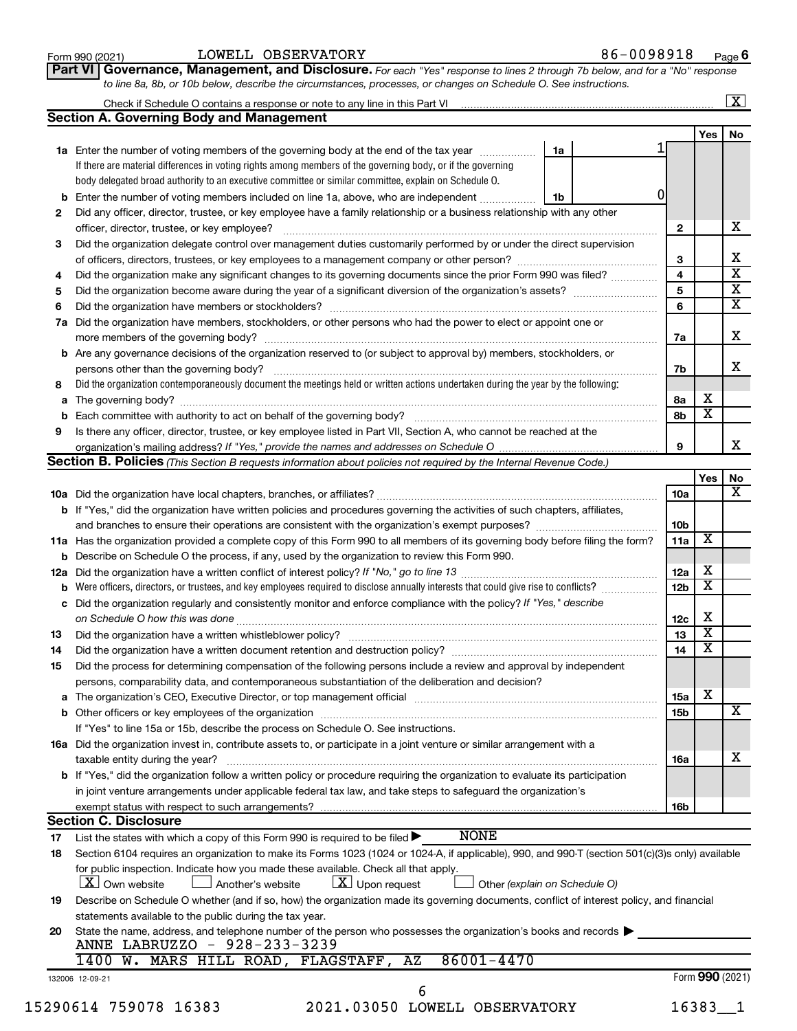| Form 990 (2021) |  |
|-----------------|--|
|-----------------|--|

#### Form 990 (2021)  $LOWELL$   $OBSERVATORY$   $86-0098918$   $Page$

**Part VI** Governance, Management, and Disclosure. For each "Yes" response to lines 2 through 7b below, and for a "No" response *to line 8a, 8b, or 10b below, describe the circumstances, processes, or changes on Schedule O. See instructions.*

|     | Check if Schedule O contains a response or note to any line in this Part VI [1] [1] [1] [1] [1] [1] [1] [1] [1                                                                      |    |                 |                         | $\mathbf{X}$            |
|-----|-------------------------------------------------------------------------------------------------------------------------------------------------------------------------------------|----|-----------------|-------------------------|-------------------------|
|     | <b>Section A. Governing Body and Management</b>                                                                                                                                     |    |                 |                         |                         |
|     |                                                                                                                                                                                     |    |                 | Yes                     | No                      |
|     | 1a Enter the number of voting members of the governing body at the end of the tax year                                                                                              | 1a |                 |                         |                         |
|     | If there are material differences in voting rights among members of the governing body, or if the governing                                                                         |    |                 |                         |                         |
|     | body delegated broad authority to an executive committee or similar committee, explain on Schedule O.                                                                               |    |                 |                         |                         |
| b   | Enter the number of voting members included on line 1a, above, who are independent                                                                                                  | 1b | 0               |                         |                         |
| 2   | Did any officer, director, trustee, or key employee have a family relationship or a business relationship with any other                                                            |    |                 |                         |                         |
|     | officer, director, trustee, or key employee?                                                                                                                                        |    | $\mathbf{2}$    |                         | x                       |
| 3   | Did the organization delegate control over management duties customarily performed by or under the direct supervision                                                               |    |                 |                         |                         |
|     |                                                                                                                                                                                     |    | 3               |                         | х                       |
| 4   | Did the organization make any significant changes to its governing documents since the prior Form 990 was filed?                                                                    |    | 4               |                         | $\overline{\textbf{x}}$ |
| 5   |                                                                                                                                                                                     |    | 5               |                         | $\overline{\textbf{X}}$ |
| 6   |                                                                                                                                                                                     |    | 6               |                         | $\overline{\textbf{x}}$ |
| 7a  | Did the organization have members, stockholders, or other persons who had the power to elect or appoint one or                                                                      |    |                 |                         |                         |
|     |                                                                                                                                                                                     |    |                 |                         | x                       |
|     |                                                                                                                                                                                     |    | 7a              |                         |                         |
| b   | Are any governance decisions of the organization reserved to (or subject to approval by) members, stockholders, or                                                                  |    |                 |                         | X                       |
|     |                                                                                                                                                                                     |    | 7b              |                         |                         |
| 8   | Did the organization contemporaneously document the meetings held or written actions undertaken during the year by the following:                                                   |    |                 |                         |                         |
| а   |                                                                                                                                                                                     |    | 8а              | х                       |                         |
| b   |                                                                                                                                                                                     |    | 8b              | $\overline{\mathbf{x}}$ |                         |
| 9   | Is there any officer, director, trustee, or key employee listed in Part VII, Section A, who cannot be reached at the                                                                |    |                 |                         |                         |
|     |                                                                                                                                                                                     |    | 9               |                         | x                       |
|     | <b>Section B. Policies</b> (This Section B requests information about policies not required by the Internal Revenue Code.)                                                          |    |                 |                         |                         |
|     |                                                                                                                                                                                     |    |                 | Yes                     | No                      |
|     |                                                                                                                                                                                     |    | 10a             |                         | x                       |
|     | <b>b</b> If "Yes," did the organization have written policies and procedures governing the activities of such chapters, affiliates,                                                 |    |                 |                         |                         |
|     |                                                                                                                                                                                     |    | 10 <sub>b</sub> |                         |                         |
|     | 11a Has the organization provided a complete copy of this Form 990 to all members of its governing body before filing the form?                                                     |    | 11a             | х                       |                         |
|     | b Describe on Schedule O the process, if any, used by the organization to review this Form 990.                                                                                     |    |                 |                         |                         |
| 12a |                                                                                                                                                                                     |    | 12a             | х                       |                         |
| b   | Were officers, directors, or trustees, and key employees required to disclose annually interests that could give rise to conflicts?                                                 |    | 12 <sub>b</sub> | х                       |                         |
| с   | Did the organization regularly and consistently monitor and enforce compliance with the policy? If "Yes," describe                                                                  |    |                 |                         |                         |
|     |                                                                                                                                                                                     |    | 12c             | X                       |                         |
| 13  |                                                                                                                                                                                     |    | 13              | $\overline{\textbf{x}}$ |                         |
| 14  | Did the organization have a written document retention and destruction policy? [11] manufaction model of the organization have a written document retention and destruction policy? |    | 14              | $\overline{\mathbf{X}}$ |                         |
| 15  | Did the process for determining compensation of the following persons include a review and approval by independent                                                                  |    |                 |                         |                         |
|     | persons, comparability data, and contemporaneous substantiation of the deliberation and decision?                                                                                   |    |                 |                         |                         |
|     |                                                                                                                                                                                     |    | <b>15a</b>      | х                       |                         |
| а   |                                                                                                                                                                                     |    |                 |                         | х                       |
|     |                                                                                                                                                                                     |    | 15b             |                         |                         |
|     | If "Yes" to line 15a or 15b, describe the process on Schedule O. See instructions.                                                                                                  |    |                 |                         |                         |
|     | 16a Did the organization invest in, contribute assets to, or participate in a joint venture or similar arrangement with a                                                           |    |                 |                         |                         |
|     | taxable entity during the year?                                                                                                                                                     |    | 16a             |                         | х                       |
|     | b If "Yes," did the organization follow a written policy or procedure requiring the organization to evaluate its participation                                                      |    |                 |                         |                         |
|     | in joint venture arrangements under applicable federal tax law, and take steps to safeguard the organization's                                                                      |    |                 |                         |                         |
|     | exempt status with respect to such arrangements?                                                                                                                                    |    | 16b             |                         |                         |
|     | <b>Section C. Disclosure</b>                                                                                                                                                        |    |                 |                         |                         |
| 17  | <b>NONE</b><br>List the states with which a copy of this Form 990 is required to be filed $\blacktriangleright$                                                                     |    |                 |                         |                         |
| 18  | Section 6104 requires an organization to make its Forms 1023 (1024 or 1024-A, if applicable), 990, and 990-T (section 501(c)(3)s only) available                                    |    |                 |                         |                         |
|     | for public inspection. Indicate how you made these available. Check all that apply.                                                                                                 |    |                 |                         |                         |
|     | $\lfloor x \rfloor$ Upon request<br><b>X</b> Own website<br>Another's website<br>Other (explain on Schedule O)                                                                      |    |                 |                         |                         |
| 19  | Describe on Schedule O whether (and if so, how) the organization made its governing documents, conflict of interest policy, and financial                                           |    |                 |                         |                         |
|     | statements available to the public during the tax year.                                                                                                                             |    |                 |                         |                         |
| 20  | State the name, address, and telephone number of the person who possesses the organization's books and records                                                                      |    |                 |                         |                         |
|     | ANNE LABRUZZO - 928-233-3239                                                                                                                                                        |    |                 |                         |                         |
|     | 86001-4470<br>1400 W. MARS HILL ROAD, FLAGSTAFF,<br>AZ                                                                                                                              |    |                 |                         |                         |
|     |                                                                                                                                                                                     |    |                 | Form 990 (2021)         |                         |
|     | 132006 12-09-21<br>6                                                                                                                                                                |    |                 |                         |                         |
|     | 2021.03050 LOWELL OBSERVATORY<br>15290614 759078 16383                                                                                                                              |    |                 | $16383 - 1$             |                         |
|     |                                                                                                                                                                                     |    |                 |                         |                         |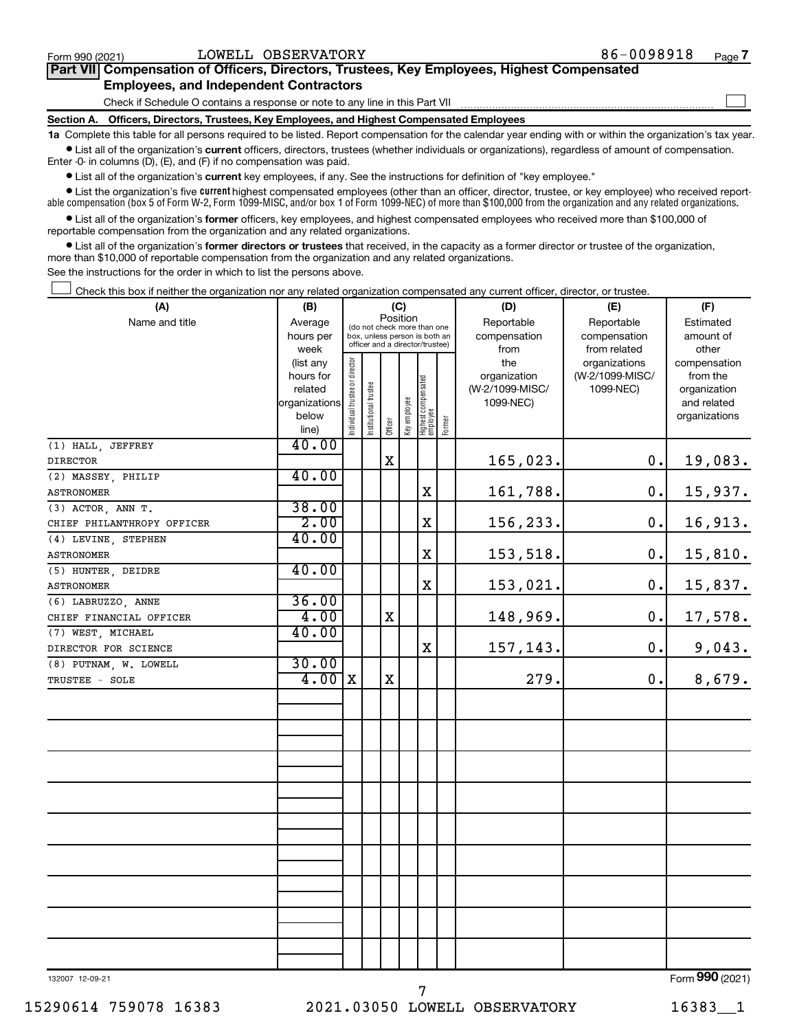$\Box$ 

| Part VII Compensation of Officers, Directors, Trustees, Key Employees, Highest Compensated |  |  |
|--------------------------------------------------------------------------------------------|--|--|
| <b>Employees, and Independent Contractors</b>                                              |  |  |

Check if Schedule O contains a response or note to any line in this Part VII

**Section A. Officers, Directors, Trustees, Key Employees, and Highest Compensated Employees**

**1a**  Complete this table for all persons required to be listed. Report compensation for the calendar year ending with or within the organization's tax year.  $\bullet$  List all of the organization's current officers, directors, trustees (whether individuals or organizations), regardless of amount of compensation.

Enter -0- in columns (D), (E), and (F) if no compensation was paid.

**•** List all of the organization's **current** key employees, if any. See the instructions for definition of "key employee."

• List the organization's five *current* highest compensated employees (other than an officer, director, trustee, or key employee) who received reportable compensation (box 5 of Form W-2, Form 1099-MISC, and/or box 1 of Form 1099-NEC) of more than \$100,000 from the organization and any related organizations.

 $\bullet$  List all of the organization's former officers, key employees, and highest compensated employees who received more than \$100,000 of reportable compensation from the organization and any related organizations.

**•** List all of the organization's former directors or trustees that received, in the capacity as a former director or trustee of the organization, more than \$10,000 of reportable compensation from the organization and any related organizations.

See the instructions for the order in which to list the persons above.

Check this box if neither the organization nor any related organization compensated any current officer, director, or trustee.  $\Box$ 

| (A)                        | (B)                    | (C)                            |                                                                  |             |              |                                   |        | (D)             | (E)             | (F)                          |
|----------------------------|------------------------|--------------------------------|------------------------------------------------------------------|-------------|--------------|-----------------------------------|--------|-----------------|-----------------|------------------------------|
| Name and title             | Average                |                                | Position<br>(do not check more than one                          |             |              |                                   |        | Reportable      | Reportable      | Estimated                    |
|                            | hours per              |                                | box, unless person is both an<br>officer and a director/trustee) |             |              |                                   |        | compensation    | compensation    | amount of                    |
|                            | week                   |                                |                                                                  |             |              |                                   |        | from            | from related    | other                        |
|                            | (list any              |                                |                                                                  |             |              |                                   |        | the             | organizations   | compensation                 |
|                            | hours for              |                                |                                                                  |             |              |                                   |        | organization    | (W-2/1099-MISC/ | from the                     |
|                            | related                |                                |                                                                  |             |              |                                   |        | (W-2/1099-MISC/ | 1099-NEC)       | organization                 |
|                            | organizations<br>below |                                |                                                                  |             |              |                                   |        | 1099-NEC)       |                 | and related<br>organizations |
|                            | line)                  | Individual trustee or director | Institutional trustee                                            | Officer     | Key employee | Highest compensated<br>  employee | Former |                 |                 |                              |
| (1) HALL, JEFFREY          | 40.00                  |                                |                                                                  |             |              |                                   |        |                 |                 |                              |
| <b>DIRECTOR</b>            |                        |                                |                                                                  | $\mathbf X$ |              |                                   |        | 165,023.        | $0$ .           | 19,083.                      |
| (2) MASSEY, PHILIP         | 40.00                  |                                |                                                                  |             |              |                                   |        |                 |                 |                              |
| <b>ASTRONOMER</b>          |                        |                                |                                                                  |             |              | $\mathbf X$                       |        | 161,788.        | $0$ .           | 15,937.                      |
| (3) ACTOR, ANN T.          | 38.00                  |                                |                                                                  |             |              |                                   |        |                 |                 |                              |
| CHIEF PHILANTHROPY OFFICER | 2.00                   |                                |                                                                  |             |              | $\mathbf X$                       |        | 156,233.        | 0.              | 16,913.                      |
| (4) LEVINE, STEPHEN        | 40.00                  |                                |                                                                  |             |              |                                   |        |                 |                 |                              |
| <b>ASTRONOMER</b>          |                        |                                |                                                                  |             |              | $\rm X$                           |        | 153,518.        | $0$ .           | 15,810.                      |
| (5) HUNTER, DEIDRE         | 40.00                  |                                |                                                                  |             |              |                                   |        |                 |                 |                              |
| <b>ASTRONOMER</b>          |                        |                                |                                                                  |             |              | $\mathbf X$                       |        | 153,021.        | 0.              | 15,837.                      |
| (6) LABRUZZO, ANNE         | 36.00                  |                                |                                                                  |             |              |                                   |        |                 |                 |                              |
| CHIEF FINANCIAL OFFICER    | 4.00                   |                                |                                                                  | $\mathbf X$ |              |                                   |        | 148,969.        | 0.              | 17,578.                      |
| (7) WEST, MICHAEL          | 40.00                  |                                |                                                                  |             |              |                                   |        |                 |                 |                              |
| DIRECTOR FOR SCIENCE       |                        |                                |                                                                  |             |              | $\mathbf x$                       |        | 157,143.        | 0.              | 9,043.                       |
| (8) PUTNAM, W. LOWELL      | 30.00                  |                                |                                                                  |             |              |                                   |        |                 |                 |                              |
| TRUSTEE - SOLE             | $4.00 \, \text{X}$     |                                |                                                                  | $\mathbf X$ |              |                                   |        | 279.            | 0.              | 8,679.                       |
|                            |                        |                                |                                                                  |             |              |                                   |        |                 |                 |                              |
|                            |                        |                                |                                                                  |             |              |                                   |        |                 |                 |                              |
|                            |                        |                                |                                                                  |             |              |                                   |        |                 |                 |                              |
|                            |                        |                                |                                                                  |             |              |                                   |        |                 |                 |                              |
|                            |                        |                                |                                                                  |             |              |                                   |        |                 |                 |                              |
|                            |                        |                                |                                                                  |             |              |                                   |        |                 |                 |                              |
|                            |                        |                                |                                                                  |             |              |                                   |        |                 |                 |                              |
|                            |                        |                                |                                                                  |             |              |                                   |        |                 |                 |                              |
|                            |                        |                                |                                                                  |             |              |                                   |        |                 |                 |                              |
|                            |                        |                                |                                                                  |             |              |                                   |        |                 |                 |                              |
|                            |                        |                                |                                                                  |             |              |                                   |        |                 |                 |                              |
|                            |                        |                                |                                                                  |             |              |                                   |        |                 |                 |                              |
|                            |                        |                                |                                                                  |             |              |                                   |        |                 |                 |                              |
|                            |                        |                                |                                                                  |             |              |                                   |        |                 |                 |                              |
|                            |                        |                                |                                                                  |             |              |                                   |        |                 |                 |                              |
|                            |                        |                                |                                                                  |             |              |                                   |        |                 |                 |                              |

132007 12-09-21

7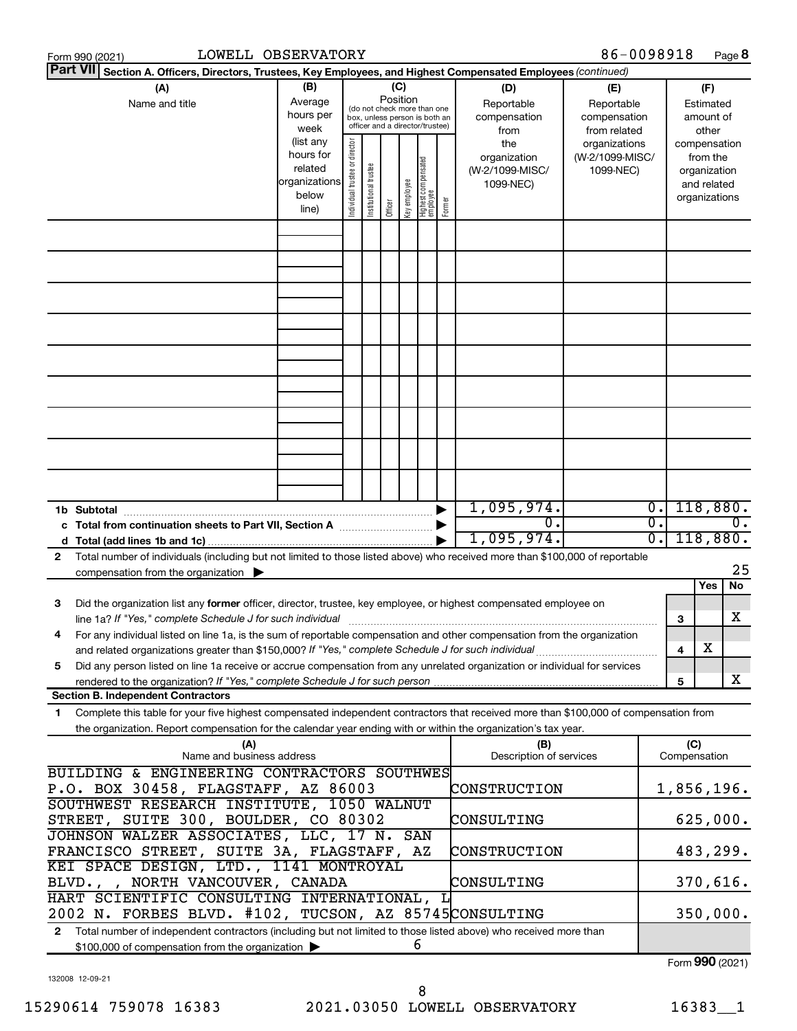|                                                                                                                                                                                            | LOWELL OBSERVATORY<br>Form 990 (2021)                                                                                                                                                                                                                  |                                                                      |                                |                       |                 |              |                                                                                                 |        |                                                     | 86-0098918                                        |                  |                     |                                                                          | Page 8  |
|--------------------------------------------------------------------------------------------------------------------------------------------------------------------------------------------|--------------------------------------------------------------------------------------------------------------------------------------------------------------------------------------------------------------------------------------------------------|----------------------------------------------------------------------|--------------------------------|-----------------------|-----------------|--------------|-------------------------------------------------------------------------------------------------|--------|-----------------------------------------------------|---------------------------------------------------|------------------|---------------------|--------------------------------------------------------------------------|---------|
| <b>Part VII</b>                                                                                                                                                                            | Section A. Officers, Directors, Trustees, Key Employees, and Highest Compensated Employees (continued)                                                                                                                                                 |                                                                      |                                |                       |                 |              |                                                                                                 |        |                                                     |                                                   |                  |                     |                                                                          |         |
|                                                                                                                                                                                            | (A)<br>Name and title                                                                                                                                                                                                                                  | (B)<br>Average<br>hours per<br>week                                  |                                |                       | (C)<br>Position |              | (do not check more than one<br>box, unless person is both an<br>officer and a director/trustee) |        | (D)<br>Reportable<br>compensation<br>from           | (E)<br>Reportable<br>compensation<br>from related |                  |                     | (F)<br>Estimated<br>amount of<br>other                                   |         |
|                                                                                                                                                                                            |                                                                                                                                                                                                                                                        | (list any<br>hours for<br>related<br>organizations<br>below<br>line) | Individual trustee or director | Institutional trustee | Officer         | key employee | Highest compensated<br>  employee                                                               | Former | the<br>organization<br>(W-2/1099-MISC/<br>1099-NEC) | organizations<br>(W-2/1099-MISC/<br>1099-NEC)     |                  |                     | compensation<br>from the<br>organization<br>and related<br>organizations |         |
|                                                                                                                                                                                            |                                                                                                                                                                                                                                                        |                                                                      |                                |                       |                 |              |                                                                                                 |        |                                                     |                                                   |                  |                     |                                                                          |         |
|                                                                                                                                                                                            |                                                                                                                                                                                                                                                        |                                                                      |                                |                       |                 |              |                                                                                                 |        |                                                     |                                                   |                  |                     |                                                                          |         |
|                                                                                                                                                                                            |                                                                                                                                                                                                                                                        |                                                                      |                                |                       |                 |              |                                                                                                 |        |                                                     |                                                   |                  |                     |                                                                          |         |
|                                                                                                                                                                                            |                                                                                                                                                                                                                                                        |                                                                      |                                |                       |                 |              |                                                                                                 |        |                                                     |                                                   |                  |                     |                                                                          |         |
|                                                                                                                                                                                            |                                                                                                                                                                                                                                                        |                                                                      |                                |                       |                 |              |                                                                                                 |        |                                                     |                                                   |                  |                     |                                                                          |         |
|                                                                                                                                                                                            |                                                                                                                                                                                                                                                        |                                                                      |                                |                       |                 |              |                                                                                                 |        |                                                     |                                                   |                  |                     |                                                                          |         |
|                                                                                                                                                                                            |                                                                                                                                                                                                                                                        |                                                                      |                                |                       |                 |              |                                                                                                 |        |                                                     |                                                   |                  |                     |                                                                          |         |
|                                                                                                                                                                                            |                                                                                                                                                                                                                                                        |                                                                      |                                |                       |                 |              |                                                                                                 |        |                                                     |                                                   |                  |                     |                                                                          |         |
|                                                                                                                                                                                            | 1b Subtotal                                                                                                                                                                                                                                            |                                                                      |                                |                       |                 |              |                                                                                                 |        | 1,095,974.                                          |                                                   | $\overline{0}$ . |                     | 118,880.                                                                 |         |
|                                                                                                                                                                                            | c Total from continuation sheets to Part VII, Section A manufactured by                                                                                                                                                                                |                                                                      |                                |                       |                 |              |                                                                                                 |        | 0.<br>1,095,974.                                    |                                                   | σ.<br>σ.         |                     | 118,880.                                                                 | 0.      |
| 2                                                                                                                                                                                          | Total number of individuals (including but not limited to those listed above) who received more than \$100,000 of reportable<br>compensation from the organization $\blacktriangleright$                                                               |                                                                      |                                |                       |                 |              |                                                                                                 |        |                                                     |                                                   |                  |                     |                                                                          | 25      |
| з                                                                                                                                                                                          | Did the organization list any former officer, director, trustee, key employee, or highest compensated employee on<br>line 1a? If "Yes," complete Schedule J for such individual                                                                        |                                                                      |                                |                       |                 |              |                                                                                                 |        |                                                     |                                                   |                  | 3                   | Yes                                                                      | No<br>х |
| 4                                                                                                                                                                                          | For any individual listed on line 1a, is the sum of reportable compensation and other compensation from the organization                                                                                                                               |                                                                      |                                |                       |                 |              |                                                                                                 |        |                                                     |                                                   |                  | 4                   | х                                                                        |         |
| 5                                                                                                                                                                                          | Did any person listed on line 1a receive or accrue compensation from any unrelated organization or individual for services                                                                                                                             |                                                                      |                                |                       |                 |              |                                                                                                 |        |                                                     |                                                   |                  | 5                   |                                                                          | x       |
|                                                                                                                                                                                            | <b>Section B. Independent Contractors</b>                                                                                                                                                                                                              |                                                                      |                                |                       |                 |              |                                                                                                 |        |                                                     |                                                   |                  |                     |                                                                          |         |
| 1                                                                                                                                                                                          | Complete this table for your five highest compensated independent contractors that received more than \$100,000 of compensation from<br>the organization. Report compensation for the calendar year ending with or within the organization's tax year. |                                                                      |                                |                       |                 |              |                                                                                                 |        |                                                     |                                                   |                  |                     |                                                                          |         |
|                                                                                                                                                                                            | (A)<br>Name and business address                                                                                                                                                                                                                       |                                                                      |                                |                       |                 |              |                                                                                                 |        | (B)<br>Description of services                      |                                                   |                  | (C)<br>Compensation |                                                                          |         |
|                                                                                                                                                                                            | BUILDING & ENGINEERING CONTRACTORS SOUTHWES<br>P.O. BOX 30458, FLAGSTAFF, AZ 86003                                                                                                                                                                     |                                                                      |                                |                       |                 |              |                                                                                                 |        | CONSTRUCTION                                        |                                                   |                  | 1,856,196.          |                                                                          |         |
| SOUTHWEST RESEARCH INSTITUTE, 1050 WALNUT<br>STREET, SUITE 300, BOULDER, CO 80302                                                                                                          |                                                                                                                                                                                                                                                        |                                                                      |                                |                       |                 |              |                                                                                                 |        | CONSULTING                                          |                                                   |                  |                     | 625,000.                                                                 |         |
| JOHNSON WALZER ASSOCIATES, LLC, 17 N. SAN<br>FRANCISCO STREET, SUITE 3A, FLAGSTAFF, AZ<br>CONSTRUCTION                                                                                     |                                                                                                                                                                                                                                                        |                                                                      |                                |                       |                 |              |                                                                                                 |        |                                                     |                                                   |                  |                     | 483,299.                                                                 |         |
|                                                                                                                                                                                            | KEI SPACE DESIGN, LTD., 1141 MONTROYAL<br>BLVD.,,<br>NORTH VANCOUVER, CANADA                                                                                                                                                                           |                                                                      |                                |                       |                 |              |                                                                                                 |        | CONSULTING                                          |                                                   |                  |                     | 370,616.                                                                 |         |
|                                                                                                                                                                                            | HART SCIENTIFIC CONSULTING INTERNATIONAL, L<br>2002 N. FORBES BLVD. #102, TUCSON, AZ 85745CONSULTING                                                                                                                                                   |                                                                      |                                |                       |                 |              |                                                                                                 |        |                                                     |                                                   |                  |                     | 350,000.                                                                 |         |
| Total number of independent contractors (including but not limited to those listed above) who received more than<br>$\mathbf{2}$<br>6<br>\$100,000 of compensation from the organization > |                                                                                                                                                                                                                                                        |                                                                      |                                |                       |                 |              |                                                                                                 |        |                                                     |                                                   |                  |                     |                                                                          |         |

132008 12-09-21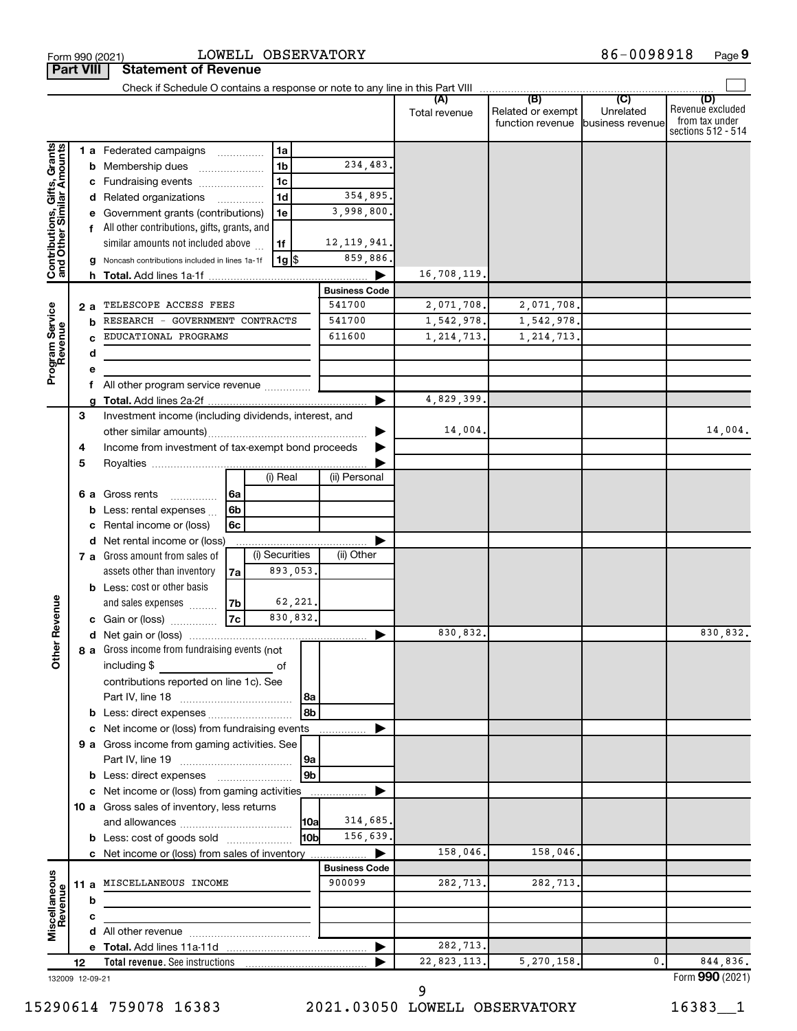|                                                           |    |     |                                                       |                |                |                     |                      | Total revenue | (B)<br>Related or exempt<br>function revenue | (C)<br>Unrelated<br>business revenue | (D)<br>Revenue excluded<br>from tax under<br>sections 512 - 514 |
|-----------------------------------------------------------|----|-----|-------------------------------------------------------|----------------|----------------|---------------------|----------------------|---------------|----------------------------------------------|--------------------------------------|-----------------------------------------------------------------|
|                                                           |    |     | 1 a Federated campaigns                               |                | 1a             |                     |                      |               |                                              |                                      |                                                                 |
| Contributions, Gifts, Grants<br>and Other Similar Amounts |    |     | <b>b</b> Membership dues                              |                | 1 <sub>b</sub> |                     | 234,483.             |               |                                              |                                      |                                                                 |
|                                                           |    |     | c Fundraising events                                  |                | 1 <sub>c</sub> |                     |                      |               |                                              |                                      |                                                                 |
|                                                           |    |     | d Related organizations                               |                | 1 <sub>d</sub> |                     | 354,895.             |               |                                              |                                      |                                                                 |
|                                                           |    |     | e Government grants (contributions)                   |                | 1e             |                     | 3,998,800.           |               |                                              |                                      |                                                                 |
|                                                           |    |     | f All other contributions, gifts, grants, and         |                |                |                     |                      |               |                                              |                                      |                                                                 |
|                                                           |    |     | similar amounts not included above                    |                | 1f             |                     | 12, 119, 941.        |               |                                              |                                      |                                                                 |
|                                                           |    |     | g Noncash contributions included in lines 1a-1f       |                |                | 1g  \$              | 859,886.             |               |                                              |                                      |                                                                 |
|                                                           |    |     |                                                       |                |                |                     |                      | 16,708,119.   |                                              |                                      |                                                                 |
|                                                           |    |     |                                                       |                |                |                     | <b>Business Code</b> |               |                                              |                                      |                                                                 |
|                                                           |    | 2 a | TELESCOPE ACCESS FEES                                 |                |                |                     | 541700               | 2,071,708.    | 2,071,708.                                   |                                      |                                                                 |
| Program Service<br>Revenue                                |    | b   | RESEARCH - GOVERNMENT CONTRACTS                       |                |                |                     | 541700               | 1,542,978.    | 1,542,978.                                   |                                      |                                                                 |
|                                                           |    |     | EDUCATIONAL PROGRAMS                                  |                |                |                     | 611600               | 1, 214, 713.  | 1, 214, 713.                                 |                                      |                                                                 |
|                                                           |    | d   |                                                       |                |                |                     |                      |               |                                              |                                      |                                                                 |
|                                                           |    | е   |                                                       |                |                |                     |                      |               |                                              |                                      |                                                                 |
|                                                           |    | f   | All other program service revenue                     |                |                |                     |                      |               |                                              |                                      |                                                                 |
|                                                           |    |     |                                                       |                |                |                     |                      | 4,829,399.    |                                              |                                      |                                                                 |
|                                                           | 3  |     | Investment income (including dividends, interest, and |                |                |                     |                      |               |                                              |                                      |                                                                 |
|                                                           |    |     |                                                       |                |                |                     |                      | 14,004.       |                                              |                                      | 14,004.                                                         |
|                                                           | 4  |     | Income from investment of tax-exempt bond proceeds    |                |                |                     |                      |               |                                              |                                      |                                                                 |
|                                                           | 5  |     |                                                       |                |                |                     |                      |               |                                              |                                      |                                                                 |
|                                                           |    |     |                                                       |                | (i) Real       |                     | (ii) Personal        |               |                                              |                                      |                                                                 |
|                                                           |    |     | 6 a Gross rents<br>.                                  | 6a             |                |                     |                      |               |                                              |                                      |                                                                 |
|                                                           |    |     | <b>b</b> Less: rental expenses $\ldots$               | 6 <sub>b</sub> |                |                     |                      |               |                                              |                                      |                                                                 |
|                                                           |    | c   | Rental income or (loss)                               | 6с             |                |                     |                      |               |                                              |                                      |                                                                 |
|                                                           |    |     | d Net rental income or (loss)                         |                | (i) Securities |                     | (ii) Other           |               |                                              |                                      |                                                                 |
|                                                           |    |     | 7 a Gross amount from sales of                        |                |                |                     |                      |               |                                              |                                      |                                                                 |
|                                                           |    |     | assets other than inventory                           | 7a             |                | 893,053.            |                      |               |                                              |                                      |                                                                 |
|                                                           |    |     | <b>b</b> Less: cost or other basis                    |                |                |                     |                      |               |                                              |                                      |                                                                 |
|                                                           |    |     | and sales expenses                                    | 7b <br> 7c     |                | 62,221.<br>830,832. |                      |               |                                              |                                      |                                                                 |
| <b>Other Revenue</b>                                      |    |     | c Gain or (loss)                                      |                |                |                     |                      | 830,832.      |                                              |                                      | 830,832.                                                        |
|                                                           |    |     | 8 a Gross income from fundraising events (not         |                |                |                     |                      |               |                                              |                                      |                                                                 |
|                                                           |    |     | including \$<br>$\overline{\phantom{a}}$ of           |                |                |                     |                      |               |                                              |                                      |                                                                 |
|                                                           |    |     | contributions reported on line 1c). See               |                |                |                     |                      |               |                                              |                                      |                                                                 |
|                                                           |    |     | Part IV, line 18                                      |                |                | 8a                  |                      |               |                                              |                                      |                                                                 |
|                                                           |    |     |                                                       |                |                |                     |                      |               |                                              |                                      |                                                                 |
|                                                           |    |     | c Net income or (loss) from fundraising events        |                |                |                     |                      |               |                                              |                                      |                                                                 |
|                                                           |    |     | 9 a Gross income from gaming activities. See          |                |                |                     |                      |               |                                              |                                      |                                                                 |
|                                                           |    |     |                                                       |                |                | 9a                  |                      |               |                                              |                                      |                                                                 |
|                                                           |    |     |                                                       |                |                | 9b                  |                      |               |                                              |                                      |                                                                 |
|                                                           |    |     | c Net income or (loss) from gaming activities         |                |                |                     |                      |               |                                              |                                      |                                                                 |
|                                                           |    |     | 10 a Gross sales of inventory, less returns           |                |                |                     |                      |               |                                              |                                      |                                                                 |
|                                                           |    |     |                                                       |                |                | 10a                 | 314,685.             |               |                                              |                                      |                                                                 |
|                                                           |    |     | <b>b</b> Less: cost of goods sold                     |                |                | l10bl               | 156,639.             |               |                                              |                                      |                                                                 |
|                                                           |    |     | c Net income or (loss) from sales of inventory        |                |                |                     |                      | 158,046.      | 158,046.                                     |                                      |                                                                 |
|                                                           |    |     |                                                       |                |                |                     | <b>Business Code</b> |               |                                              |                                      |                                                                 |
|                                                           |    |     | 11 a MISCELLANEOUS INCOME                             |                |                |                     | 900099               | 282,713.      | 282,713.                                     |                                      |                                                                 |
|                                                           |    | b   |                                                       |                |                |                     |                      |               |                                              |                                      |                                                                 |
|                                                           |    | с   |                                                       |                |                |                     |                      |               |                                              |                                      |                                                                 |
| Miscellaneous<br>Revenue                                  |    |     |                                                       |                |                |                     |                      |               |                                              |                                      |                                                                 |
|                                                           |    |     |                                                       |                |                |                     |                      | 282,713.      |                                              |                                      |                                                                 |
|                                                           | 12 |     | <b>Total revenue.</b> See instructions                |                |                |                     |                      | 22,823,113.   | 5,270,158.                                   | 0                                    | 844,836.                                                        |
| 132009 12-09-21                                           |    |     |                                                       |                |                |                     |                      |               |                                              |                                      | Form 990 (2021)                                                 |

9

**Part VIII Statement of Revenue**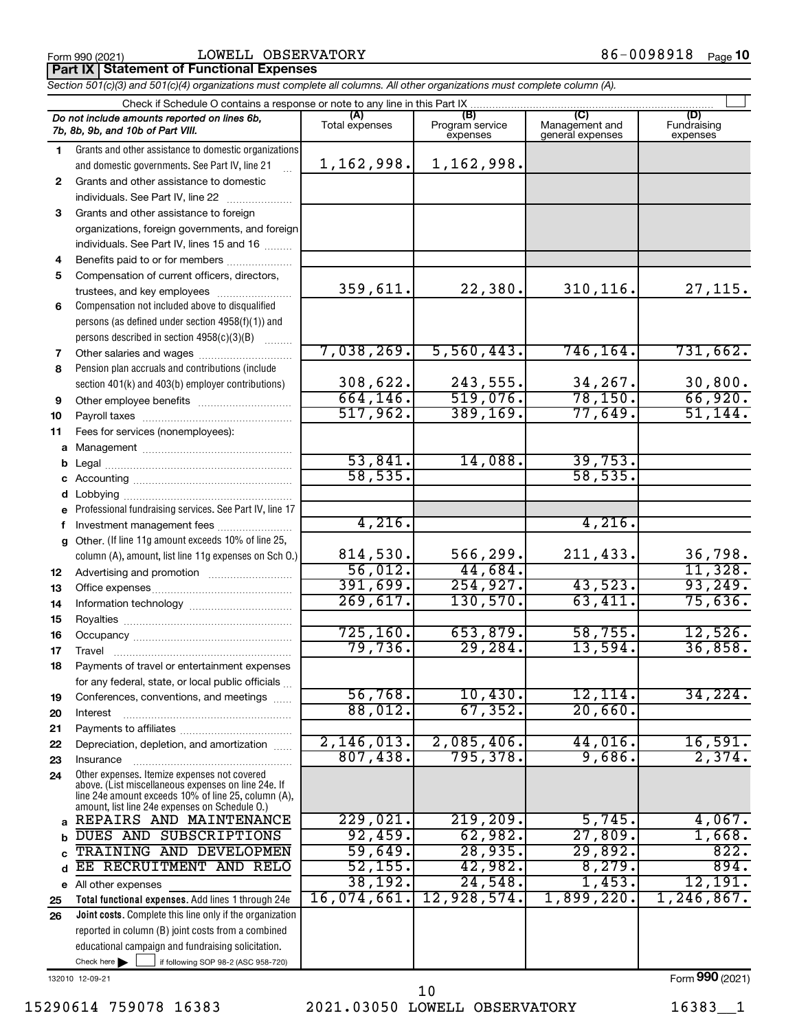#### Form 990 (2021)  $LOWELL$   $OBSERVATORY$   $86-0098918$   $Page$

**Part IX Statement of Functional Expenses**

*Section 501(c)(3) and 501(c)(4) organizations must complete all columns. All other organizations must complete column (A).*

|              | Do not include amounts reported on lines 6b,<br>7b, 8b, 9b, and 10b of Part VIII.                                                                            | (A)<br>Total expenses | (B)<br>Program service<br>expenses | (C)<br>Management and<br>general expenses | (D)<br>Fundraising<br>expenses |  |  |  |  |  |  |  |  |
|--------------|--------------------------------------------------------------------------------------------------------------------------------------------------------------|-----------------------|------------------------------------|-------------------------------------------|--------------------------------|--|--|--|--|--|--|--|--|
| 1.           | Grants and other assistance to domestic organizations                                                                                                        |                       |                                    |                                           |                                |  |  |  |  |  |  |  |  |
|              | and domestic governments. See Part IV, line 21                                                                                                               | 1,162,998.            | 1,162,998.                         |                                           |                                |  |  |  |  |  |  |  |  |
| $\mathbf{2}$ | Grants and other assistance to domestic<br>individuals. See Part IV, line 22                                                                                 |                       |                                    |                                           |                                |  |  |  |  |  |  |  |  |
| 3            | Grants and other assistance to foreign                                                                                                                       |                       |                                    |                                           |                                |  |  |  |  |  |  |  |  |
|              | organizations, foreign governments, and foreign                                                                                                              |                       |                                    |                                           |                                |  |  |  |  |  |  |  |  |
|              | individuals. See Part IV, lines 15 and 16                                                                                                                    |                       |                                    |                                           |                                |  |  |  |  |  |  |  |  |
| 4            | Benefits paid to or for members                                                                                                                              |                       |                                    |                                           |                                |  |  |  |  |  |  |  |  |
| 5            | Compensation of current officers, directors,                                                                                                                 |                       |                                    |                                           |                                |  |  |  |  |  |  |  |  |
|              | trustees, and key employees                                                                                                                                  | 359,611.              | 22,380.                            | 310, 116.                                 | 27,115.                        |  |  |  |  |  |  |  |  |
| 6            | Compensation not included above to disqualified                                                                                                              |                       |                                    |                                           |                                |  |  |  |  |  |  |  |  |
|              | persons (as defined under section 4958(f)(1)) and                                                                                                            |                       |                                    |                                           |                                |  |  |  |  |  |  |  |  |
|              | persons described in section 4958(c)(3)(B)                                                                                                                   |                       |                                    |                                           |                                |  |  |  |  |  |  |  |  |
| 7            | Other salaries and wages                                                                                                                                     | 7,038,269.            | 5,560,443.                         | 746, 164.                                 | 731,662.                       |  |  |  |  |  |  |  |  |
| 8            | Pension plan accruals and contributions (include                                                                                                             |                       |                                    |                                           |                                |  |  |  |  |  |  |  |  |
|              | section 401(k) and 403(b) employer contributions)                                                                                                            | 308,622.              | 243,555.                           | 34,267.                                   | 30,800.                        |  |  |  |  |  |  |  |  |
| 9            |                                                                                                                                                              | 664, 146.             | 519,076.                           | 78, 150.                                  | 66,920.                        |  |  |  |  |  |  |  |  |
| 10           |                                                                                                                                                              | 517,962.              | 389, 169.                          | 77,649.                                   | 51,144.                        |  |  |  |  |  |  |  |  |
| 11           | Fees for services (nonemployees):                                                                                                                            |                       |                                    |                                           |                                |  |  |  |  |  |  |  |  |
| а            |                                                                                                                                                              |                       |                                    |                                           |                                |  |  |  |  |  |  |  |  |
| b            |                                                                                                                                                              | 53,841.               | 14,088.                            | 39,753.                                   |                                |  |  |  |  |  |  |  |  |
| с            |                                                                                                                                                              | 58, 535.              |                                    | 58, 535.                                  |                                |  |  |  |  |  |  |  |  |
| d            |                                                                                                                                                              |                       |                                    |                                           |                                |  |  |  |  |  |  |  |  |
| е            | Professional fundraising services. See Part IV, line 17                                                                                                      |                       |                                    |                                           |                                |  |  |  |  |  |  |  |  |
| f            | Investment management fees                                                                                                                                   | 4,216.                |                                    | 4,216.                                    |                                |  |  |  |  |  |  |  |  |
| g            | Other. (If line 11g amount exceeds 10% of line 25,                                                                                                           |                       |                                    |                                           |                                |  |  |  |  |  |  |  |  |
|              | column (A), amount, list line 11g expenses on Sch O.)                                                                                                        | 814,530.              | 566,299.                           | 211,433.                                  | 36,798.                        |  |  |  |  |  |  |  |  |
| 12           |                                                                                                                                                              | 56,012.               | 44,684.                            |                                           | 11,328.                        |  |  |  |  |  |  |  |  |
| 13           |                                                                                                                                                              | 391,699.              | 254,927.                           | 43,523.                                   | 93, 249.                       |  |  |  |  |  |  |  |  |
| 14           |                                                                                                                                                              | 269,617.              | 130,570.                           | 63,411.                                   | 75,636.                        |  |  |  |  |  |  |  |  |
| 15           |                                                                                                                                                              |                       |                                    |                                           |                                |  |  |  |  |  |  |  |  |
| 16           |                                                                                                                                                              | 725, 160.<br>79,736.  | 653,879.<br>29, 284.               | 58,755.<br>13,594.                        | 12,526.<br>36,858.             |  |  |  |  |  |  |  |  |
| 17           | Travel                                                                                                                                                       |                       |                                    |                                           |                                |  |  |  |  |  |  |  |  |
| 18           | Payments of travel or entertainment expenses                                                                                                                 |                       |                                    |                                           |                                |  |  |  |  |  |  |  |  |
|              | for any federal, state, or local public officials                                                                                                            | 56,768.               | 10,430.                            | 12, 114.                                  | 34, 224.                       |  |  |  |  |  |  |  |  |
| 19           | Conferences, conventions, and meetings                                                                                                                       | 88,012.               | 67, 352.                           | 20,660.                                   |                                |  |  |  |  |  |  |  |  |
| 20           | Interest                                                                                                                                                     |                       |                                    |                                           |                                |  |  |  |  |  |  |  |  |
| 21           | Depreciation, depletion, and amortization                                                                                                                    | 2,146,013.            | 2,085,406.                         | 44,016.                                   | 16,591.                        |  |  |  |  |  |  |  |  |
| 22<br>23     | Insurance                                                                                                                                                    | 807,438.              | 795,378.                           | 9,686.                                    | 2,374.                         |  |  |  |  |  |  |  |  |
| 24           | Other expenses. Itemize expenses not covered                                                                                                                 |                       |                                    |                                           |                                |  |  |  |  |  |  |  |  |
|              | above. (List miscellaneous expenses on line 24e. If<br>line 24e amount exceeds 10% of line 25, column (A).<br>amount, list line 24e expenses on Schedule O.) |                       |                                    |                                           |                                |  |  |  |  |  |  |  |  |
| a            | REPAIRS AND MAINTENANCE                                                                                                                                      | 229,021.              | 219,209.                           | 5,745.                                    | 4,067.                         |  |  |  |  |  |  |  |  |
| b            | DUES AND SUBSCRIPTIONS                                                                                                                                       | 92,459.               | 62,982.                            | 27,809.                                   | 1,668.                         |  |  |  |  |  |  |  |  |
| C            | TRAINING AND DEVELOPMEN                                                                                                                                      | 59,649.               | 28,935.                            | 29,892.                                   | 822.                           |  |  |  |  |  |  |  |  |
| d            | RECRUITMENT AND RELO<br>EΕ                                                                                                                                   | 52, 155.              | 42,982.                            | 8,279.                                    | 894.                           |  |  |  |  |  |  |  |  |
|              | e All other expenses                                                                                                                                         | 38,192.               | 24,548.                            | 1,453.                                    | 12,191.                        |  |  |  |  |  |  |  |  |
| 25           | Total functional expenses. Add lines 1 through 24e                                                                                                           | 16,074,661            | 12,928,574.                        | 1,899,220.                                | 1, 246, 867.                   |  |  |  |  |  |  |  |  |
| 26           | Joint costs. Complete this line only if the organization                                                                                                     |                       |                                    |                                           |                                |  |  |  |  |  |  |  |  |
|              | reported in column (B) joint costs from a combined                                                                                                           |                       |                                    |                                           |                                |  |  |  |  |  |  |  |  |
|              | educational campaign and fundraising solicitation.                                                                                                           |                       |                                    |                                           |                                |  |  |  |  |  |  |  |  |
|              | Check here $\blacktriangleright$<br>if following SOP 98-2 (ASC 958-720)                                                                                      |                       |                                    |                                           |                                |  |  |  |  |  |  |  |  |
|              | 132010 12-09-21                                                                                                                                              |                       |                                    |                                           | Form 990 (2021)                |  |  |  |  |  |  |  |  |

132010 12-09-21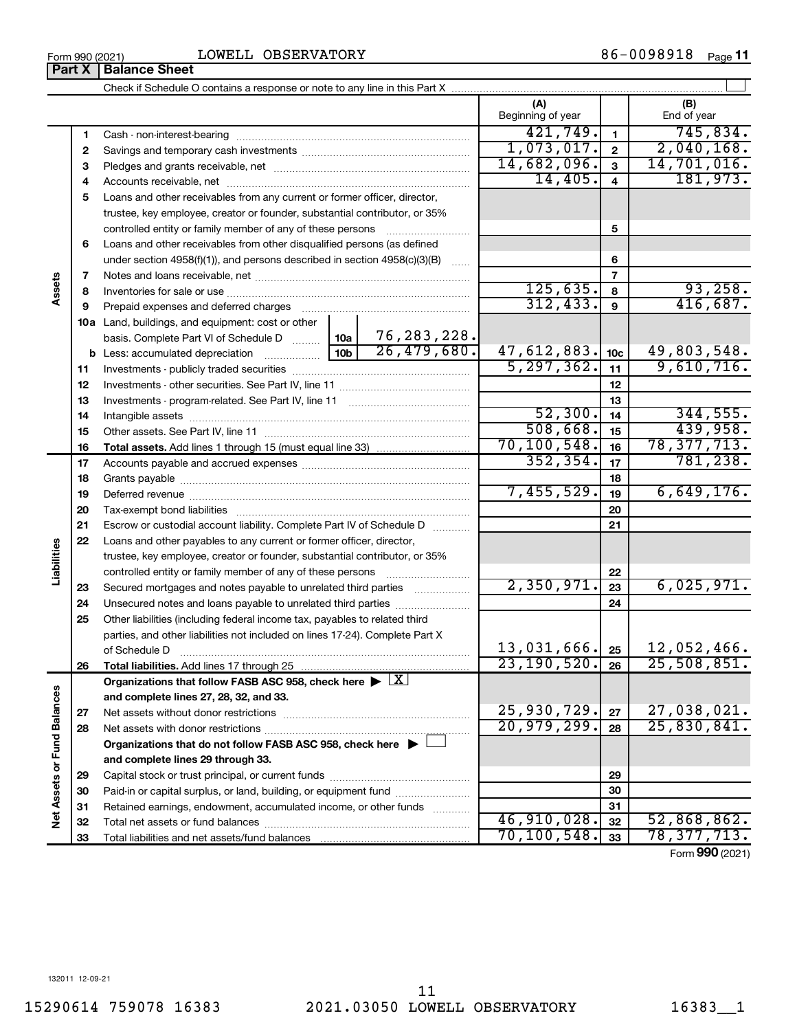|                             |    |                                                                                                        |                 |               | (A)<br>Beginning of year |                 | (B)<br>End of year |
|-----------------------------|----|--------------------------------------------------------------------------------------------------------|-----------------|---------------|--------------------------|-----------------|--------------------|
|                             | 1  |                                                                                                        |                 |               | 421,749.                 | $\mathbf{1}$    | 745,834.           |
|                             | 2  |                                                                                                        |                 |               | 1,073,017.               | $\mathbf{2}$    | 2,040,168.         |
|                             | з  |                                                                                                        |                 |               | 14,682,096.              | 3               | 14,701,016.        |
|                             | 4  |                                                                                                        |                 |               | 14,405.                  | $\overline{4}$  | 181,973.           |
|                             | 5  | Loans and other receivables from any current or former officer, director,                              |                 |               |                          |                 |                    |
|                             |    | trustee, key employee, creator or founder, substantial contributor, or 35%                             |                 |               |                          |                 |                    |
|                             |    | controlled entity or family member of any of these persons                                             |                 | .             |                          | 5               |                    |
|                             | 6  | Loans and other receivables from other disqualified persons (as defined                                |                 |               |                          |                 |                    |
|                             |    | under section $4958(f)(1)$ , and persons described in section $4958(c)(3)(B)$                          |                 |               |                          | 6               |                    |
|                             | 7  |                                                                                                        |                 |               |                          | $\overline{7}$  |                    |
| Assets                      | 8  |                                                                                                        |                 |               | 125,635.                 | 8               | 93,258.            |
|                             | 9  | Prepaid expenses and deferred charges                                                                  |                 |               | 312, 433.                | 9               | 416,687.           |
|                             |    | 10a Land, buildings, and equipment: cost or other                                                      |                 |               |                          |                 |                    |
|                             |    | basis. Complete Part VI of Schedule D                                                                  | 10a             | 76, 283, 228. |                          |                 |                    |
|                             |    | <b>b</b> Less: accumulated depreciation <i></i>                                                        | 10 <sub>b</sub> | 26,479,680.   | 47,612,883.              | 10 <sub>c</sub> | 49,803,548.        |
|                             | 11 |                                                                                                        |                 |               | 5, 297, 362.             | 11              | 9,610,716.         |
|                             | 12 |                                                                                                        |                 | 12            |                          |                 |                    |
|                             | 13 |                                                                                                        |                 |               |                          | 13              |                    |
|                             | 14 |                                                                                                        |                 |               | 52,300.                  | 14              | 344,555.           |
|                             | 15 |                                                                                                        |                 |               | 508,668.                 | 15              | 439,958.           |
|                             | 16 |                                                                                                        |                 |               | 70, 100, 548.            | 16              | 78, 377, 713.      |
|                             | 17 |                                                                                                        |                 |               | 352, 354.                | 17              | 781, 238.          |
|                             | 18 |                                                                                                        |                 |               | 18                       |                 |                    |
|                             | 19 |                                                                                                        | 7,455,529.      | 19            | 6,649,176.               |                 |                    |
|                             | 20 |                                                                                                        |                 | 20            |                          |                 |                    |
|                             | 21 | Escrow or custodial account liability. Complete Part IV of Schedule D                                  |                 |               |                          | 21              |                    |
|                             | 22 | Loans and other payables to any current or former officer, director,                                   |                 |               |                          |                 |                    |
| Liabilities                 |    | trustee, key employee, creator or founder, substantial contributor, or 35%                             |                 |               |                          |                 |                    |
|                             |    |                                                                                                        |                 |               |                          | 22              |                    |
|                             | 23 | Secured mortgages and notes payable to unrelated third parties                                         |                 |               | 2,350,971.               | 23              | 6,025,971.         |
|                             | 24 | Unsecured notes and loans payable to unrelated third parties                                           |                 |               |                          | 24              |                    |
|                             | 25 | Other liabilities (including federal income tax, payables to related third                             |                 |               |                          |                 |                    |
|                             |    | parties, and other liabilities not included on lines 17-24). Complete Part X                           |                 |               |                          |                 |                    |
|                             |    | of Schedule D                                                                                          |                 |               | 13,031,666.              | 25              | $12,052,466$ .     |
|                             | 26 | Total liabilities. Add lines 17 through 25                                                             |                 |               | 23,190,520.              | 26              | 25,508,851.        |
|                             |    | Organizations that follow FASB ASC 958, check here $\blacktriangleright \lfloor \underline{X} \rfloor$ |                 |               |                          |                 |                    |
|                             |    | and complete lines 27, 28, 32, and 33.                                                                 |                 |               |                          |                 |                    |
|                             | 27 |                                                                                                        |                 |               | 25,930,729.              | 27              | 27,038,021.        |
|                             | 28 |                                                                                                        |                 |               | 20,979,299.              | 28              | 25,830,841.        |
|                             |    | Organizations that do not follow FASB ASC 958, check here $\blacktriangleright$                        |                 |               |                          |                 |                    |
| Net Assets or Fund Balances |    | and complete lines 29 through 33.                                                                      |                 |               |                          |                 |                    |
|                             | 29 |                                                                                                        |                 |               |                          | 29              |                    |
|                             | 30 | Paid-in or capital surplus, or land, building, or equipment fund                                       |                 |               |                          | 30              |                    |
|                             | 31 | Retained earnings, endowment, accumulated income, or other funds                                       |                 |               |                          | 31              |                    |
|                             | 32 |                                                                                                        |                 |               | 46,910,028.              | 32              | 52,868,862.        |
|                             | 33 |                                                                                                        |                 |               | 70, 100, 548.            | 33              | 78, 377, 713.      |

**Part X** | Balance Sheet LOWELL OBSERVATORY

Form (2021) **990**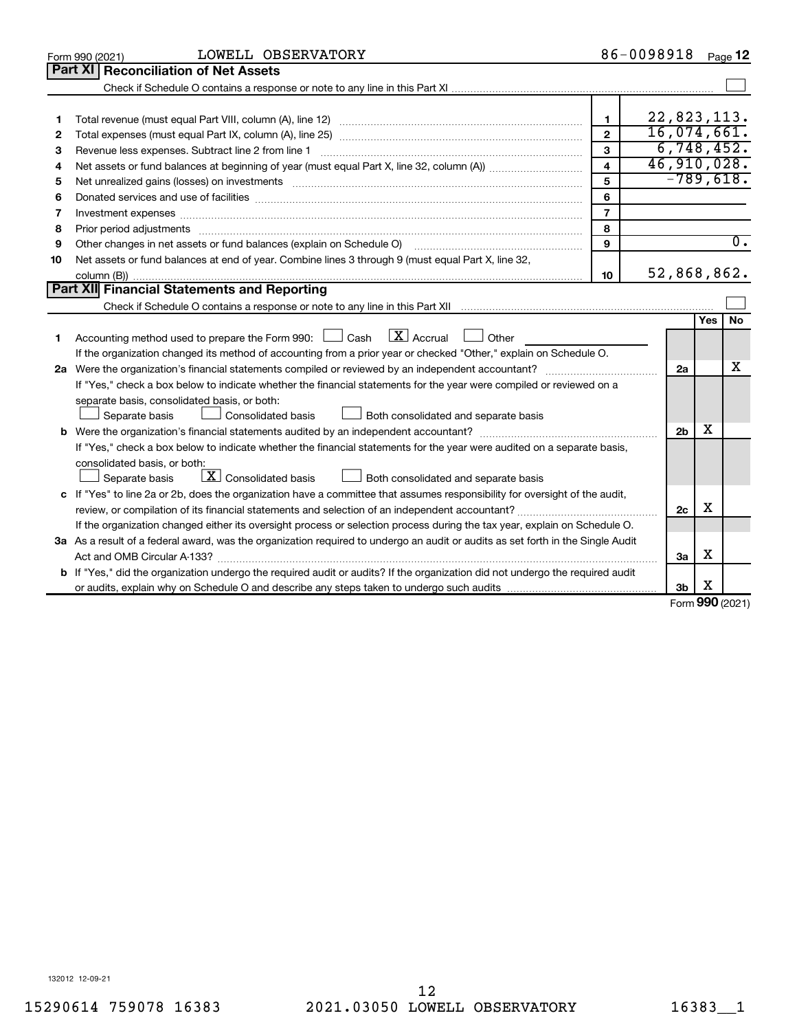|    | LOWELL OBSERVATORY<br>Form 990 (2021)                                                                                           |                | 86-0098918  |                |             | Page 12                    |  |  |  |
|----|---------------------------------------------------------------------------------------------------------------------------------|----------------|-------------|----------------|-------------|----------------------------|--|--|--|
|    | Part XI<br><b>Reconciliation of Net Assets</b>                                                                                  |                |             |                |             |                            |  |  |  |
|    |                                                                                                                                 |                |             |                |             |                            |  |  |  |
|    |                                                                                                                                 |                |             |                |             |                            |  |  |  |
| 1  |                                                                                                                                 | $\mathbf{1}$   | 22,823,113. |                |             |                            |  |  |  |
| 2  |                                                                                                                                 | $\overline{2}$ | 16,074,661. |                |             |                            |  |  |  |
| 3  | Revenue less expenses. Subtract line 2 from line 1                                                                              | 3              |             |                |             | 6,748,452.                 |  |  |  |
| 4  |                                                                                                                                 | 4              |             |                |             | 46,910,028.<br>$-789,618.$ |  |  |  |
| 5  | 5                                                                                                                               |                |             |                |             |                            |  |  |  |
| 6  |                                                                                                                                 | 6              |             |                |             |                            |  |  |  |
| 7  | Investment expenses www.communication.com/www.communication.com/www.communication.com/www.com                                   | $\overline{7}$ |             |                |             |                            |  |  |  |
| 8  | Prior period adjustments manufactured and content and content and all the manufactured adjustments manufacture                  | 8              |             |                |             |                            |  |  |  |
| 9  | Other changes in net assets or fund balances (explain on Schedule O)                                                            | 9              |             |                |             | $\overline{0}$ .           |  |  |  |
| 10 | Net assets or fund balances at end of year. Combine lines 3 through 9 (must equal Part X, line 32,                              |                |             |                |             |                            |  |  |  |
|    |                                                                                                                                 | 10             | 52,868,862. |                |             |                            |  |  |  |
|    | <b>Part XII</b> Financial Statements and Reporting                                                                              |                |             |                |             |                            |  |  |  |
|    |                                                                                                                                 |                |             |                |             |                            |  |  |  |
|    |                                                                                                                                 |                |             |                | <b>Yes</b>  | <b>No</b>                  |  |  |  |
| 1. | Accounting method used to prepare the Form 990: $\Box$ Cash $\Box X$ Accrual<br>$\Box$ Other                                    |                |             |                |             |                            |  |  |  |
|    | If the organization changed its method of accounting from a prior year or checked "Other," explain on Schedule O.               |                |             |                |             |                            |  |  |  |
|    |                                                                                                                                 |                |             | 2a             |             | X                          |  |  |  |
|    | If "Yes," check a box below to indicate whether the financial statements for the year were compiled or reviewed on a            |                |             |                |             |                            |  |  |  |
|    | separate basis, consolidated basis, or both:                                                                                    |                |             |                |             |                            |  |  |  |
|    | Both consolidated and separate basis<br>Separate basis<br>Consolidated basis                                                    |                |             |                |             |                            |  |  |  |
|    |                                                                                                                                 |                |             | 2 <sub>b</sub> | х           |                            |  |  |  |
|    | If "Yes," check a box below to indicate whether the financial statements for the year were audited on a separate basis,         |                |             |                |             |                            |  |  |  |
|    | consolidated basis, or both:                                                                                                    |                |             |                |             |                            |  |  |  |
|    | $\lfloor \underline{X} \rfloor$ Consolidated basis<br>Both consolidated and separate basis<br>Separate basis                    |                |             |                |             |                            |  |  |  |
|    | c If "Yes" to line 2a or 2b, does the organization have a committee that assumes responsibility for oversight of the audit,     |                |             |                |             |                            |  |  |  |
|    |                                                                                                                                 |                |             | 2c             | X           |                            |  |  |  |
|    | If the organization changed either its oversight process or selection process during the tax year, explain on Schedule O.       |                |             |                |             |                            |  |  |  |
|    | 3a As a result of a federal award, was the organization required to undergo an audit or audits as set forth in the Single Audit |                |             |                |             |                            |  |  |  |
|    | Act and OMB Circular A-133?                                                                                                     |                |             | За             | х           |                            |  |  |  |
|    | b If "Yes," did the organization undergo the required audit or audits? If the organization did not undergo the required audit   |                |             |                |             |                            |  |  |  |
|    |                                                                                                                                 |                |             | 3b             | х<br>$\sim$ |                            |  |  |  |

Form (2021) **990**

132012 12-09-21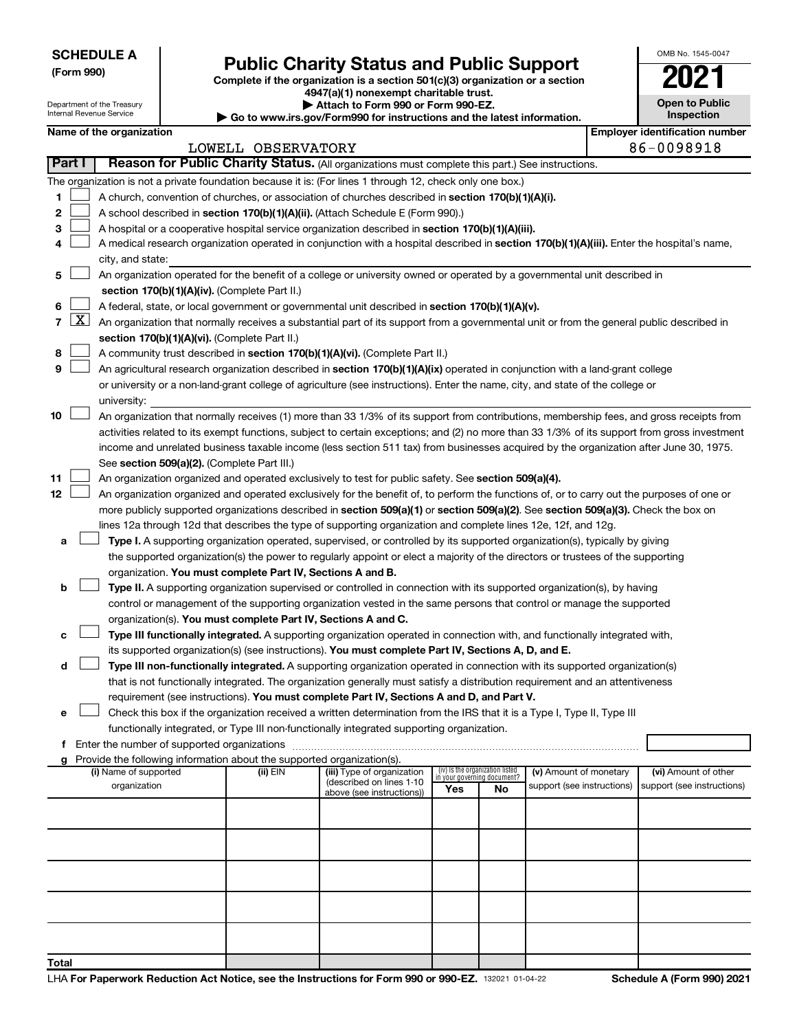| <b>SCHEDULE A</b> |
|-------------------|
|-------------------|

Department of the Treasury Internal Revenue Service

# Form 990)<br> **Complete if the organization is a section 501(c)(3) organization or a section**<br> **Public Charity Status and Public Support**

**4947(a)(1) nonexempt charitable trust. | Attach to Form 990 or Form 990-EZ.** 

**| Go to www.irs.gov/Form990 for instructions and the latest information.**

| OMB No 1545-0047                    |
|-------------------------------------|
| N)                                  |
| <b>Open to Public</b><br>Inspection |

|       |               | Name of the organization                                                                                                                                                                                            |                    |                                                                                                                     |                             |                                 |                            | <b>Employer identification number</b> |
|-------|---------------|---------------------------------------------------------------------------------------------------------------------------------------------------------------------------------------------------------------------|--------------------|---------------------------------------------------------------------------------------------------------------------|-----------------------------|---------------------------------|----------------------------|---------------------------------------|
|       | <b>Part I</b> |                                                                                                                                                                                                                     | LOWELL OBSERVATORY |                                                                                                                     |                             |                                 |                            | 86-0098918                            |
|       |               | Reason for Public Charity Status. (All organizations must complete this part.) See instructions.                                                                                                                    |                    |                                                                                                                     |                             |                                 |                            |                                       |
|       |               | The organization is not a private foundation because it is: (For lines 1 through 12, check only one box.)                                                                                                           |                    |                                                                                                                     |                             |                                 |                            |                                       |
| 1.    |               | A church, convention of churches, or association of churches described in section 170(b)(1)(A)(i).                                                                                                                  |                    |                                                                                                                     |                             |                                 |                            |                                       |
| 2     |               | A school described in section 170(b)(1)(A)(ii). (Attach Schedule E (Form 990).)                                                                                                                                     |                    |                                                                                                                     |                             |                                 |                            |                                       |
| з     |               | A hospital or a cooperative hospital service organization described in section 170(b)(1)(A)(iii).                                                                                                                   |                    |                                                                                                                     |                             |                                 |                            |                                       |
| 4     |               | A medical research organization operated in conjunction with a hospital described in section 170(b)(1)(A)(iii). Enter the hospital's name,                                                                          |                    |                                                                                                                     |                             |                                 |                            |                                       |
|       |               | city, and state:                                                                                                                                                                                                    |                    |                                                                                                                     |                             |                                 |                            |                                       |
| 5     |               | An organization operated for the benefit of a college or university owned or operated by a governmental unit described in                                                                                           |                    |                                                                                                                     |                             |                                 |                            |                                       |
|       |               | section 170(b)(1)(A)(iv). (Complete Part II.)<br>A federal, state, or local government or governmental unit described in section 170(b)(1)(A)(v).                                                                   |                    |                                                                                                                     |                             |                                 |                            |                                       |
| 6     |               | 7 $ X $ An organization that normally receives a substantial part of its support from a governmental unit or from the general public described in                                                                   |                    |                                                                                                                     |                             |                                 |                            |                                       |
|       |               | section 170(b)(1)(A)(vi). (Complete Part II.)                                                                                                                                                                       |                    |                                                                                                                     |                             |                                 |                            |                                       |
| 8     |               | A community trust described in section 170(b)(1)(A)(vi). (Complete Part II.)                                                                                                                                        |                    |                                                                                                                     |                             |                                 |                            |                                       |
| 9     |               | An agricultural research organization described in section 170(b)(1)(A)(ix) operated in conjunction with a land-grant college                                                                                       |                    |                                                                                                                     |                             |                                 |                            |                                       |
|       |               | or university or a non-land-grant college of agriculture (see instructions). Enter the name, city, and state of the college or                                                                                      |                    |                                                                                                                     |                             |                                 |                            |                                       |
|       |               | university:                                                                                                                                                                                                         |                    |                                                                                                                     |                             |                                 |                            |                                       |
| 10    |               | An organization that normally receives (1) more than 33 1/3% of its support from contributions, membership fees, and gross receipts from                                                                            |                    |                                                                                                                     |                             |                                 |                            |                                       |
|       |               | activities related to its exempt functions, subject to certain exceptions; and (2) no more than 33 1/3% of its support from gross investment                                                                        |                    |                                                                                                                     |                             |                                 |                            |                                       |
|       |               | income and unrelated business taxable income (less section 511 tax) from businesses acquired by the organization after June 30, 1975.                                                                               |                    |                                                                                                                     |                             |                                 |                            |                                       |
|       |               | See section 509(a)(2). (Complete Part III.)                                                                                                                                                                         |                    |                                                                                                                     |                             |                                 |                            |                                       |
| 11    |               | An organization organized and operated exclusively to test for public safety. See section 509(a)(4).                                                                                                                |                    |                                                                                                                     |                             |                                 |                            |                                       |
| 12    |               | An organization organized and operated exclusively for the benefit of, to perform the functions of, or to carry out the purposes of one or                                                                          |                    |                                                                                                                     |                             |                                 |                            |                                       |
|       |               | more publicly supported organizations described in section 509(a)(1) or section 509(a)(2). See section 509(a)(3). Check the box on                                                                                  |                    |                                                                                                                     |                             |                                 |                            |                                       |
|       |               | lines 12a through 12d that describes the type of supporting organization and complete lines 12e, 12f, and 12g.                                                                                                      |                    |                                                                                                                     |                             |                                 |                            |                                       |
| a     |               | Type I. A supporting organization operated, supervised, or controlled by its supported organization(s), typically by giving                                                                                         |                    |                                                                                                                     |                             |                                 |                            |                                       |
|       |               | the supported organization(s) the power to regularly appoint or elect a majority of the directors or trustees of the supporting                                                                                     |                    |                                                                                                                     |                             |                                 |                            |                                       |
|       |               | organization. You must complete Part IV, Sections A and B.                                                                                                                                                          |                    |                                                                                                                     |                             |                                 |                            |                                       |
| b     |               | Type II. A supporting organization supervised or controlled in connection with its supported organization(s), by having                                                                                             |                    |                                                                                                                     |                             |                                 |                            |                                       |
|       |               | control or management of the supporting organization vested in the same persons that control or manage the supported                                                                                                |                    |                                                                                                                     |                             |                                 |                            |                                       |
|       |               | organization(s). You must complete Part IV, Sections A and C.                                                                                                                                                       |                    |                                                                                                                     |                             |                                 |                            |                                       |
| с     |               | Type III functionally integrated. A supporting organization operated in connection with, and functionally integrated with,                                                                                          |                    |                                                                                                                     |                             |                                 |                            |                                       |
|       |               | its supported organization(s) (see instructions). You must complete Part IV, Sections A, D, and E.                                                                                                                  |                    |                                                                                                                     |                             |                                 |                            |                                       |
| d     |               | Type III non-functionally integrated. A supporting organization operated in connection with its supported organization(s)                                                                                           |                    |                                                                                                                     |                             |                                 |                            |                                       |
|       |               | that is not functionally integrated. The organization generally must satisfy a distribution requirement and an attentiveness                                                                                        |                    |                                                                                                                     |                             |                                 |                            |                                       |
|       |               | requirement (see instructions). You must complete Part IV, Sections A and D, and Part V.<br>Check this box if the organization received a written determination from the IRS that it is a Type I, Type II, Type III |                    |                                                                                                                     |                             |                                 |                            |                                       |
|       |               | functionally integrated, or Type III non-functionally integrated supporting organization.                                                                                                                           |                    |                                                                                                                     |                             |                                 |                            |                                       |
|       |               | f Enter the number of supported organizations                                                                                                                                                                       |                    | and the contract of the contract of the contract of the contract of the contract of the contract of the contract of |                             |                                 |                            |                                       |
|       |               | g Provide the following information about the supported organization(s).                                                                                                                                            |                    |                                                                                                                     |                             |                                 |                            |                                       |
|       |               | (i) Name of supported                                                                                                                                                                                               | (ii) $EIN$         | (iii) Type of organization                                                                                          | in your governing document? | (iv) Is the organization listed | (v) Amount of monetary     | (vi) Amount of other                  |
|       |               | organization                                                                                                                                                                                                        |                    | (described on lines 1-10<br>above (see instructions))                                                               | Yes                         | No                              | support (see instructions) | support (see instructions)            |
|       |               |                                                                                                                                                                                                                     |                    |                                                                                                                     |                             |                                 |                            |                                       |
|       |               |                                                                                                                                                                                                                     |                    |                                                                                                                     |                             |                                 |                            |                                       |
|       |               |                                                                                                                                                                                                                     |                    |                                                                                                                     |                             |                                 |                            |                                       |
|       |               |                                                                                                                                                                                                                     |                    |                                                                                                                     |                             |                                 |                            |                                       |
|       |               |                                                                                                                                                                                                                     |                    |                                                                                                                     |                             |                                 |                            |                                       |
|       |               |                                                                                                                                                                                                                     |                    |                                                                                                                     |                             |                                 |                            |                                       |
|       |               |                                                                                                                                                                                                                     |                    |                                                                                                                     |                             |                                 |                            |                                       |
|       |               |                                                                                                                                                                                                                     |                    |                                                                                                                     |                             |                                 |                            |                                       |
|       |               |                                                                                                                                                                                                                     |                    |                                                                                                                     |                             |                                 |                            |                                       |
|       |               |                                                                                                                                                                                                                     |                    |                                                                                                                     |                             |                                 |                            |                                       |
| Total |               |                                                                                                                                                                                                                     |                    |                                                                                                                     |                             |                                 |                            |                                       |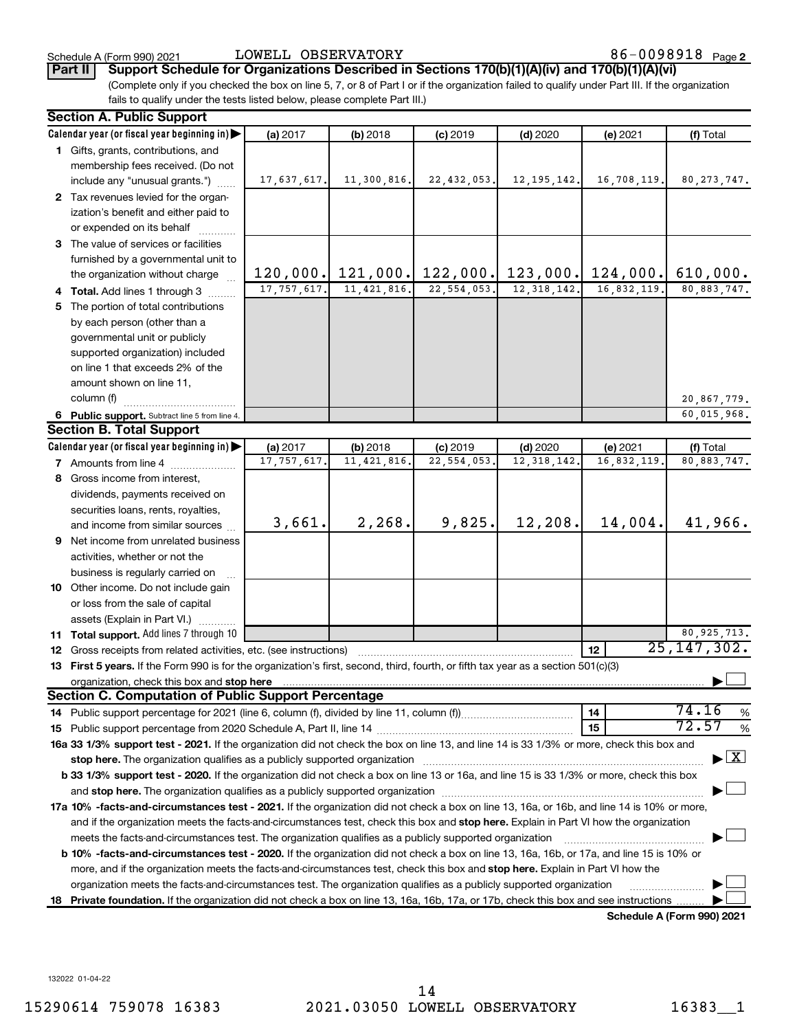Schedule A (Form 990) 2021  $\qquad \qquad {\rm LOWELL\,\,\, OBSERVATORY} \qquad \qquad 86-0098918$   $_{\rm Page}$ 

**Part II Support Schedule for Organizations Described in Sections 170(b)(1)(A)(iv) and 170(b)(1)(A)(vi)**

(Complete only if you checked the box on line 5, 7, or 8 of Part I or if the organization failed to qualify under Part III. If the organization fails to qualify under the tests listed below, please complete Part III.)

|    | <b>Section A. Public Support</b>                                                                                                                                                                                               |               |               |               |               |             |                                    |  |  |  |
|----|--------------------------------------------------------------------------------------------------------------------------------------------------------------------------------------------------------------------------------|---------------|---------------|---------------|---------------|-------------|------------------------------------|--|--|--|
|    | Calendar year (or fiscal year beginning in)                                                                                                                                                                                    | (a) 2017      | (b) 2018      | $(c)$ 2019    | $(d)$ 2020    | (e) 2021    | (f) Total                          |  |  |  |
|    | 1 Gifts, grants, contributions, and                                                                                                                                                                                            |               |               |               |               |             |                                    |  |  |  |
|    | membership fees received. (Do not                                                                                                                                                                                              |               |               |               |               |             |                                    |  |  |  |
|    | include any "unusual grants.")                                                                                                                                                                                                 | 17,637,617.   | 11,300,816.   | 22, 432, 053. | 12, 195, 142. | 16,708,119. | 80, 273, 747.                      |  |  |  |
|    | 2 Tax revenues levied for the organ-                                                                                                                                                                                           |               |               |               |               |             |                                    |  |  |  |
|    | ization's benefit and either paid to                                                                                                                                                                                           |               |               |               |               |             |                                    |  |  |  |
|    | or expended on its behalf                                                                                                                                                                                                      |               |               |               |               |             |                                    |  |  |  |
|    | 3 The value of services or facilities                                                                                                                                                                                          |               |               |               |               |             |                                    |  |  |  |
|    | furnished by a governmental unit to                                                                                                                                                                                            |               |               |               |               |             |                                    |  |  |  |
|    | the organization without charge                                                                                                                                                                                                | 120,000.      | 121,000.      | 122,000.      | 123,000.      | 124,000.    | 610,000.                           |  |  |  |
|    | 4 Total. Add lines 1 through 3                                                                                                                                                                                                 | 17, 757, 617. | 11, 421, 816. | 22, 554, 053. | 12, 318, 142. | 16,832,119. | 80,883,747.                        |  |  |  |
|    | 5 The portion of total contributions                                                                                                                                                                                           |               |               |               |               |             |                                    |  |  |  |
|    | by each person (other than a                                                                                                                                                                                                   |               |               |               |               |             |                                    |  |  |  |
|    | governmental unit or publicly                                                                                                                                                                                                  |               |               |               |               |             |                                    |  |  |  |
|    | supported organization) included                                                                                                                                                                                               |               |               |               |               |             |                                    |  |  |  |
|    | on line 1 that exceeds 2% of the                                                                                                                                                                                               |               |               |               |               |             |                                    |  |  |  |
|    | amount shown on line 11,                                                                                                                                                                                                       |               |               |               |               |             |                                    |  |  |  |
|    | column (f)                                                                                                                                                                                                                     |               |               |               |               |             | 20,867,779.                        |  |  |  |
|    | 6 Public support. Subtract line 5 from line 4.                                                                                                                                                                                 |               |               |               |               |             | 60,015,968.                        |  |  |  |
|    | <b>Section B. Total Support</b>                                                                                                                                                                                                |               |               |               |               |             |                                    |  |  |  |
|    | Calendar year (or fiscal year beginning in)                                                                                                                                                                                    | (a) 2017      | (b) 2018      | $(c)$ 2019    | $(d)$ 2020    | (e) 2021    | (f) Total                          |  |  |  |
|    | <b>7</b> Amounts from line 4                                                                                                                                                                                                   | 17, 757, 617  | 11, 421, 816  | 22,554,053    | 12, 318, 142  | 16,832,119  | 80,883,747.                        |  |  |  |
|    | 8 Gross income from interest,                                                                                                                                                                                                  |               |               |               |               |             |                                    |  |  |  |
|    | dividends, payments received on                                                                                                                                                                                                |               |               |               |               |             |                                    |  |  |  |
|    | securities loans, rents, royalties,                                                                                                                                                                                            |               |               |               |               |             |                                    |  |  |  |
|    | and income from similar sources                                                                                                                                                                                                | 3,661.        | 2,268.        | 9,825.        | 12,208.       | 14,004.     | 41,966.                            |  |  |  |
|    | 9 Net income from unrelated business                                                                                                                                                                                           |               |               |               |               |             |                                    |  |  |  |
|    | activities, whether or not the                                                                                                                                                                                                 |               |               |               |               |             |                                    |  |  |  |
|    | business is regularly carried on                                                                                                                                                                                               |               |               |               |               |             |                                    |  |  |  |
|    | 10 Other income. Do not include gain                                                                                                                                                                                           |               |               |               |               |             |                                    |  |  |  |
|    | or loss from the sale of capital                                                                                                                                                                                               |               |               |               |               |             |                                    |  |  |  |
|    | assets (Explain in Part VI.)                                                                                                                                                                                                   |               |               |               |               |             |                                    |  |  |  |
|    | 11 Total support. Add lines 7 through 10                                                                                                                                                                                       |               |               |               |               |             | 80, 925, 713.                      |  |  |  |
|    | <b>12</b> Gross receipts from related activities, etc. (see instructions)                                                                                                                                                      |               |               |               |               | 12          | $\overline{25}$ , 147, 302.        |  |  |  |
|    | 13 First 5 years. If the Form 990 is for the organization's first, second, third, fourth, or fifth tax year as a section 501(c)(3)                                                                                             |               |               |               |               |             |                                    |  |  |  |
|    |                                                                                                                                                                                                                                |               |               |               |               |             |                                    |  |  |  |
|    | <b>Section C. Computation of Public Support Percentage</b>                                                                                                                                                                     |               |               |               |               |             |                                    |  |  |  |
|    |                                                                                                                                                                                                                                |               |               |               |               | 14          | 74.16<br>%                         |  |  |  |
|    |                                                                                                                                                                                                                                |               |               |               |               | 15          | 72.57<br>%                         |  |  |  |
|    | 16a 33 1/3% support test - 2021. If the organization did not check the box on line 13, and line 14 is 33 1/3% or more, check this box and                                                                                      |               |               |               |               |             |                                    |  |  |  |
|    | stop here. The organization qualifies as a publicly supported organization manufaction manufacture or the organization manufacture or the organization manufacture or the organization manufacture or the state of the state o |               |               |               |               |             | $\blacktriangleright$ $\mathbf{X}$ |  |  |  |
|    | b 33 1/3% support test - 2020. If the organization did not check a box on line 13 or 16a, and line 15 is 33 1/3% or more, check this box                                                                                       |               |               |               |               |             |                                    |  |  |  |
|    |                                                                                                                                                                                                                                |               |               |               |               |             |                                    |  |  |  |
|    | 17a 10% -facts-and-circumstances test - 2021. If the organization did not check a box on line 13, 16a, or 16b, and line 14 is 10% or more,                                                                                     |               |               |               |               |             |                                    |  |  |  |
|    | and if the organization meets the facts-and-circumstances test, check this box and stop here. Explain in Part VI how the organization                                                                                          |               |               |               |               |             |                                    |  |  |  |
|    | meets the facts-and-circumstances test. The organization qualifies as a publicly supported organization                                                                                                                        |               |               |               |               |             |                                    |  |  |  |
|    | <b>b 10%</b> -facts-and-circumstances test - 2020. If the organization did not check a box on line 13, 16a, 16b, or 17a, and line 15 is 10% or                                                                                 |               |               |               |               |             |                                    |  |  |  |
|    | more, and if the organization meets the facts-and-circumstances test, check this box and stop here. Explain in Part VI how the                                                                                                 |               |               |               |               |             |                                    |  |  |  |
|    | organization meets the facts-and-circumstances test. The organization qualifies as a publicly supported organization                                                                                                           |               |               |               |               |             |                                    |  |  |  |
| 18 | Private foundation. If the organization did not check a box on line 13, 16a, 16b, 17a, or 17b, check this box and see instructions.                                                                                            |               |               |               |               |             |                                    |  |  |  |
|    |                                                                                                                                                                                                                                |               |               |               |               |             | Schedule A (Form 990) 2021         |  |  |  |

**Schedule A (Form 990) 2021**

132022 01-04-22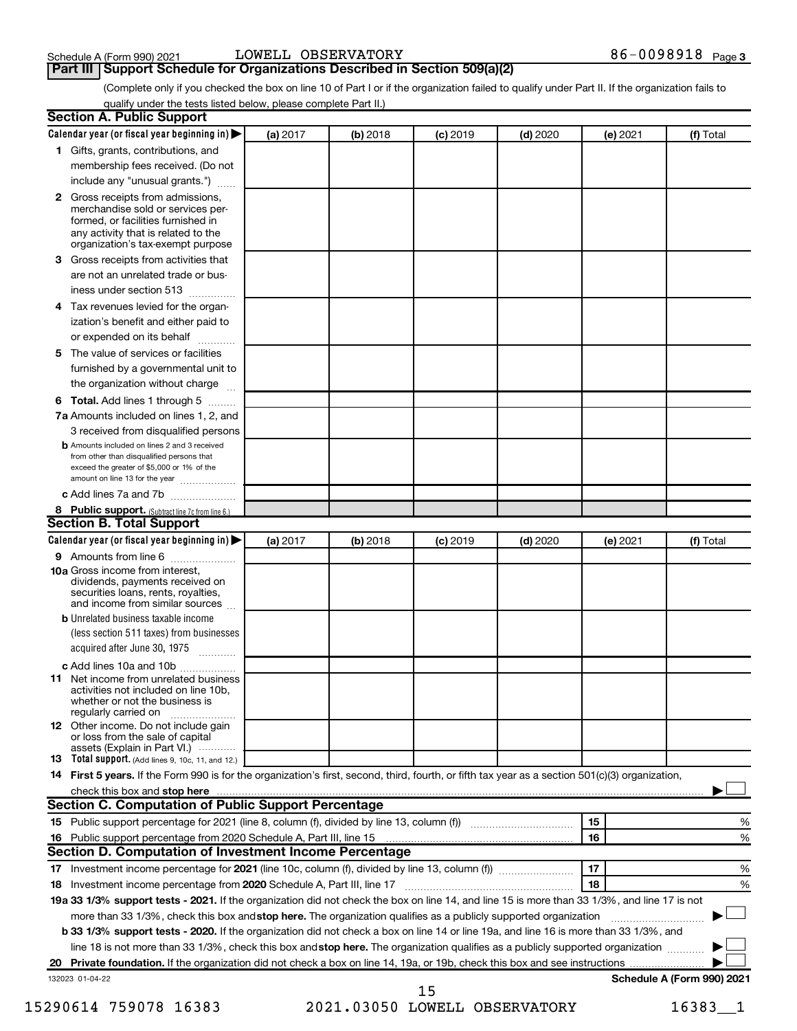# **Part III** | Support Schedule for Organizations Described in Section 509(a)(2) <br>**Part III** | Support Schedule for Organizations Described in Section 509(a)(2)

(Complete only if you checked the box on line 10 of Part I or if the organization failed to qualify under Part II. If the organization fails to qualify under the tests listed below, please complete Part II.)

| <b>Section A. Public Support</b>                                                                                                                                                                |          |            |            |            |          |                            |
|-------------------------------------------------------------------------------------------------------------------------------------------------------------------------------------------------|----------|------------|------------|------------|----------|----------------------------|
| Calendar year (or fiscal year beginning in)                                                                                                                                                     | (a) 2017 | (b) 2018   | $(c)$ 2019 | $(d)$ 2020 | (e) 2021 | (f) Total                  |
| 1 Gifts, grants, contributions, and                                                                                                                                                             |          |            |            |            |          |                            |
| membership fees received. (Do not                                                                                                                                                               |          |            |            |            |          |                            |
| include any "unusual grants.")                                                                                                                                                                  |          |            |            |            |          |                            |
| <b>2</b> Gross receipts from admissions,<br>merchandise sold or services per-<br>formed, or facilities furnished in<br>any activity that is related to the<br>organization's tax-exempt purpose |          |            |            |            |          |                            |
| 3 Gross receipts from activities that                                                                                                                                                           |          |            |            |            |          |                            |
| are not an unrelated trade or bus-                                                                                                                                                              |          |            |            |            |          |                            |
| iness under section 513                                                                                                                                                                         |          |            |            |            |          |                            |
| 4 Tax revenues levied for the organ-                                                                                                                                                            |          |            |            |            |          |                            |
| ization's benefit and either paid to                                                                                                                                                            |          |            |            |            |          |                            |
| or expended on its behalf                                                                                                                                                                       |          |            |            |            |          |                            |
| 5 The value of services or facilities                                                                                                                                                           |          |            |            |            |          |                            |
| furnished by a governmental unit to                                                                                                                                                             |          |            |            |            |          |                            |
| the organization without charge                                                                                                                                                                 |          |            |            |            |          |                            |
| 6 Total. Add lines 1 through 5                                                                                                                                                                  |          |            |            |            |          |                            |
| 7a Amounts included on lines 1, 2, and                                                                                                                                                          |          |            |            |            |          |                            |
| 3 received from disqualified persons                                                                                                                                                            |          |            |            |            |          |                            |
| <b>b</b> Amounts included on lines 2 and 3 received<br>from other than disqualified persons that<br>exceed the greater of \$5,000 or 1% of the<br>amount on line 13 for the year                |          |            |            |            |          |                            |
| c Add lines 7a and 7b                                                                                                                                                                           |          |            |            |            |          |                            |
| 8 Public support. (Subtract line 7c from line 6.)                                                                                                                                               |          |            |            |            |          |                            |
| <b>Section B. Total Support</b>                                                                                                                                                                 |          |            |            |            |          |                            |
| Calendar year (or fiscal year beginning in)                                                                                                                                                     | (a) 2017 | $(b)$ 2018 | $(c)$ 2019 | $(d)$ 2020 | (e) 2021 | (f) Total                  |
| 9 Amounts from line 6                                                                                                                                                                           |          |            |            |            |          |                            |
| <b>10a</b> Gross income from interest,<br>dividends, payments received on<br>securities loans, rents, royalties,<br>and income from similar sources                                             |          |            |            |            |          |                            |
| <b>b</b> Unrelated business taxable income                                                                                                                                                      |          |            |            |            |          |                            |
| (less section 511 taxes) from businesses<br>acquired after June 30, 1975                                                                                                                        |          |            |            |            |          |                            |
| c Add lines 10a and 10b                                                                                                                                                                         |          |            |            |            |          |                            |
| <b>11</b> Net income from unrelated business<br>activities not included on line 10b.<br>whether or not the business is<br>regularly carried on                                                  |          |            |            |            |          |                            |
| 12 Other income. Do not include gain<br>or loss from the sale of capital<br>assets (Explain in Part VI.)                                                                                        |          |            |            |            |          |                            |
| <b>13</b> Total support. (Add lines 9, 10c, 11, and 12.)                                                                                                                                        |          |            |            |            |          |                            |
| 14 First 5 years. If the Form 990 is for the organization's first, second, third, fourth, or fifth tax year as a section 501(c)(3) organization,                                                |          |            |            |            |          |                            |
| check this box and stop here <b>contained and the contained and starting and stop here</b> check this box and stop here                                                                         |          |            |            |            |          |                            |
| Section C. Computation of Public Support Percentage                                                                                                                                             |          |            |            |            |          |                            |
| 15 Public support percentage for 2021 (line 8, column (f), divided by line 13, column (f) <i></i>                                                                                               |          |            |            |            | 15       | ℅                          |
|                                                                                                                                                                                                 |          |            |            |            | 16       | %                          |
| Section D. Computation of Investment Income Percentage                                                                                                                                          |          |            |            |            |          |                            |
|                                                                                                                                                                                                 |          |            |            |            | 17       | %                          |
| 18 Investment income percentage from 2020 Schedule A, Part III, line 17                                                                                                                         |          |            |            |            | 18       | %                          |
| 19a 33 1/3% support tests - 2021. If the organization did not check the box on line 14, and line 15 is more than 33 1/3%, and line 17 is not                                                    |          |            |            |            |          |                            |
| more than 33 1/3%, check this box and stop here. The organization qualifies as a publicly supported organization                                                                                |          |            |            |            |          |                            |
| <b>b 33 1/3% support tests - 2020.</b> If the organization did not check a box on line 14 or line 19a, and line 16 is more than 33 1/3%, and                                                    |          |            |            |            |          |                            |
| line 18 is not more than 33 1/3%, check this box and stop here. The organization qualifies as a publicly supported organization                                                                 |          |            |            |            |          |                            |
|                                                                                                                                                                                                 |          |            |            |            |          |                            |
| 132023 01-04-22                                                                                                                                                                                 |          |            |            |            |          | Schedule A (Form 990) 2021 |
|                                                                                                                                                                                                 |          |            | 15         |            |          |                            |

15290614 759078 16383 2021.03050 LOWELL OBSERVATORY 16383\_\_1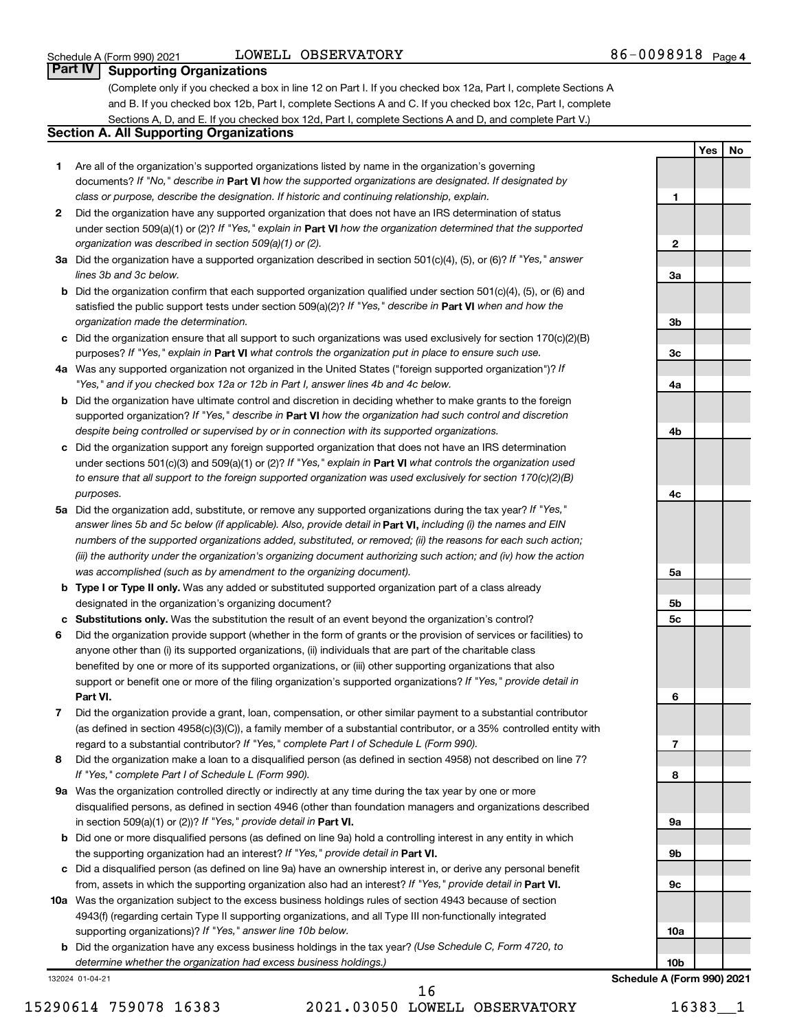### LOWELL OBSERVATORY

**1**

**2**

**3a**

**3b**

**3c**

**4a**

**4b**

**4c**

**5a**

**5b 5c**

**6**

**7**

**8**

**9a**

**9b**

**9c**

**10a**

**10b**

**Schedule A (Form 990) 2021**

**Yes No**

### **Part IV Supporting Organizations**

(Complete only if you checked a box in line 12 on Part I. If you checked box 12a, Part I, complete Sections A and B. If you checked box 12b, Part I, complete Sections A and C. If you checked box 12c, Part I, complete Sections A, D, and E. If you checked box 12d, Part I, complete Sections A and D, and complete Part V.)

### **Section A. All Supporting Organizations**

- **1** Are all of the organization's supported organizations listed by name in the organization's governing documents? If "No," describe in Part VI how the supported organizations are designated. If designated by *class or purpose, describe the designation. If historic and continuing relationship, explain.*
- **2** Did the organization have any supported organization that does not have an IRS determination of status under section 509(a)(1) or (2)? If "Yes," explain in Part **VI** how the organization determined that the supported *organization was described in section 509(a)(1) or (2).*
- **3a** Did the organization have a supported organization described in section 501(c)(4), (5), or (6)? If "Yes," answer *lines 3b and 3c below.*
- **b** Did the organization confirm that each supported organization qualified under section 501(c)(4), (5), or (6) and satisfied the public support tests under section 509(a)(2)? If "Yes," describe in Part VI when and how the *organization made the determination.*
- **c** Did the organization ensure that all support to such organizations was used exclusively for section 170(c)(2)(B) purposes? If "Yes," explain in Part VI what controls the organization put in place to ensure such use.
- **4 a** *If* Was any supported organization not organized in the United States ("foreign supported organization")? *"Yes," and if you checked box 12a or 12b in Part I, answer lines 4b and 4c below.*
- **b** Did the organization have ultimate control and discretion in deciding whether to make grants to the foreign supported organization? If "Yes," describe in Part VI how the organization had such control and discretion *despite being controlled or supervised by or in connection with its supported organizations.*
- **c** Did the organization support any foreign supported organization that does not have an IRS determination under sections 501(c)(3) and 509(a)(1) or (2)? If "Yes," explain in Part VI what controls the organization used *to ensure that all support to the foreign supported organization was used exclusively for section 170(c)(2)(B) purposes.*
- **5a** Did the organization add, substitute, or remove any supported organizations during the tax year? If "Yes," answer lines 5b and 5c below (if applicable). Also, provide detail in **Part VI,** including (i) the names and EIN *numbers of the supported organizations added, substituted, or removed; (ii) the reasons for each such action; (iii) the authority under the organization's organizing document authorizing such action; and (iv) how the action was accomplished (such as by amendment to the organizing document).*
- **b Type I or Type II only.** Was any added or substituted supported organization part of a class already designated in the organization's organizing document?
- **c Substitutions only.**  Was the substitution the result of an event beyond the organization's control?
- **6** Did the organization provide support (whether in the form of grants or the provision of services or facilities) to **Part VI.** support or benefit one or more of the filing organization's supported organizations? If "Yes," provide detail in anyone other than (i) its supported organizations, (ii) individuals that are part of the charitable class benefited by one or more of its supported organizations, or (iii) other supporting organizations that also
- **7** Did the organization provide a grant, loan, compensation, or other similar payment to a substantial contributor regard to a substantial contributor? If "Yes," complete Part I of Schedule L (Form 990). (as defined in section 4958(c)(3)(C)), a family member of a substantial contributor, or a 35% controlled entity with
- **8** Did the organization make a loan to a disqualified person (as defined in section 4958) not described on line 7? *If "Yes," complete Part I of Schedule L (Form 990).*
- **9 a** Was the organization controlled directly or indirectly at any time during the tax year by one or more in section 509(a)(1) or (2))? If "Yes," provide detail in **Part VI.** disqualified persons, as defined in section 4946 (other than foundation managers and organizations described
- **b** Did one or more disqualified persons (as defined on line 9a) hold a controlling interest in any entity in which the supporting organization had an interest? If "Yes," provide detail in Part VI.
- **c** Did a disqualified person (as defined on line 9a) have an ownership interest in, or derive any personal benefit from, assets in which the supporting organization also had an interest? If "Yes," provide detail in Part VI.
- **10 a** Was the organization subject to the excess business holdings rules of section 4943 because of section supporting organizations)? If "Yes," answer line 10b below. 4943(f) (regarding certain Type II supporting organizations, and all Type III non-functionally integrated
	- **b** Did the organization have any excess business holdings in the tax year? (Use Schedule C, Form 4720, to *determine whether the organization had excess business holdings.)*

132024 01-04-21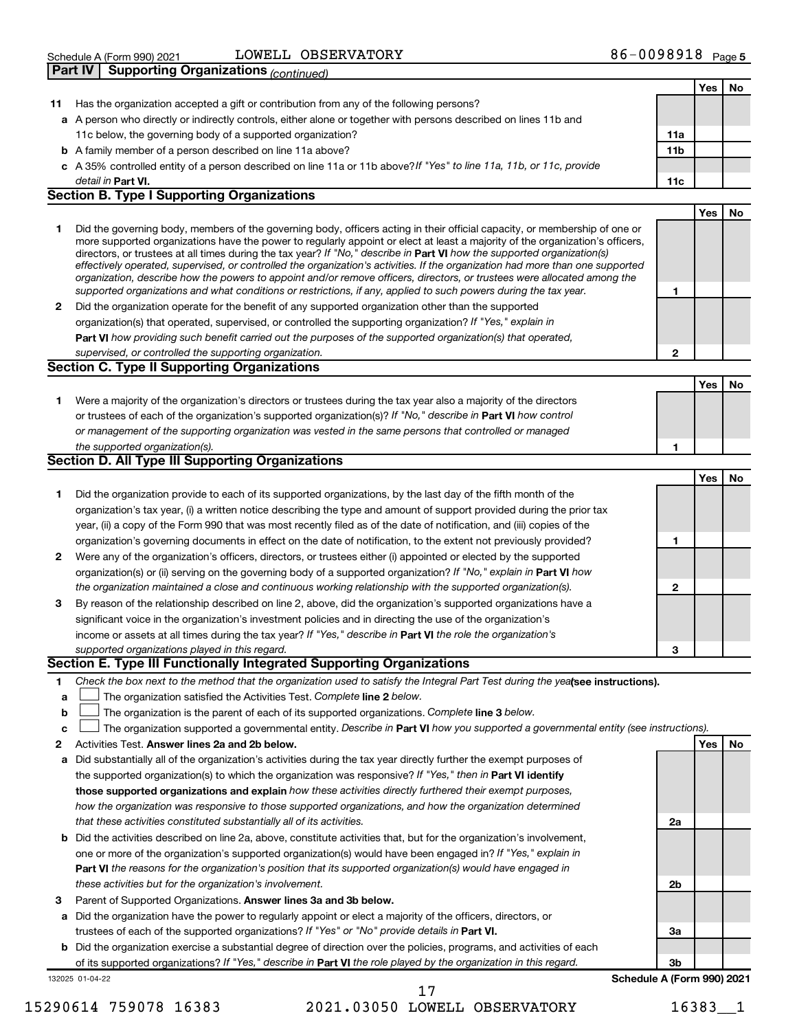| Schedule A (Form 990) 2021<br>D <sub>out</sub> W <sub>0</sub> |                              | Page 5     |
|---------------------------------------------------------------|------------------------------|------------|
|                                                               | <b>OBSERVATORY</b><br>LOWELL | 86-0098918 |

|     | Part IV<br>Supporting Organizations <sub>(continued)</sub>                                                                                                                                                                                                  |                 |     |    |
|-----|-------------------------------------------------------------------------------------------------------------------------------------------------------------------------------------------------------------------------------------------------------------|-----------------|-----|----|
|     |                                                                                                                                                                                                                                                             |                 | Yes | No |
| 11. | Has the organization accepted a gift or contribution from any of the following persons?                                                                                                                                                                     |                 |     |    |
|     | a A person who directly or indirectly controls, either alone or together with persons described on lines 11b and                                                                                                                                            |                 |     |    |
|     | 11c below, the governing body of a supported organization?                                                                                                                                                                                                  | 11a             |     |    |
|     | <b>b</b> A family member of a person described on line 11a above?                                                                                                                                                                                           | 11 <sub>b</sub> |     |    |
|     | c A 35% controlled entity of a person described on line 11a or 11b above? If "Yes" to line 11a, 11b, or 11c, provide                                                                                                                                        |                 |     |    |
|     | detail in Part VI.                                                                                                                                                                                                                                          | 11c             |     |    |
|     | <b>Section B. Type I Supporting Organizations</b>                                                                                                                                                                                                           |                 |     |    |
|     |                                                                                                                                                                                                                                                             |                 | Yes | No |
| 1   | Did the governing body, members of the governing body, officers acting in their official capacity, or membership of one or<br>more supported organizations have the power to regularly appoint or elect at least a majority of the organization's officers, |                 |     |    |
|     | directors, or trustees at all times during the tax year? If "No," describe in Part VI how the supported organization(s)                                                                                                                                     |                 |     |    |
|     | effectively operated, supervised, or controlled the organization's activities. If the organization had more than one supported                                                                                                                              |                 |     |    |
|     | organization, describe how the powers to appoint and/or remove officers, directors, or trustees were allocated among the                                                                                                                                    |                 |     |    |
|     | supported organizations and what conditions or restrictions, if any, applied to such powers during the tax year.                                                                                                                                            | 1               |     |    |
| 2   | Did the organization operate for the benefit of any supported organization other than the supported                                                                                                                                                         |                 |     |    |
|     | organization(s) that operated, supervised, or controlled the supporting organization? If "Yes," explain in                                                                                                                                                  |                 |     |    |
|     | Part VI how providing such benefit carried out the purposes of the supported organization(s) that operated,                                                                                                                                                 |                 |     |    |
|     | supervised, or controlled the supporting organization.                                                                                                                                                                                                      | 2               |     |    |
|     | Section C. Type II Supporting Organizations                                                                                                                                                                                                                 |                 |     |    |
|     |                                                                                                                                                                                                                                                             |                 | Yes | No |
| 1   | Were a majority of the organization's directors or trustees during the tax year also a majority of the directors                                                                                                                                            |                 |     |    |
|     | or trustees of each of the organization's supported organization(s)? If "No," describe in Part VI how control                                                                                                                                               |                 |     |    |
|     | or management of the supporting organization was vested in the same persons that controlled or managed                                                                                                                                                      |                 |     |    |
|     | the supported organization(s).                                                                                                                                                                                                                              | 1               |     |    |
|     | <b>Section D. All Type III Supporting Organizations</b>                                                                                                                                                                                                     |                 |     |    |
|     |                                                                                                                                                                                                                                                             |                 | Yes | No |
| 1   | Did the organization provide to each of its supported organizations, by the last day of the fifth month of the                                                                                                                                              |                 |     |    |
|     | organization's tax year, (i) a written notice describing the type and amount of support provided during the prior tax                                                                                                                                       |                 |     |    |
|     | year, (ii) a copy of the Form 990 that was most recently filed as of the date of notification, and (iii) copies of the                                                                                                                                      |                 |     |    |
|     | organization's governing documents in effect on the date of notification, to the extent not previously provided?                                                                                                                                            | 1               |     |    |
| 2   | Were any of the organization's officers, directors, or trustees either (i) appointed or elected by the supported                                                                                                                                            |                 |     |    |
|     | organization(s) or (ii) serving on the governing body of a supported organization? If "No," explain in Part VI how                                                                                                                                          |                 |     |    |
|     | the organization maintained a close and continuous working relationship with the supported organization(s).                                                                                                                                                 | 2               |     |    |
| 3   | By reason of the relationship described on line 2, above, did the organization's supported organizations have a                                                                                                                                             |                 |     |    |
|     | significant voice in the organization's investment policies and in directing the use of the organization's                                                                                                                                                  |                 |     |    |
|     | income or assets at all times during the tax year? If "Yes," describe in Part VI the role the organization's                                                                                                                                                |                 |     |    |
|     | supported organizations played in this regard.                                                                                                                                                                                                              | З               |     |    |
|     | Section E. Type III Functionally Integrated Supporting Organizations                                                                                                                                                                                        |                 |     |    |
| 1   | Check the box next to the method that the organization used to satisfy the Integral Part Test during the yealsee instructions).                                                                                                                             |                 |     |    |
| a   | The organization satisfied the Activities Test. Complete line 2 below.                                                                                                                                                                                      |                 |     |    |
| b   | The organization is the parent of each of its supported organizations. Complete line 3 below.                                                                                                                                                               |                 |     |    |
| с   | The organization supported a governmental entity. Describe in Part VI how you supported a governmental entity (see instructions).                                                                                                                           |                 |     |    |
| 2   | Activities Test. Answer lines 2a and 2b below.                                                                                                                                                                                                              |                 | Yes | No |
| а   | Did substantially all of the organization's activities during the tax year directly further the exempt purposes of                                                                                                                                          |                 |     |    |
|     | the supported organization(s) to which the organization was responsive? If "Yes," then in Part VI identify                                                                                                                                                  |                 |     |    |
|     | those supported organizations and explain how these activities directly furthered their exempt purposes,                                                                                                                                                    |                 |     |    |
|     | how the organization was responsive to those supported organizations, and how the organization determined                                                                                                                                                   |                 |     |    |
|     | that these activities constituted substantially all of its activities.                                                                                                                                                                                      | 2a              |     |    |
|     | <b>b</b> Did the activities described on line 2a, above, constitute activities that, but for the organization's involvement,                                                                                                                                |                 |     |    |
|     | one or more of the organization's supported organization(s) would have been engaged in? If "Yes," explain in                                                                                                                                                |                 |     |    |
|     | Part VI the reasons for the organization's position that its supported organization(s) would have engaged in                                                                                                                                                |                 |     |    |
|     | these activities but for the organization's involvement.                                                                                                                                                                                                    | 2b              |     |    |
| з   | Parent of Supported Organizations. Answer lines 3a and 3b below.                                                                                                                                                                                            |                 |     |    |
|     | a Did the organization have the power to regularly appoint or elect a majority of the officers, directors, or                                                                                                                                               |                 |     |    |
|     | trustees of each of the supported organizations? If "Yes" or "No" provide details in Part VI.                                                                                                                                                               | За              |     |    |

**b** Did the organization exercise a substantial degree of direction over the policies, programs, and activities of each of its supported organizations? If "Yes," describe in Part VI the role played by the organization in this regard.

132025 01-04-22

15290614 759078 16383 2021.03050 LOWELL OBSERVATORY 16383\_\_1 17

**3b**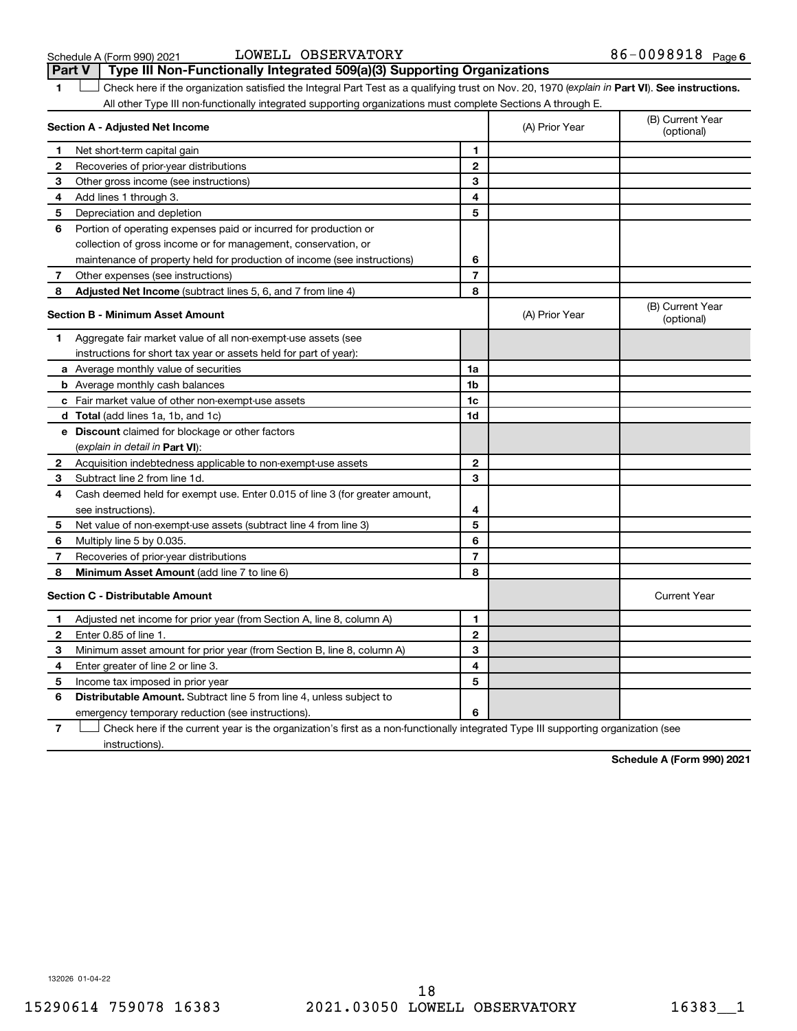#### Schedule A (Form 990) 2021 Page LOWELL OBSERVATORY 86-0098918

|              | Type III Non-Functionally Integrated 509(a)(3) Supporting Organizations<br><b>Part V</b>                                                       |                         |                |                                |
|--------------|------------------------------------------------------------------------------------------------------------------------------------------------|-------------------------|----------------|--------------------------------|
| 1            | Check here if the organization satisfied the Integral Part Test as a qualifying trust on Nov. 20, 1970 (explain in Part VI). See instructions. |                         |                |                                |
|              | All other Type III non-functionally integrated supporting organizations must complete Sections A through E.                                    |                         |                |                                |
|              | Section A - Adjusted Net Income                                                                                                                |                         | (A) Prior Year | (B) Current Year<br>(optional) |
| 1            | Net short-term capital gain                                                                                                                    | 1                       |                |                                |
| 2            | Recoveries of prior-year distributions                                                                                                         | $\overline{\mathbf{c}}$ |                |                                |
| 3            | Other gross income (see instructions)                                                                                                          | 3                       |                |                                |
| 4            | Add lines 1 through 3.                                                                                                                         | 4                       |                |                                |
| 5            | Depreciation and depletion                                                                                                                     | 5                       |                |                                |
| 6            | Portion of operating expenses paid or incurred for production or                                                                               |                         |                |                                |
|              | collection of gross income or for management, conservation, or                                                                                 |                         |                |                                |
|              | maintenance of property held for production of income (see instructions)                                                                       | 6                       |                |                                |
| 7            | Other expenses (see instructions)                                                                                                              | $\overline{7}$          |                |                                |
| 8            | Adjusted Net Income (subtract lines 5, 6, and 7 from line 4)                                                                                   | 8                       |                |                                |
|              | <b>Section B - Minimum Asset Amount</b>                                                                                                        |                         | (A) Prior Year | (B) Current Year<br>(optional) |
| 1.           | Aggregate fair market value of all non-exempt-use assets (see                                                                                  |                         |                |                                |
|              | instructions for short tax year or assets held for part of year):                                                                              |                         |                |                                |
|              | <b>a</b> Average monthly value of securities                                                                                                   | 1a                      |                |                                |
|              | <b>b</b> Average monthly cash balances                                                                                                         | 1 <sub>b</sub>          |                |                                |
|              | <b>c</b> Fair market value of other non-exempt-use assets                                                                                      | $1c$                    |                |                                |
|              | <b>d</b> Total (add lines 1a, 1b, and 1c)                                                                                                      | 1d                      |                |                                |
|              | e Discount claimed for blockage or other factors                                                                                               |                         |                |                                |
|              | (explain in detail in <b>Part VI</b> ):                                                                                                        |                         |                |                                |
| 2            | Acquisition indebtedness applicable to non-exempt-use assets                                                                                   | $\mathbf{2}$            |                |                                |
| 3            | Subtract line 2 from line 1d.                                                                                                                  | 3                       |                |                                |
| 4            | Cash deemed held for exempt use. Enter 0.015 of line 3 (for greater amount,                                                                    |                         |                |                                |
|              | see instructions).                                                                                                                             | 4                       |                |                                |
| 5            | Net value of non-exempt-use assets (subtract line 4 from line 3)                                                                               | 5                       |                |                                |
| 6            | Multiply line 5 by 0.035.                                                                                                                      | 6                       |                |                                |
| 7            | Recoveries of prior-year distributions                                                                                                         | 7                       |                |                                |
| 8            | Minimum Asset Amount (add line 7 to line 6)                                                                                                    | 8                       |                |                                |
|              | <b>Section C - Distributable Amount</b>                                                                                                        |                         |                | <b>Current Year</b>            |
| 1            | Adjusted net income for prior year (from Section A, line 8, column A)                                                                          | 1                       |                |                                |
| $\mathbf{2}$ | Enter 0.85 of line 1.                                                                                                                          | $\mathbf{2}$            |                |                                |
| 3            | Minimum asset amount for prior year (from Section B, line 8, column A)                                                                         | 3                       |                |                                |
| 4            | Enter greater of line 2 or line 3.                                                                                                             | 4                       |                |                                |
| 5            | Income tax imposed in prior year                                                                                                               | 5                       |                |                                |
| 6            | <b>Distributable Amount.</b> Subtract line 5 from line 4, unless subject to                                                                    |                         |                |                                |
|              | emergency temporary reduction (see instructions).                                                                                              | 6                       |                |                                |
|              |                                                                                                                                                |                         |                |                                |

**7** Let Check here if the current year is the organization's first as a non-functionally integrated Type III supporting organization (see instructions).

**Schedule A (Form 990) 2021**

132026 01-04-22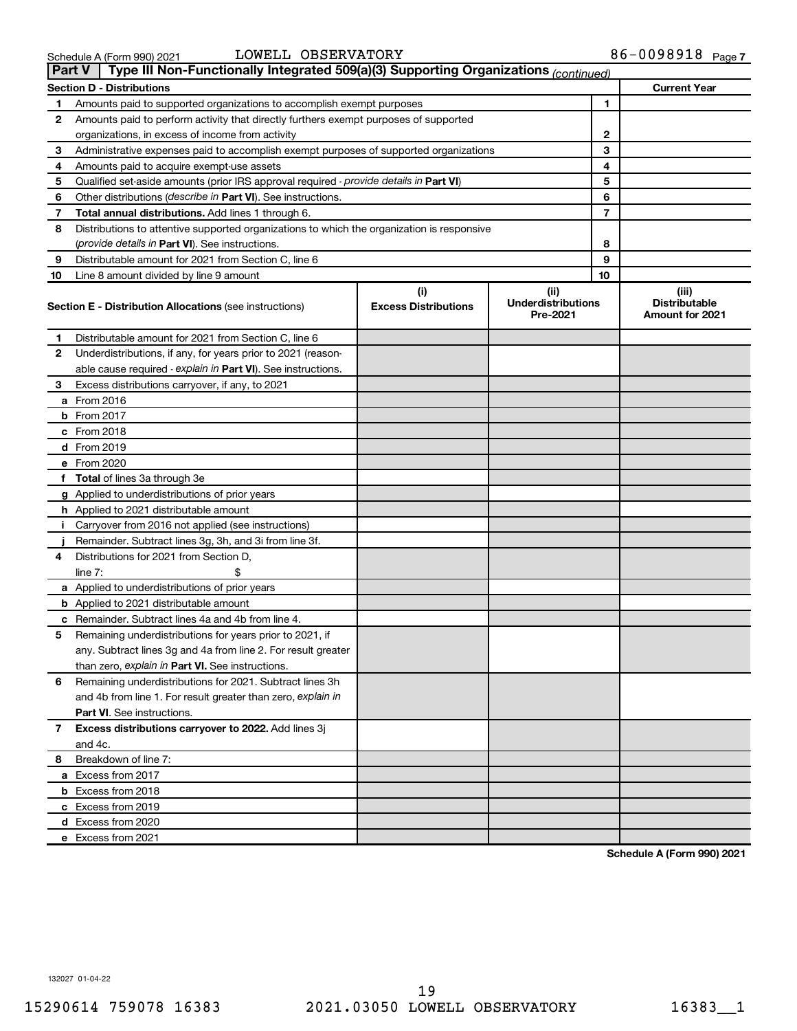19

| Schedule A (Form 990) 2021 | LOWELL OBSERVATORY |                                                                                                   | $86 - 0098918$ Page 7 |  |
|----------------------------|--------------------|---------------------------------------------------------------------------------------------------|-----------------------|--|
|                            |                    | Part V   Type III Non-Functionally Integrated 509(a)(3) Supporting Organizations $_{(continued)}$ |                       |  |

|    | Type III Non-Functionally Integrated 509(a)(3) Supporting Organizations (continued)<br><b>Part V</b> |                                    |                                               |                                                         |  |
|----|------------------------------------------------------------------------------------------------------|------------------------------------|-----------------------------------------------|---------------------------------------------------------|--|
|    | <b>Section D - Distributions</b>                                                                     |                                    |                                               | <b>Current Year</b>                                     |  |
| 1  | Amounts paid to supported organizations to accomplish exempt purposes                                |                                    | 1                                             |                                                         |  |
| 2  | Amounts paid to perform activity that directly furthers exempt purposes of supported                 |                                    |                                               |                                                         |  |
|    | organizations, in excess of income from activity                                                     |                                    | 2                                             |                                                         |  |
| 3  | Administrative expenses paid to accomplish exempt purposes of supported organizations                | 3                                  |                                               |                                                         |  |
| 4  | Amounts paid to acquire exempt-use assets                                                            | 4                                  |                                               |                                                         |  |
| 5  | Qualified set-aside amounts (prior IRS approval required - provide details in Part VI)               |                                    | 5                                             |                                                         |  |
| 6  | Other distributions ( <i>describe in Part VI</i> ). See instructions.                                |                                    | 6                                             |                                                         |  |
| 7  | Total annual distributions. Add lines 1 through 6.                                                   |                                    | 7                                             |                                                         |  |
| 8  | Distributions to attentive supported organizations to which the organization is responsive           |                                    |                                               |                                                         |  |
|    | (provide details in Part VI). See instructions.                                                      |                                    | 8                                             |                                                         |  |
| 9  | Distributable amount for 2021 from Section C, line 6                                                 |                                    | 9                                             |                                                         |  |
| 10 | Line 8 amount divided by line 9 amount                                                               |                                    | 10                                            |                                                         |  |
|    | <b>Section E - Distribution Allocations (see instructions)</b>                                       | (i)<br><b>Excess Distributions</b> | (ii)<br><b>Underdistributions</b><br>Pre-2021 | (iii)<br><b>Distributable</b><br><b>Amount for 2021</b> |  |
| 1  | Distributable amount for 2021 from Section C, line 6                                                 |                                    |                                               |                                                         |  |
| 2  | Underdistributions, if any, for years prior to 2021 (reason-                                         |                                    |                                               |                                                         |  |
|    | able cause required - explain in Part VI). See instructions.                                         |                                    |                                               |                                                         |  |
| 3  | Excess distributions carryover, if any, to 2021                                                      |                                    |                                               |                                                         |  |
|    | a From 2016                                                                                          |                                    |                                               |                                                         |  |
|    | <b>b</b> From 2017                                                                                   |                                    |                                               |                                                         |  |
|    | c From 2018                                                                                          |                                    |                                               |                                                         |  |
|    | d From 2019                                                                                          |                                    |                                               |                                                         |  |
|    | e From 2020                                                                                          |                                    |                                               |                                                         |  |
|    | f Total of lines 3a through 3e                                                                       |                                    |                                               |                                                         |  |
|    | g Applied to underdistributions of prior years                                                       |                                    |                                               |                                                         |  |
|    | <b>h</b> Applied to 2021 distributable amount                                                        |                                    |                                               |                                                         |  |
| Τ. | Carryover from 2016 not applied (see instructions)                                                   |                                    |                                               |                                                         |  |
|    | Remainder. Subtract lines 3g, 3h, and 3i from line 3f.                                               |                                    |                                               |                                                         |  |
| 4  | Distributions for 2021 from Section D,                                                               |                                    |                                               |                                                         |  |
|    | line $7:$                                                                                            |                                    |                                               |                                                         |  |
|    | a Applied to underdistributions of prior years                                                       |                                    |                                               |                                                         |  |
|    | <b>b</b> Applied to 2021 distributable amount                                                        |                                    |                                               |                                                         |  |
|    | <b>c</b> Remainder. Subtract lines 4a and 4b from line 4.                                            |                                    |                                               |                                                         |  |
| 5  | Remaining underdistributions for years prior to 2021, if                                             |                                    |                                               |                                                         |  |
|    | any. Subtract lines 3g and 4a from line 2. For result greater                                        |                                    |                                               |                                                         |  |
|    | than zero, explain in Part VI. See instructions.                                                     |                                    |                                               |                                                         |  |
| 6  | Remaining underdistributions for 2021. Subtract lines 3h                                             |                                    |                                               |                                                         |  |
|    | and 4b from line 1. For result greater than zero, explain in                                         |                                    |                                               |                                                         |  |
|    | <b>Part VI.</b> See instructions.                                                                    |                                    |                                               |                                                         |  |
| 7  | Excess distributions carryover to 2022. Add lines 3j                                                 |                                    |                                               |                                                         |  |
|    | and 4c.                                                                                              |                                    |                                               |                                                         |  |
| 8  | Breakdown of line 7:                                                                                 |                                    |                                               |                                                         |  |
|    | a Excess from 2017                                                                                   |                                    |                                               |                                                         |  |
|    | <b>b</b> Excess from 2018                                                                            |                                    |                                               |                                                         |  |
|    | c Excess from 2019                                                                                   |                                    |                                               |                                                         |  |
|    | d Excess from 2020                                                                                   |                                    |                                               |                                                         |  |
|    | e Excess from 2021                                                                                   |                                    |                                               |                                                         |  |

**Schedule A (Form 990) 2021**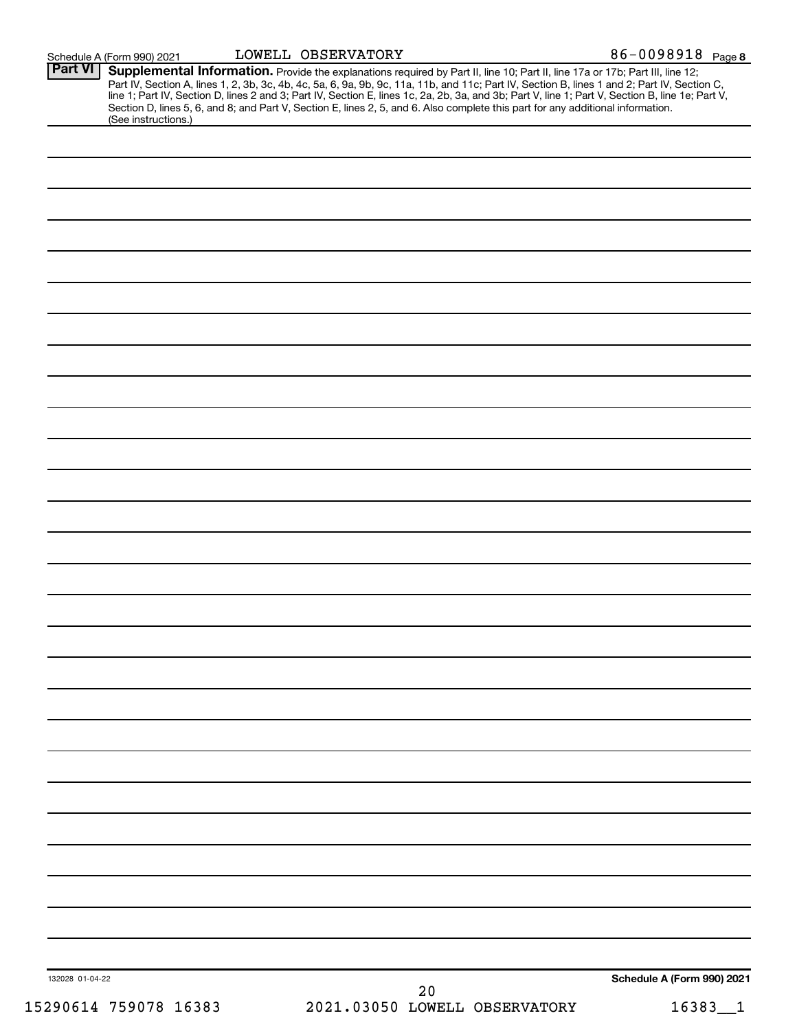|                 | Schedule A (Form 990) 2021 | LOWELL OBSERVATORY |                                                                                                                                                                                                                                                                                                                                                                                                                                                                                                                                                                      | 86-0098918 Page 8          |  |
|-----------------|----------------------------|--------------------|----------------------------------------------------------------------------------------------------------------------------------------------------------------------------------------------------------------------------------------------------------------------------------------------------------------------------------------------------------------------------------------------------------------------------------------------------------------------------------------------------------------------------------------------------------------------|----------------------------|--|
| <b>Part VI</b>  | (See instructions.)        |                    | Supplemental Information. Provide the explanations required by Part II, line 10; Part II, line 17a or 17b; Part III, line 12;<br>Part IV, Section A, lines 1, 2, 3b, 3c, 4b, 4c, 5a, 6, 9a, 9b, 9c, 11a, 11b, and 11c; Part IV, Section B, lines 1 and 2; Part IV, Section C,<br>line 1; Part IV, Section D, lines 2 and 3; Part IV, Section E, lines 1c, 2a, 2b, 3a, and 3b; Part V, line 1; Part V, Section B, line 1e; Part V,<br>Section D, lines 5, 6, and 8; and Part V, Section E, lines 2, 5, and 6. Also complete this part for any additional information. |                            |  |
|                 |                            |                    |                                                                                                                                                                                                                                                                                                                                                                                                                                                                                                                                                                      |                            |  |
|                 |                            |                    |                                                                                                                                                                                                                                                                                                                                                                                                                                                                                                                                                                      |                            |  |
|                 |                            |                    |                                                                                                                                                                                                                                                                                                                                                                                                                                                                                                                                                                      |                            |  |
|                 |                            |                    |                                                                                                                                                                                                                                                                                                                                                                                                                                                                                                                                                                      |                            |  |
|                 |                            |                    |                                                                                                                                                                                                                                                                                                                                                                                                                                                                                                                                                                      |                            |  |
|                 |                            |                    |                                                                                                                                                                                                                                                                                                                                                                                                                                                                                                                                                                      |                            |  |
|                 |                            |                    |                                                                                                                                                                                                                                                                                                                                                                                                                                                                                                                                                                      |                            |  |
|                 |                            |                    |                                                                                                                                                                                                                                                                                                                                                                                                                                                                                                                                                                      |                            |  |
|                 |                            |                    |                                                                                                                                                                                                                                                                                                                                                                                                                                                                                                                                                                      |                            |  |
|                 |                            |                    |                                                                                                                                                                                                                                                                                                                                                                                                                                                                                                                                                                      |                            |  |
|                 |                            |                    |                                                                                                                                                                                                                                                                                                                                                                                                                                                                                                                                                                      |                            |  |
|                 |                            |                    |                                                                                                                                                                                                                                                                                                                                                                                                                                                                                                                                                                      |                            |  |
|                 |                            |                    |                                                                                                                                                                                                                                                                                                                                                                                                                                                                                                                                                                      |                            |  |
|                 |                            |                    |                                                                                                                                                                                                                                                                                                                                                                                                                                                                                                                                                                      |                            |  |
|                 |                            |                    |                                                                                                                                                                                                                                                                                                                                                                                                                                                                                                                                                                      |                            |  |
|                 |                            |                    |                                                                                                                                                                                                                                                                                                                                                                                                                                                                                                                                                                      |                            |  |
|                 |                            |                    |                                                                                                                                                                                                                                                                                                                                                                                                                                                                                                                                                                      |                            |  |
|                 |                            |                    |                                                                                                                                                                                                                                                                                                                                                                                                                                                                                                                                                                      |                            |  |
|                 |                            |                    |                                                                                                                                                                                                                                                                                                                                                                                                                                                                                                                                                                      |                            |  |
|                 |                            |                    |                                                                                                                                                                                                                                                                                                                                                                                                                                                                                                                                                                      |                            |  |
|                 |                            |                    |                                                                                                                                                                                                                                                                                                                                                                                                                                                                                                                                                                      |                            |  |
|                 |                            |                    |                                                                                                                                                                                                                                                                                                                                                                                                                                                                                                                                                                      |                            |  |
| 132028 01-04-22 |                            |                    | 20                                                                                                                                                                                                                                                                                                                                                                                                                                                                                                                                                                   | Schedule A (Form 990) 2021 |  |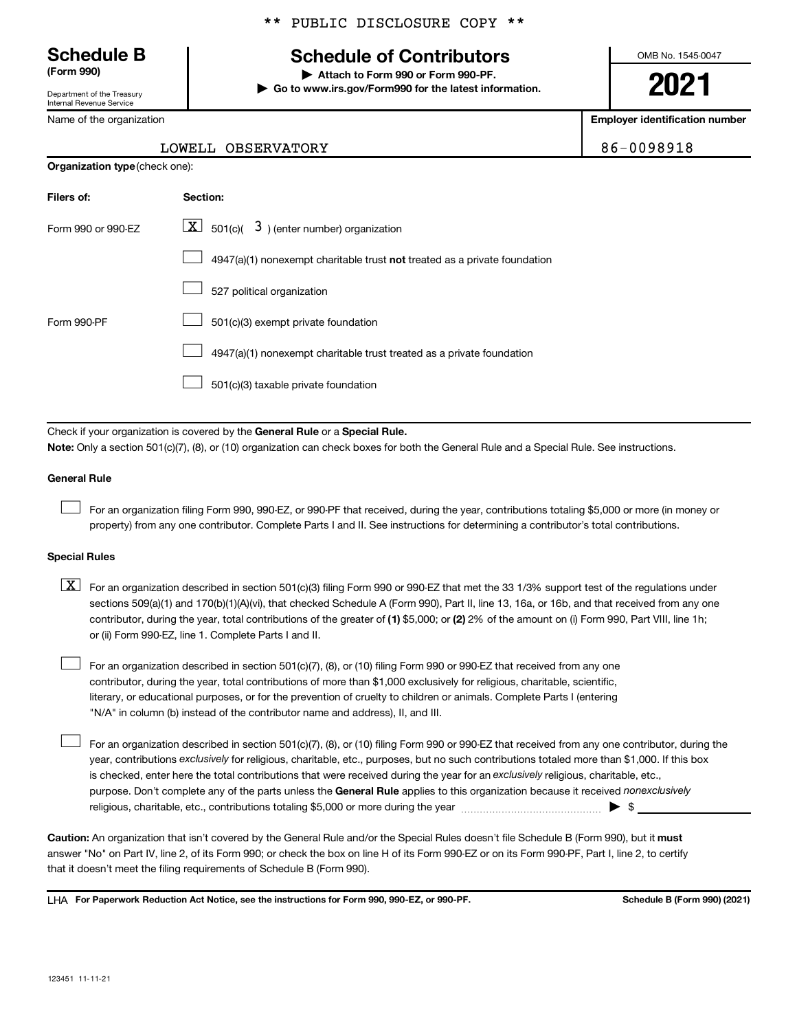Department of the Treasury Internal Revenue Service

Name of the organization

**Organization type** (check one):

### \*\* PUBLIC DISCLOSURE COPY \*\*

## **Schedule B Schedule of Contributors**

**(Form 990) | Attach to Form 990 or Form 990-PF. | Go to www.irs.gov/Form990 for the latest information.** OMB No. 1545-0047

**2021**

**Employer identification number**

LOWELL OBSERVATORY 86-0098918

| Filers of:         | Section:                                                                           |
|--------------------|------------------------------------------------------------------------------------|
| Form 990 or 990-FZ | $ \mathbf{X} $ 501(c)( 3) (enter number) organization                              |
|                    | $4947(a)(1)$ nonexempt charitable trust <b>not</b> treated as a private foundation |
|                    | 527 political organization                                                         |
| Form 990-PF        | 501(c)(3) exempt private foundation                                                |
|                    | 4947(a)(1) nonexempt charitable trust treated as a private foundation              |
|                    | 501(c)(3) taxable private foundation                                               |

Check if your organization is covered by the General Rule or a Special Rule.

**Note:**  Only a section 501(c)(7), (8), or (10) organization can check boxes for both the General Rule and a Special Rule. See instructions.

#### **General Rule**

 $\Box$ 

 $\Box$ 

For an organization filing Form 990, 990-EZ, or 990-PF that received, during the year, contributions totaling \$5,000 or more (in money or property) from any one contributor. Complete Parts I and II. See instructions for determining a contributor's total contributions.

#### **Special Rules**

contributor, during the year, total contributions of the greater of (1) \$5,000; or (2) 2% of the amount on (i) Form 990, Part VIII, line 1h;  $\boxed{\text{X}}$  For an organization described in section 501(c)(3) filing Form 990 or 990-EZ that met the 33 1/3% support test of the regulations under sections 509(a)(1) and 170(b)(1)(A)(vi), that checked Schedule A (Form 990), Part II, line 13, 16a, or 16b, and that received from any one or (ii) Form 990-EZ, line 1. Complete Parts I and II.

For an organization described in section 501(c)(7), (8), or (10) filing Form 990 or 990-EZ that received from any one contributor, during the year, total contributions of more than \$1,000 exclusively for religious, charitable, scientific, literary, or educational purposes, or for the prevention of cruelty to children or animals. Complete Parts I (entering "N/A" in column (b) instead of the contributor name and address), II, and III.  $\Box$ 

purpose. Don't complete any of the parts unless the General Rule applies to this organization because it received nonexclusively year, contributions exclusively for religious, charitable, etc., purposes, but no such contributions totaled more than \$1,000. If this box is checked, enter here the total contributions that were received during the year for an exclusively religious, charitable, etc., For an organization described in section 501(c)(7), (8), or (10) filing Form 990 or 990-EZ that received from any one contributor, during the religious, charitable, etc., contributions totaling \$5,000 or more during the year  $\ldots$  $\ldots$  $\ldots$  $\ldots$  $\ldots$  $\ldots$ 

Caution: An organization that isn't covered by the General Rule and/or the Special Rules doesn't file Schedule B (Form 990), but it must answer "No" on Part IV, line 2, of its Form 990; or check the box on line H of its Form 990-EZ or on its Form 990-PF, Part I, line 2, to certify that it doesn't meet the filing requirements of Schedule B (Form 990).

LHA For Paperwork Reduction Act Notice, see the instructions for Form 990, 990-EZ, or 990-PF. **Schell B (Form 990)** (2021)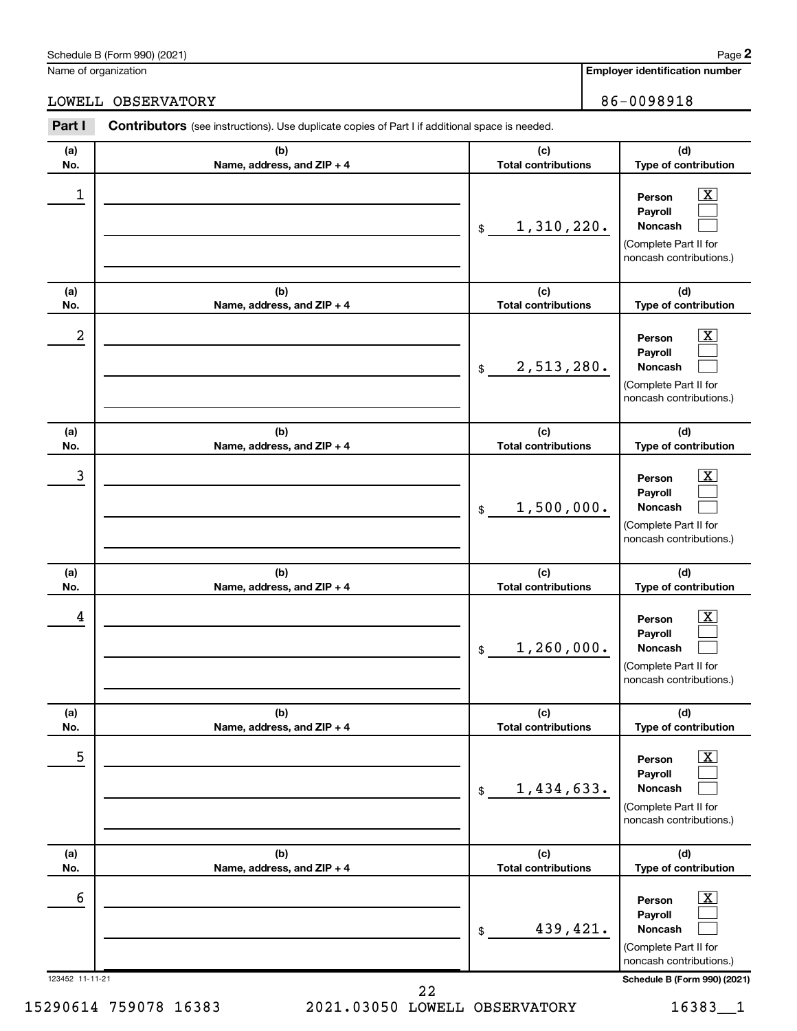Name of organization

**Employer identification number 2**

### LOWELL OBSERVATORY 36-0098918

| Part I           | <b>Contributors</b> (see instructions). Use duplicate copies of Part I if additional space is needed. |                                                                                                                                                                                   |  |
|------------------|-------------------------------------------------------------------------------------------------------|-----------------------------------------------------------------------------------------------------------------------------------------------------------------------------------|--|
| (a)<br>No.       | (b)<br>Name, address, and ZIP + 4                                                                     | (d)<br>(c)<br><b>Total contributions</b><br>Type of contribution                                                                                                                  |  |
| $\mathbf{1}$     |                                                                                                       | $\overline{\text{X}}$<br>Person<br>Payroll<br>1,310,220.<br><b>Noncash</b><br>$\frac{1}{2}$<br>(Complete Part II for<br>noncash contributions.)                                   |  |
| (a)<br>No.       | (b)<br>Name, address, and ZIP + 4                                                                     | (c)<br>(d)<br><b>Total contributions</b><br>Type of contribution                                                                                                                  |  |
| $\boldsymbol{2}$ |                                                                                                       | $\mathbf{X}$<br>Person<br>Payroll<br>2,513,280.<br><b>Noncash</b><br>$\frac{1}{2}$<br>(Complete Part II for<br>noncash contributions.)                                            |  |
| (a)<br>No.       | (b)<br>Name, address, and ZIP + 4                                                                     | (c)<br>(d)<br><b>Total contributions</b><br>Type of contribution                                                                                                                  |  |
| 3                |                                                                                                       | $\mathbf{X}$<br>Person<br>Payroll<br>1,500,000.<br><b>Noncash</b><br>$$\mathbb{S}$$<br>(Complete Part II for<br>noncash contributions.)                                           |  |
| (a)              | (b)                                                                                                   | (c)<br>(d)                                                                                                                                                                        |  |
| No.<br>4         | Name, address, and ZIP + 4                                                                            | <b>Total contributions</b><br>Type of contribution<br>$\mathbf{X}$<br>Person<br>Payroll<br>1,260,000.<br><b>Noncash</b><br>\$<br>(Complete Part II for<br>noncash contributions.) |  |
| (a)<br>No.       | (b)<br>Name, address, and ZIP + 4                                                                     | (c)<br>(d)<br>Type of contribution<br><b>Total contributions</b>                                                                                                                  |  |
| $\mathbf 5$      |                                                                                                       | $\overline{\text{X}}$<br>Person<br>Payroll<br>1,434,633.<br><b>Noncash</b><br>$$\mathbb{S}$$<br>(Complete Part II for<br>noncash contributions.)                                  |  |
| (a)<br>No.       | (b)<br>Name, address, and ZIP + 4                                                                     | (c)<br>(d)<br><b>Total contributions</b><br>Type of contribution                                                                                                                  |  |
| $\epsilon$       |                                                                                                       | $\overline{\text{X}}$<br>Person<br>Payroll<br>439,421.<br><b>Noncash</b><br>\$<br>(Complete Part II for<br>noncash contributions.)                                                |  |

123452 11-11-21 **Schedule B (Form 990) (2021)**

15290614 759078 16383 2021.03050 LOWELL OBSERVATORY 16383\_\_1 22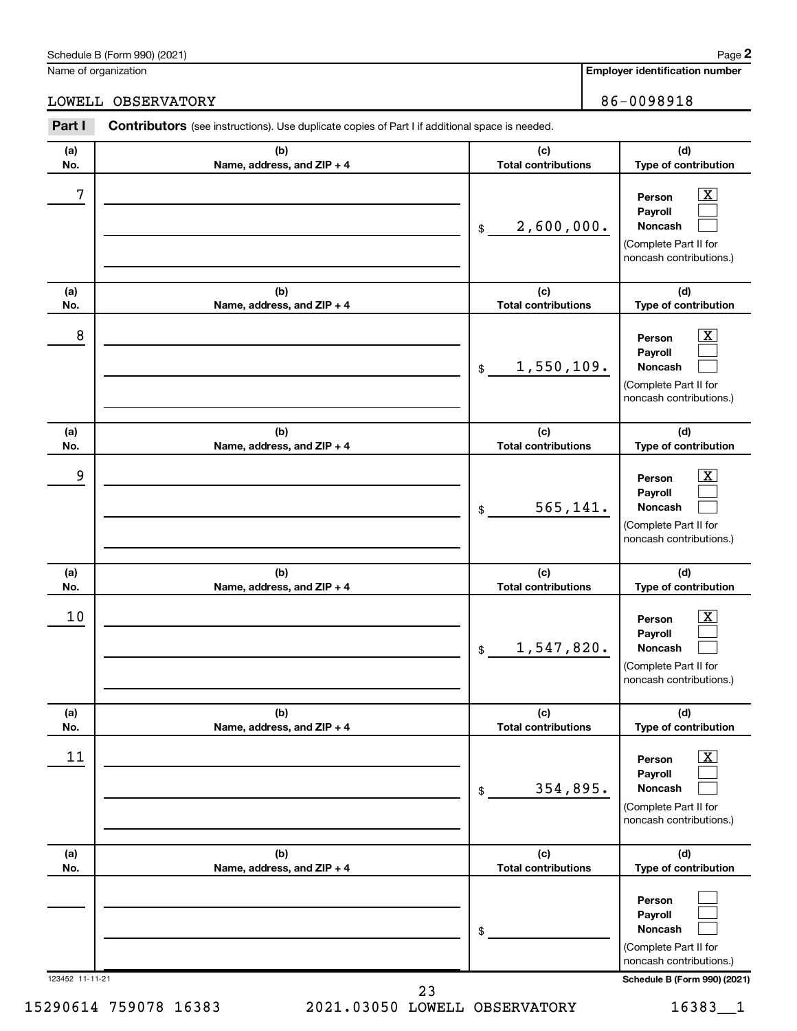#### Schedule B (Form 990) (2021)

Name of organization

**Employer identification number**

LOWELL OBSERVATORY 36-0098918

| Part I          | Contributors (see instructions). Use duplicate copies of Part I if additional space is needed. |                                   |                                                                                                          |
|-----------------|------------------------------------------------------------------------------------------------|-----------------------------------|----------------------------------------------------------------------------------------------------------|
| (a)<br>No.      | (b)<br>Name, address, and ZIP + 4                                                              | (c)<br><b>Total contributions</b> | (d)<br>Type of contribution                                                                              |
| 7               |                                                                                                | 2,600,000.<br>\$                  | $\boxed{\textbf{X}}$<br>Person<br>Payroll<br>Noncash<br>(Complete Part II for<br>noncash contributions.) |
| (a)<br>No.      | (b)<br>Name, address, and ZIP + 4                                                              | (c)<br><b>Total contributions</b> | (d)<br>Type of contribution                                                                              |
| 8               |                                                                                                | 1,550,109.<br>\$                  | $\mathbf{X}$<br>Person<br>Payroll<br>Noncash<br>(Complete Part II for<br>noncash contributions.)         |
| (a)<br>No.      | (b)<br>Name, address, and ZIP + 4                                                              | (c)<br><b>Total contributions</b> | (d)<br>Type of contribution                                                                              |
| 9               |                                                                                                | 565,141.<br>\$                    | $\boxed{\mathbf{X}}$<br>Person<br>Payroll<br>Noncash<br>(Complete Part II for<br>noncash contributions.) |
| (a)<br>No.      | (b)<br>Name, address, and ZIP + 4                                                              | (c)<br><b>Total contributions</b> | (d)<br>Type of contribution                                                                              |
| 10              |                                                                                                | 1,547,820.<br>\$                  | $\mathbf{X}$<br>Person<br>Payroll<br>Noncash<br>(Complete Part II for<br>noncash contributions.)         |
| (a)<br>No.      | (b)<br>Name, address, and ZIP + 4                                                              | (c)<br><b>Total contributions</b> | (d)<br>Type of contribution                                                                              |
| 11              |                                                                                                | 354,895.<br>\$                    | $\boxed{\textbf{X}}$<br>Person<br>Payroll<br>Noncash<br>(Complete Part II for<br>noncash contributions.) |
| (a)<br>No.      | (b)<br>Name, address, and ZIP + 4                                                              | (c)<br><b>Total contributions</b> | (d)<br>Type of contribution                                                                              |
|                 |                                                                                                | \$                                | Person<br>Payroll<br>Noncash<br>(Complete Part II for<br>noncash contributions.)                         |
| 123452 11-11-21 | 23                                                                                             |                                   | Schedule B (Form 990) (2021)                                                                             |

15290614 759078 16383 2021.03050 LOWELL OBSERVATORY 16383\_\_1

**2**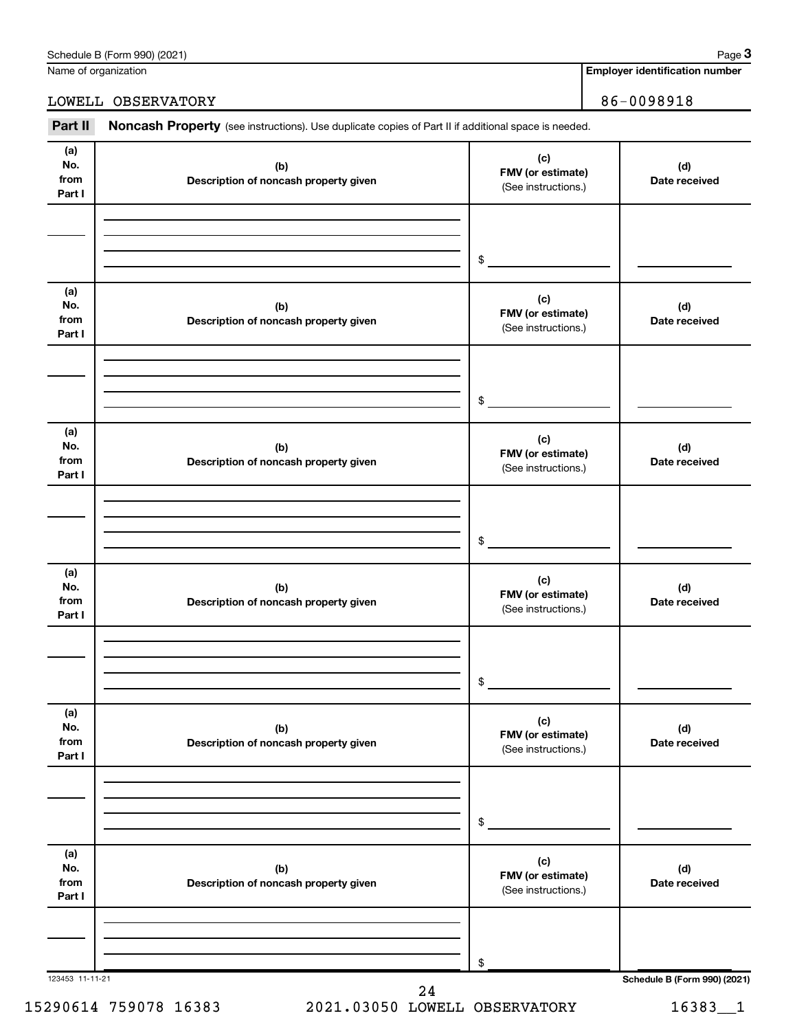| Part II                      | Noncash Property (see instructions). Use duplicate copies of Part II if additional space is needed. |                                                        |
|------------------------------|-----------------------------------------------------------------------------------------------------|--------------------------------------------------------|
| (a)<br>No.<br>from<br>Part I | (b)<br>Description of noncash property given                                                        | (c)<br><b>FMV</b> (or estimate)<br>(See instructions.) |
|                              |                                                                                                     |                                                        |
|                              |                                                                                                     | \$                                                     |
| (a)                          |                                                                                                     | (c)                                                    |

|                              |                                              | \$                                              |                              |
|------------------------------|----------------------------------------------|-------------------------------------------------|------------------------------|
| (a)<br>No.<br>from<br>Part I | (b)<br>Description of noncash property given | (c)<br>FMV (or estimate)<br>(See instructions.) | (d)<br>Date received         |
|                              |                                              |                                                 |                              |
|                              |                                              | $\$$                                            |                              |
| (a)<br>No.<br>from<br>Part I | (b)<br>Description of noncash property given | (c)<br>FMV (or estimate)<br>(See instructions.) | (d)<br>Date received         |
|                              |                                              |                                                 |                              |
|                              |                                              | $\frac{1}{2}$                                   |                              |
| (a)<br>No.<br>from<br>Part I | (b)<br>Description of noncash property given | (c)<br>FMV (or estimate)<br>(See instructions.) | (d)<br>Date received         |
|                              |                                              |                                                 |                              |
|                              |                                              | \$                                              |                              |
| (a)<br>No.<br>from<br>Part I | (b)<br>Description of noncash property given | (c)<br>FMV (or estimate)<br>(See instructions.) | (d)<br>Date received         |
|                              |                                              |                                                 |                              |
|                              |                                              | \$                                              |                              |
| (a)<br>No.<br>from<br>Part I | (b)<br>Description of noncash property given | (c)<br>FMV (or estimate)<br>(See instructions.) | (d)<br>Date received         |
|                              |                                              |                                                 |                              |
|                              |                                              | \$                                              |                              |
| 123453 11-11-21              | 24                                           |                                                 | Schedule B (Form 990) (2021) |

15290614 759078 16383 2021.03050 LOWELL OBSERVATORY 16383\_\_1

**Employer identification number**

**(d) Date received**

**3**

LOWELL OBSERVATORY 86-0098918

Name of organization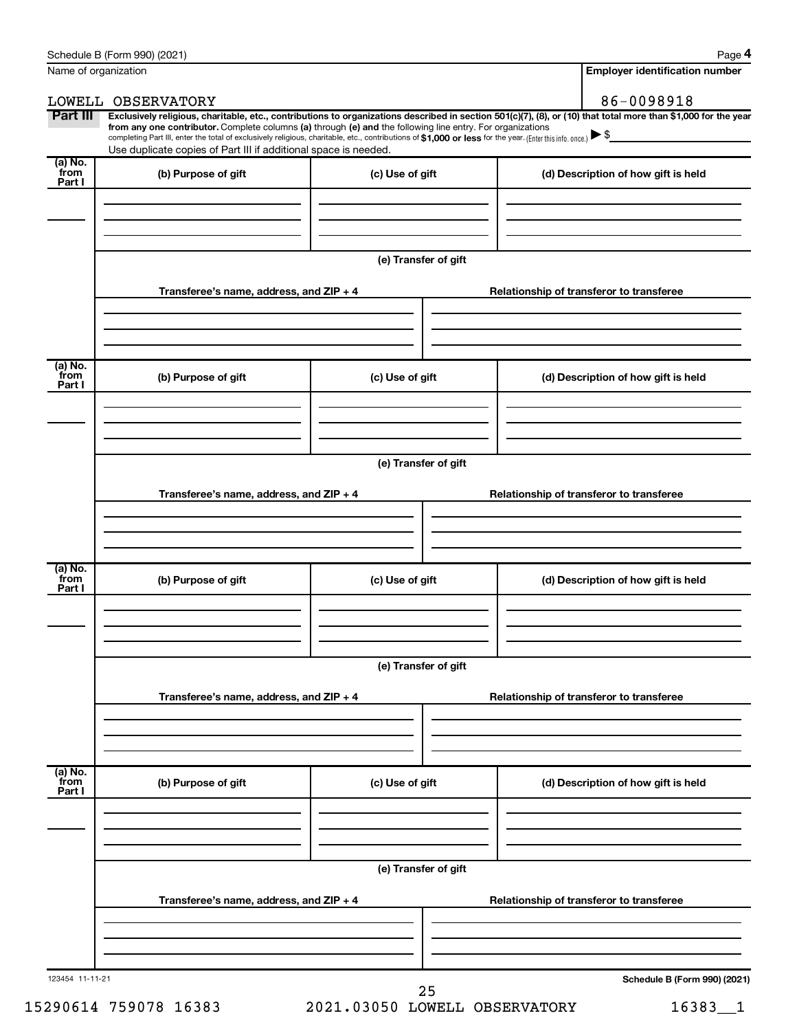|                           | Name of organization                                                                                                                                                                                                                                                                                                                                                                                                                                                                                                                 |                      | <b>Employer identification number</b>    |
|---------------------------|--------------------------------------------------------------------------------------------------------------------------------------------------------------------------------------------------------------------------------------------------------------------------------------------------------------------------------------------------------------------------------------------------------------------------------------------------------------------------------------------------------------------------------------|----------------------|------------------------------------------|
|                           | LOWELL OBSERVATORY                                                                                                                                                                                                                                                                                                                                                                                                                                                                                                                   |                      | 86-0098918                               |
| Part III                  | Exclusively religious, charitable, etc., contributions to organizations described in section 501(c)(7), (8), or (10) that total more than \$1,000 for the year<br>from any one contributor. Complete columns (a) through (e) and the following line entry. For organizations<br>completing Part III, enter the total of exclusively religious, charitable, etc., contributions of \$1,000 or less for the year. (Enter this info. once.) $\blacktriangleright$ \$<br>Use duplicate copies of Part III if additional space is needed. |                      |                                          |
| (a) No.<br>from<br>Part I | (b) Purpose of gift                                                                                                                                                                                                                                                                                                                                                                                                                                                                                                                  | (c) Use of gift      | (d) Description of how gift is held      |
|                           |                                                                                                                                                                                                                                                                                                                                                                                                                                                                                                                                      |                      |                                          |
|                           |                                                                                                                                                                                                                                                                                                                                                                                                                                                                                                                                      | (e) Transfer of gift |                                          |
|                           | Transferee's name, address, and $ZIP + 4$                                                                                                                                                                                                                                                                                                                                                                                                                                                                                            |                      | Relationship of transferor to transferee |
| (a) No.<br>from           | (b) Purpose of gift                                                                                                                                                                                                                                                                                                                                                                                                                                                                                                                  | (c) Use of gift      | (d) Description of how gift is held      |
| Part I                    |                                                                                                                                                                                                                                                                                                                                                                                                                                                                                                                                      |                      |                                          |
|                           |                                                                                                                                                                                                                                                                                                                                                                                                                                                                                                                                      | (e) Transfer of gift |                                          |
|                           | Transferee's name, address, and ZIP + 4                                                                                                                                                                                                                                                                                                                                                                                                                                                                                              |                      | Relationship of transferor to transferee |
| (a) No.<br>from           | (b) Purpose of gift                                                                                                                                                                                                                                                                                                                                                                                                                                                                                                                  | (c) Use of gift      | (d) Description of how gift is held      |
| Part I                    |                                                                                                                                                                                                                                                                                                                                                                                                                                                                                                                                      |                      |                                          |
|                           |                                                                                                                                                                                                                                                                                                                                                                                                                                                                                                                                      | (e) Transfer of gift |                                          |
|                           | Transferee's name, address, and ZIP + 4                                                                                                                                                                                                                                                                                                                                                                                                                                                                                              |                      | Relationship of transferor to transferee |
| (a) No.<br>from<br>Part I | (b) Purpose of gift                                                                                                                                                                                                                                                                                                                                                                                                                                                                                                                  | (c) Use of gift      | (d) Description of how gift is held      |
|                           |                                                                                                                                                                                                                                                                                                                                                                                                                                                                                                                                      |                      |                                          |
|                           |                                                                                                                                                                                                                                                                                                                                                                                                                                                                                                                                      | (e) Transfer of gift |                                          |
|                           | Transferee's name, address, and ZIP + 4                                                                                                                                                                                                                                                                                                                                                                                                                                                                                              |                      | Relationship of transferor to transferee |
|                           |                                                                                                                                                                                                                                                                                                                                                                                                                                                                                                                                      |                      |                                          |
| 123454 11-11-21           |                                                                                                                                                                                                                                                                                                                                                                                                                                                                                                                                      | 25                   | Schedule B (Form 990) (2021)             |

15290614 759078 16383 2021.03050 LOWELL OBSERVATORY 16383\_\_1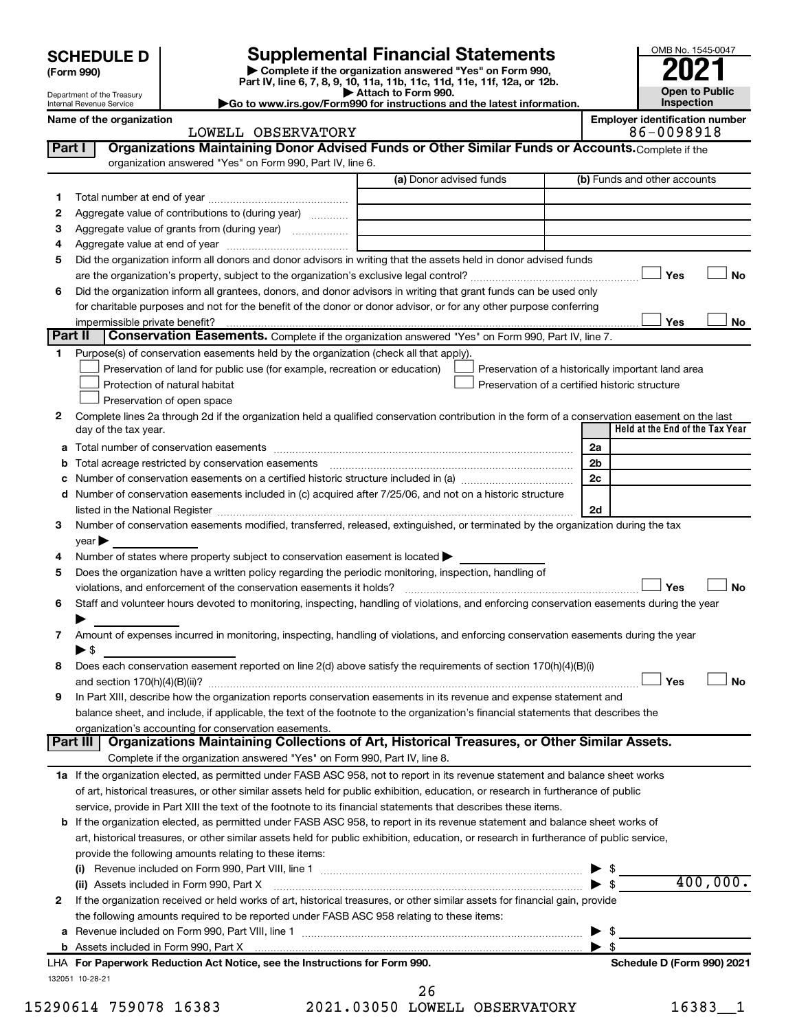| <b>SCHEDULE D</b> |  |
|-------------------|--|
|-------------------|--|

Department of the Treasury Internal Revenue Service

**| Complete if the organization answered "Yes" on Form 990, Part IV, line 6, 7, 8, 9, 10, 11a, 11b, 11c, 11d, 11e, 11f, 12a, or 12b. SCHEDULE D Supplemental Financial Statements**<br> **Form 990 Example 5 2021**<br>
Part IV. line 6, 7, 8, 9, 10, 11a, 11b, 11c, 11d, 11e, 11f, 12a, or 12b.

**| Attach to Form 990. |Go to www.irs.gov/Form990 for instructions and the latest information.**



#### Name of the organization<br> **Employer identification number**<br> **Employer identification number**<br> **Employer identification number**<br> **B6** - 0098918 LOWELL OBSERVATORY

| Part I  | Organizations Maintaining Donor Advised Funds or Other Similar Funds or Accounts. Complete if the                                              |                         |                |                                                    |
|---------|------------------------------------------------------------------------------------------------------------------------------------------------|-------------------------|----------------|----------------------------------------------------|
|         | organization answered "Yes" on Form 990, Part IV, line 6.                                                                                      | (a) Donor advised funds |                | (b) Funds and other accounts                       |
|         |                                                                                                                                                |                         |                |                                                    |
| 1.      |                                                                                                                                                |                         |                |                                                    |
| 2       | Aggregate value of contributions to (during year)                                                                                              |                         |                |                                                    |
| з       | Aggregate value of grants from (during year)                                                                                                   |                         |                |                                                    |
| 4<br>5  | Did the organization inform all donors and donor advisors in writing that the assets held in donor advised funds                               |                         |                |                                                    |
|         |                                                                                                                                                |                         |                | Yes<br>No                                          |
| 6       | Did the organization inform all grantees, donors, and donor advisors in writing that grant funds can be used only                              |                         |                |                                                    |
|         | for charitable purposes and not for the benefit of the donor or donor advisor, or for any other purpose conferring                             |                         |                |                                                    |
|         | impermissible private benefit?                                                                                                                 |                         |                | Yes<br>No                                          |
| Part II | <b>Conservation Easements.</b> Complete if the organization answered "Yes" on Form 990, Part IV, line 7.                                       |                         |                |                                                    |
| 1.      | Purpose(s) of conservation easements held by the organization (check all that apply).                                                          |                         |                |                                                    |
|         | Preservation of land for public use (for example, recreation or education)                                                                     |                         |                | Preservation of a historically important land area |
|         | Protection of natural habitat                                                                                                                  |                         |                | Preservation of a certified historic structure     |
|         | Preservation of open space                                                                                                                     |                         |                |                                                    |
| 2       | Complete lines 2a through 2d if the organization held a qualified conservation contribution in the form of a conservation easement on the last |                         |                |                                                    |
|         | day of the tax year.                                                                                                                           |                         |                | Held at the End of the Tax Year                    |
| а       |                                                                                                                                                |                         | 2a             |                                                    |
| b       | Total acreage restricted by conservation easements                                                                                             |                         | 2 <sub>b</sub> |                                                    |
| с       | Number of conservation easements on a certified historic structure included in (a) manufacture included in (a)                                 |                         | 2c             |                                                    |
| d       | Number of conservation easements included in (c) acquired after 7/25/06, and not on a historic structure                                       |                         |                |                                                    |
|         |                                                                                                                                                |                         | 2d             |                                                    |
| 3       | Number of conservation easements modified, transferred, released, extinguished, or terminated by the organization during the tax               |                         |                |                                                    |
|         | $year \triangleright$                                                                                                                          |                         |                |                                                    |
| 4       | Number of states where property subject to conservation easement is located >                                                                  |                         |                |                                                    |
| 5       | Does the organization have a written policy regarding the periodic monitoring, inspection, handling of                                         |                         |                |                                                    |
|         | violations, and enforcement of the conservation easements it holds?                                                                            |                         |                | Yes<br>No                                          |
| 6       | Staff and volunteer hours devoted to monitoring, inspecting, handling of violations, and enforcing conservation easements during the year      |                         |                |                                                    |
|         |                                                                                                                                                |                         |                |                                                    |
| 7       | Amount of expenses incurred in monitoring, inspecting, handling of violations, and enforcing conservation easements during the year            |                         |                |                                                    |
|         | ▶ \$                                                                                                                                           |                         |                |                                                    |
| 8       | Does each conservation easement reported on line 2(d) above satisfy the requirements of section 170(h)(4)(B)(i)                                |                         |                | Yes<br>No                                          |
| 9       | In Part XIII, describe how the organization reports conservation easements in its revenue and expense statement and                            |                         |                |                                                    |
|         | balance sheet, and include, if applicable, the text of the footnote to the organization's financial statements that describes the              |                         |                |                                                    |
|         | organization's accounting for conservation easements.                                                                                          |                         |                |                                                    |
|         | Organizations Maintaining Collections of Art, Historical Treasures, or Other Similar Assets.<br><b>Part III</b>                                |                         |                |                                                    |
|         | Complete if the organization answered "Yes" on Form 990, Part IV, line 8.                                                                      |                         |                |                                                    |
|         | 1a If the organization elected, as permitted under FASB ASC 958, not to report in its revenue statement and balance sheet works                |                         |                |                                                    |
|         | of art, historical treasures, or other similar assets held for public exhibition, education, or research in furtherance of public              |                         |                |                                                    |
|         | service, provide in Part XIII the text of the footnote to its financial statements that describes these items.                                 |                         |                |                                                    |
|         | <b>b</b> If the organization elected, as permitted under FASB ASC 958, to report in its revenue statement and balance sheet works of           |                         |                |                                                    |
|         | art, historical treasures, or other similar assets held for public exhibition, education, or research in furtherance of public service,        |                         |                |                                                    |
|         | provide the following amounts relating to these items:                                                                                         |                         |                |                                                    |
|         |                                                                                                                                                |                         |                |                                                    |
|         | (ii) Assets included in Form 990, Part X                                                                                                       |                         |                | 400,000.<br>$\blacktriangleright$ \$               |
| 2       | If the organization received or held works of art, historical treasures, or other similar assets for financial gain, provide                   |                         |                |                                                    |
|         | the following amounts required to be reported under FASB ASC 958 relating to these items:                                                      |                         |                |                                                    |
|         |                                                                                                                                                |                         |                | \$                                                 |
|         |                                                                                                                                                |                         | ▶              | \$                                                 |
|         | LHA For Paperwork Reduction Act Notice, see the Instructions for Form 990.                                                                     |                         |                | Schedule D (Form 990) 2021                         |
|         | 132051 10-28-21                                                                                                                                |                         |                |                                                    |

15290614 759078 16383 2021.03050 LOWELL OBSERVATORY 16383\_\_1 26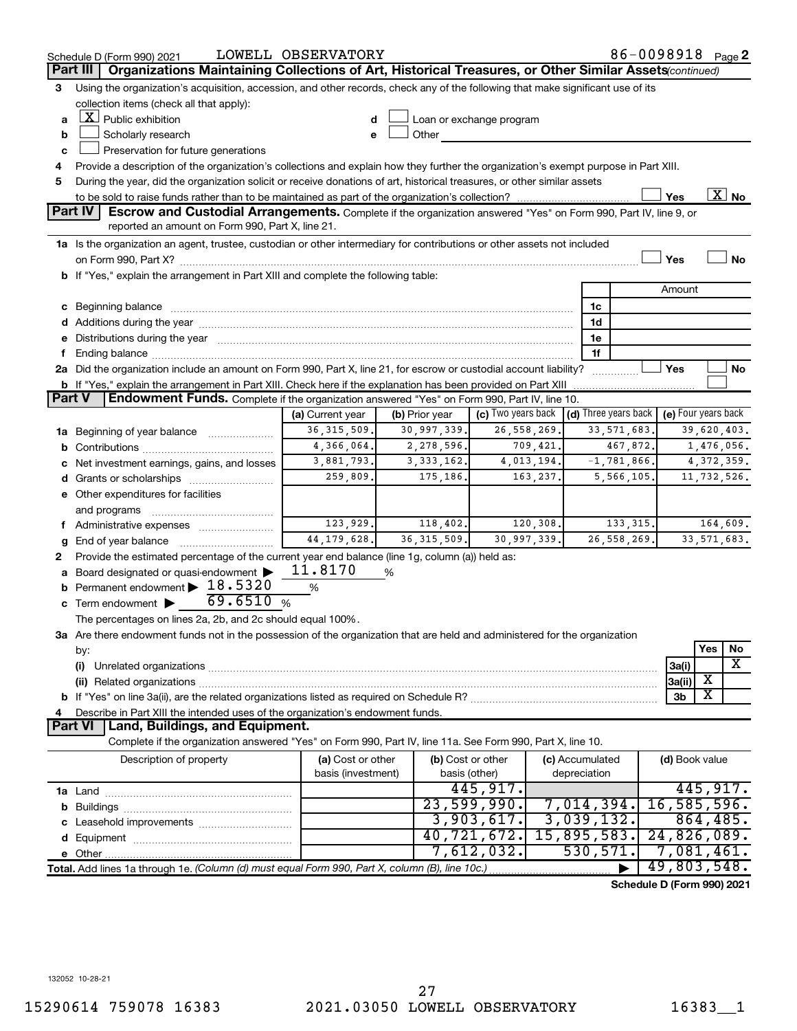|        | Schedule D (Form 990) 2021                                                                                                                                                                                                                           | LOWELL OBSERVATORY |                |                                                         |                 |                 | 86-0098918 Page 2          |               |           |  |
|--------|------------------------------------------------------------------------------------------------------------------------------------------------------------------------------------------------------------------------------------------------------|--------------------|----------------|---------------------------------------------------------|-----------------|-----------------|----------------------------|---------------|-----------|--|
|        | Organizations Maintaining Collections of Art, Historical Treasures, or Other Similar Assets (continued)<br>Part III                                                                                                                                  |                    |                |                                                         |                 |                 |                            |               |           |  |
| 3      | Using the organization's acquisition, accession, and other records, check any of the following that make significant use of its                                                                                                                      |                    |                |                                                         |                 |                 |                            |               |           |  |
|        | collection items (check all that apply):                                                                                                                                                                                                             |                    |                |                                                         |                 |                 |                            |               |           |  |
| a      | $X$ Public exhibition                                                                                                                                                                                                                                |                    |                | Loan or exchange program                                |                 |                 |                            |               |           |  |
| b      | Other and the control of the control of the control of the control of the control of the control of the control of the control of the control of the control of the control of the control of the control of the control of th<br>Scholarly research |                    |                |                                                         |                 |                 |                            |               |           |  |
| c      | Preservation for future generations                                                                                                                                                                                                                  |                    |                |                                                         |                 |                 |                            |               |           |  |
| 4      | Provide a description of the organization's collections and explain how they further the organization's exempt purpose in Part XIII.                                                                                                                 |                    |                |                                                         |                 |                 |                            |               |           |  |
| 5      | During the year, did the organization solicit or receive donations of art, historical treasures, or other similar assets                                                                                                                             |                    |                |                                                         |                 |                 |                            |               |           |  |
|        | $\overline{X}$ No<br>Yes                                                                                                                                                                                                                             |                    |                |                                                         |                 |                 |                            |               |           |  |
|        | <b>Part IV</b><br><b>Escrow and Custodial Arrangements.</b> Complete if the organization answered "Yes" on Form 990, Part IV, line 9, or<br>reported an amount on Form 990, Part X, line 21.                                                         |                    |                |                                                         |                 |                 |                            |               |           |  |
|        | 1a Is the organization an agent, trustee, custodian or other intermediary for contributions or other assets not included                                                                                                                             |                    |                |                                                         |                 |                 |                            |               |           |  |
|        |                                                                                                                                                                                                                                                      |                    |                |                                                         |                 |                 | Yes                        |               | <b>No</b> |  |
|        | b If "Yes," explain the arrangement in Part XIII and complete the following table:                                                                                                                                                                   |                    |                |                                                         |                 |                 |                            |               |           |  |
|        |                                                                                                                                                                                                                                                      |                    |                |                                                         |                 |                 | Amount                     |               |           |  |
|        | c Beginning balance measurements and the contract of the contract of the contract of the contract of the contract of the contract of the contract of the contract of the contract of the contract of the contract of the contr                       |                    |                |                                                         |                 | 1c              |                            |               |           |  |
|        | d Additions during the year manufactured and an account of the year manufactured and account of the year manufactured and account of the year manufactured and account of the year manufactured and account of the year manufa                       |                    |                |                                                         |                 | 1d              |                            |               |           |  |
|        | e Distributions during the year manufactured and a control of the year manufactured and a control of the year                                                                                                                                        |                    |                |                                                         |                 | 1e              |                            |               |           |  |
| f.     |                                                                                                                                                                                                                                                      |                    |                |                                                         |                 | 1f              |                            |               |           |  |
|        | 2a Did the organization include an amount on Form 990, Part X, line 21, for escrow or custodial account liability?                                                                                                                                   |                    |                |                                                         |                 | .               | Yes                        |               | No        |  |
|        | <b>b</b> If "Yes," explain the arrangement in Part XIII. Check here if the explanation has been provided on Part XIII                                                                                                                                |                    |                |                                                         |                 |                 |                            |               |           |  |
| Part V | Endowment Funds. Complete if the organization answered "Yes" on Form 990, Part IV, line 10.                                                                                                                                                          |                    |                |                                                         |                 |                 |                            |               |           |  |
|        |                                                                                                                                                                                                                                                      | (a) Current year   | (b) Prior year | (c) Two years back $\vert$ (d) Three years back $\vert$ |                 |                 | (e) Four years back        |               |           |  |
|        | 1a Beginning of year balance                                                                                                                                                                                                                         | 36, 315, 509.      | 30,997,339.    | 26, 558, 269.                                           |                 | 33, 571, 683.   |                            | 39,620,403.   |           |  |
|        |                                                                                                                                                                                                                                                      | 4,366,064.         | 2,278,596.     | 709,421.                                                |                 | 467,872.        |                            | 1,476,056.    |           |  |
|        | c Net investment earnings, gains, and losses                                                                                                                                                                                                         | 3,881,793.         | 3,333,162.     | 4,013,194.                                              |                 | $-1, 781, 866.$ |                            | 4, 372, 359.  |           |  |
|        |                                                                                                                                                                                                                                                      | 259,809.           | 175,186.       | 163,237.                                                |                 | 5,566,105.      |                            | 11,732,526.   |           |  |
|        | e Other expenditures for facilities                                                                                                                                                                                                                  |                    |                |                                                         |                 |                 |                            |               |           |  |
|        | and programs                                                                                                                                                                                                                                         |                    |                |                                                         |                 |                 |                            |               |           |  |
|        | f Administrative expenses                                                                                                                                                                                                                            | 123,929.           | 118,402.       | 120,308.                                                |                 | 133, 315.       |                            |               | 164,609.  |  |
| g      | End of year balance                                                                                                                                                                                                                                  | 44, 179, 628.      | 36, 315, 509.  | 30,997,339.                                             |                 | 26, 558, 269.   |                            | 33, 571, 683. |           |  |
| 2      | Provide the estimated percentage of the current year end balance (line 1g, column (a)) held as:                                                                                                                                                      |                    |                |                                                         |                 |                 |                            |               |           |  |
|        | a Board designated or quasi-endowment                                                                                                                                                                                                                | 11.8170            | %              |                                                         |                 |                 |                            |               |           |  |
| b      | Permanent endowment $\blacktriangleright$ 18.5320                                                                                                                                                                                                    | %                  |                |                                                         |                 |                 |                            |               |           |  |
|        | 69.6510%<br>c Term endowment $\blacktriangleright$                                                                                                                                                                                                   |                    |                |                                                         |                 |                 |                            |               |           |  |
|        | The percentages on lines 2a, 2b, and 2c should equal 100%.                                                                                                                                                                                           |                    |                |                                                         |                 |                 |                            |               |           |  |
|        | 3a Are there endowment funds not in the possession of the organization that are held and administered for the organization                                                                                                                           |                    |                |                                                         |                 |                 |                            |               |           |  |
|        | by:                                                                                                                                                                                                                                                  |                    |                |                                                         |                 |                 |                            | Yes           | No        |  |
|        | (i)                                                                                                                                                                                                                                                  |                    |                |                                                         |                 |                 | 3a(i)                      |               | X         |  |
|        |                                                                                                                                                                                                                                                      |                    |                |                                                         |                 |                 | 3a(ii)                     | х             |           |  |
|        |                                                                                                                                                                                                                                                      |                    |                |                                                         |                 |                 | 3b                         | х             |           |  |
| 4      | Describe in Part XIII the intended uses of the organization's endowment funds.                                                                                                                                                                       |                    |                |                                                         |                 |                 |                            |               |           |  |
|        | Land, Buildings, and Equipment.<br><b>Part VI</b>                                                                                                                                                                                                    |                    |                |                                                         |                 |                 |                            |               |           |  |
|        | Complete if the organization answered "Yes" on Form 990, Part IV, line 11a. See Form 990, Part X, line 10.                                                                                                                                           |                    |                |                                                         |                 |                 |                            |               |           |  |
|        | Description of property                                                                                                                                                                                                                              | (a) Cost or other  |                | (b) Cost or other                                       | (c) Accumulated |                 | (d) Book value             |               |           |  |
|        |                                                                                                                                                                                                                                                      | basis (investment) |                | basis (other)                                           | depreciation    |                 |                            |               |           |  |
|        |                                                                                                                                                                                                                                                      |                    |                | 445,917.                                                |                 |                 |                            | 445,917.      |           |  |
|        |                                                                                                                                                                                                                                                      |                    |                | 23,599,990.                                             |                 | 7,014,394.      | 16, 585, 596.              |               |           |  |
|        |                                                                                                                                                                                                                                                      |                    |                | 3,903,617.                                              |                 | 3,039,132.      |                            | 864, 485.     |           |  |
|        |                                                                                                                                                                                                                                                      |                    |                | 40,721,672.                                             |                 | 15,895,583.     | 24,826,089.                |               |           |  |
|        |                                                                                                                                                                                                                                                      |                    |                | 7,612,032.                                              |                 | 530, 571.       | 7,081,461.                 |               |           |  |
|        | Total. Add lines 1a through 1e. (Column (d) must equal Form 990, Part X, column (B), line 10c.)                                                                                                                                                      |                    |                |                                                         |                 |                 | 49,803,548.                |               |           |  |
|        |                                                                                                                                                                                                                                                      |                    |                |                                                         |                 |                 | Schedule D (Form 990) 2021 |               |           |  |

132052 10-28-21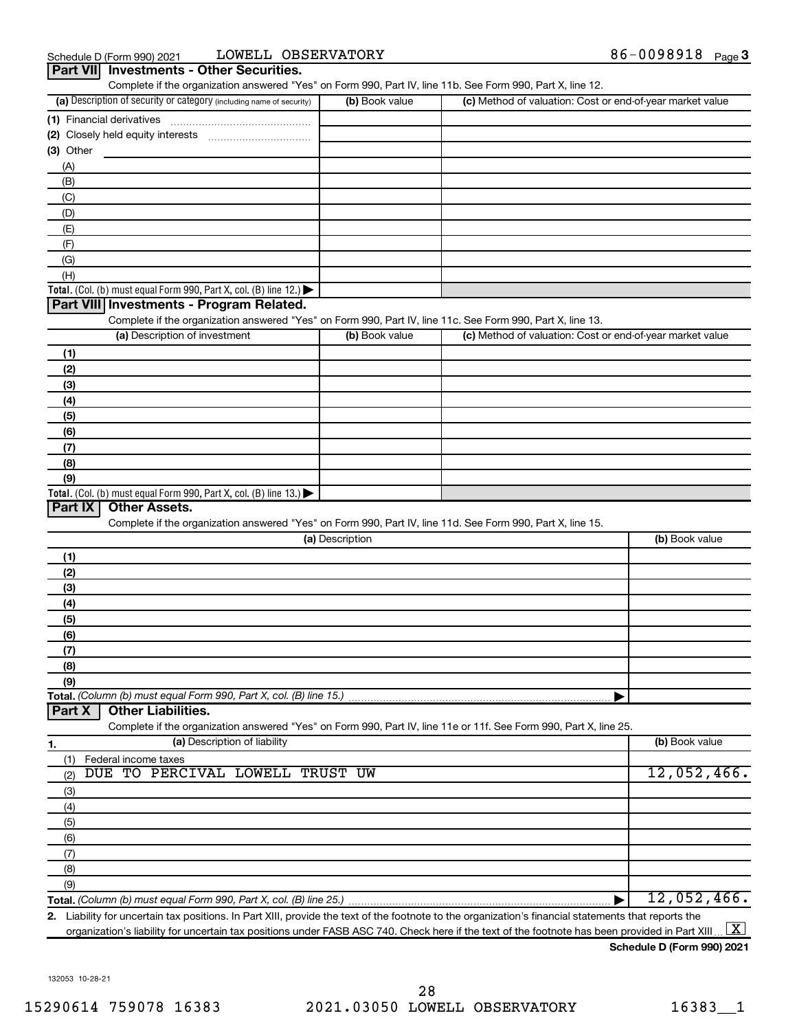| Schedule D (Form 990) 2021                      | LOWELL OBSERVATORY | 86-0098918<br>Page 3 |
|-------------------------------------------------|--------------------|----------------------|
| <b>Part VII</b> Investments - Other Securities. |                    |                      |

| (a) Description of security or category (including name of security)                                              | (b) Book value  | (c) Method of valuation: Cost or end-of-year market value |  |
|-------------------------------------------------------------------------------------------------------------------|-----------------|-----------------------------------------------------------|--|
|                                                                                                                   |                 |                                                           |  |
|                                                                                                                   |                 |                                                           |  |
| (3) Other                                                                                                         |                 |                                                           |  |
| (A)                                                                                                               |                 |                                                           |  |
| (B)                                                                                                               |                 |                                                           |  |
| (C)                                                                                                               |                 |                                                           |  |
| (D)                                                                                                               |                 |                                                           |  |
| (E)                                                                                                               |                 |                                                           |  |
| (F)                                                                                                               |                 |                                                           |  |
| (G)                                                                                                               |                 |                                                           |  |
| (H)                                                                                                               |                 |                                                           |  |
| Total. (Col. (b) must equal Form 990, Part X, col. (B) line 12.)                                                  |                 |                                                           |  |
| Part VIII Investments - Program Related.                                                                          |                 |                                                           |  |
| Complete if the organization answered "Yes" on Form 990, Part IV, line 11c. See Form 990, Part X, line 13.        |                 |                                                           |  |
| (a) Description of investment                                                                                     | (b) Book value  | (c) Method of valuation: Cost or end-of-year market value |  |
| (1)                                                                                                               |                 |                                                           |  |
| (2)                                                                                                               |                 |                                                           |  |
| (3)                                                                                                               |                 |                                                           |  |
| (4)                                                                                                               |                 |                                                           |  |
| (5)                                                                                                               |                 |                                                           |  |
| (6)                                                                                                               |                 |                                                           |  |
| (7)                                                                                                               |                 |                                                           |  |
| (8)                                                                                                               |                 |                                                           |  |
| (9)                                                                                                               |                 |                                                           |  |
| Total. (Col. (b) must equal Form 990, Part X, col. (B) line 13.)                                                  |                 |                                                           |  |
|                                                                                                                   |                 |                                                           |  |
| <b>Other Assets.</b><br>Part IX                                                                                   |                 |                                                           |  |
| Complete if the organization answered "Yes" on Form 990, Part IV, line 11d. See Form 990, Part X, line 15.        |                 |                                                           |  |
|                                                                                                                   | (a) Description | (b) Book value                                            |  |
| (1)                                                                                                               |                 |                                                           |  |
| (2)                                                                                                               |                 |                                                           |  |
| (3)                                                                                                               |                 |                                                           |  |
| (4)                                                                                                               |                 |                                                           |  |
| (5)                                                                                                               |                 |                                                           |  |
| (6)                                                                                                               |                 |                                                           |  |
| (7)                                                                                                               |                 |                                                           |  |
| (8)                                                                                                               |                 |                                                           |  |
| (9)                                                                                                               |                 |                                                           |  |
|                                                                                                                   |                 |                                                           |  |
| <b>Other Liabilities.</b>                                                                                         |                 |                                                           |  |
| Complete if the organization answered "Yes" on Form 990, Part IV, line 11e or 11f. See Form 990, Part X, line 25. |                 |                                                           |  |
| (a) Description of liability                                                                                      |                 | (b) Book value                                            |  |
| Federal income taxes<br>(1)                                                                                       |                 |                                                           |  |
| DUE TO PERCIVAL LOWELL TRUST UW<br>(2)                                                                            |                 | 12,052,466.                                               |  |
| (3)                                                                                                               |                 |                                                           |  |
| (4)                                                                                                               |                 |                                                           |  |
|                                                                                                                   |                 |                                                           |  |
| (5)                                                                                                               |                 |                                                           |  |
| (6)                                                                                                               |                 |                                                           |  |
| Total. (Column (b) must equal Form 990, Part X, col. (B) line 15.)<br>Part X<br>1.<br>(7)                         |                 |                                                           |  |
| (8)<br>(9)                                                                                                        |                 |                                                           |  |

**2.** Liability for uncertain tax positions. In Part XIII, provide the text of the footnote to the organization's financial statements that reports the organization's liability for uncertain tax positions under FASB ASC 740. Check here if the text of the footnote has been provided in Part XIII ...  $\fbox{\bf X}$ 

**Schedule D (Form 990) 2021**

132053 10-28-21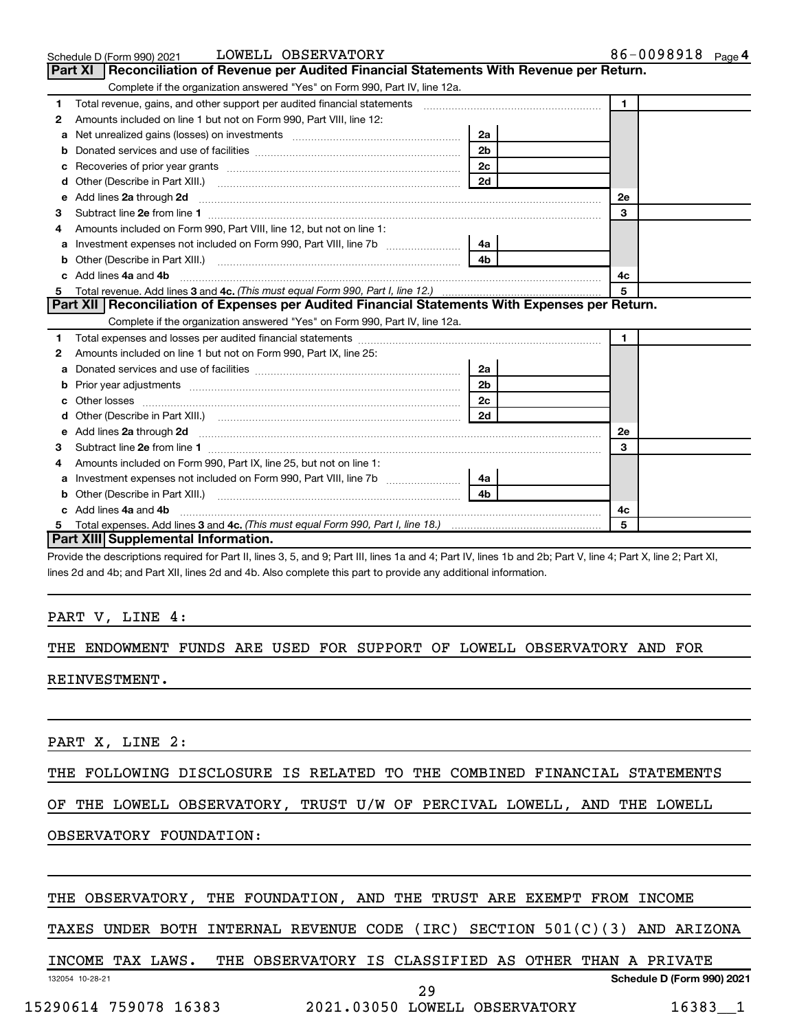|    | LOWELL OBSERVATORY<br>Schedule D (Form 990) 2021                                                                                                                                                                                    |                | 86-0098918 Page 4 |
|----|-------------------------------------------------------------------------------------------------------------------------------------------------------------------------------------------------------------------------------------|----------------|-------------------|
|    | <b>Part XI</b><br>Reconciliation of Revenue per Audited Financial Statements With Revenue per Return.                                                                                                                               |                |                   |
|    | Complete if the organization answered "Yes" on Form 990, Part IV, line 12a.                                                                                                                                                         |                |                   |
| 1  | Total revenue, gains, and other support per audited financial statements [[[[[[[[[[[[[[[[[[[[[[[[]]]]]]]]]]]]                                                                                                                       |                | $\mathbf{1}$      |
| 2  | Amounts included on line 1 but not on Form 990, Part VIII, line 12:                                                                                                                                                                 |                |                   |
| a  |                                                                                                                                                                                                                                     | 2a             |                   |
| b  |                                                                                                                                                                                                                                     | 2 <sub>b</sub> |                   |
| с  |                                                                                                                                                                                                                                     | 2 <sub>c</sub> |                   |
| d  |                                                                                                                                                                                                                                     | 2d             |                   |
| e  | Add lines 2a through 2d <b>[10]</b> University of the contract of the state of the contract of the contract of the state of the state of the state of the state of the state of the state of the state of the state of the state of |                | <b>2e</b>         |
| 3  |                                                                                                                                                                                                                                     |                | 3                 |
|    | Amounts included on Form 990, Part VIII, line 12, but not on line 1:                                                                                                                                                                |                |                   |
| a  |                                                                                                                                                                                                                                     | 4a             |                   |
| b  |                                                                                                                                                                                                                                     | 4 <sub>b</sub> |                   |
|    | Add lines 4a and 4b                                                                                                                                                                                                                 |                | 4c                |
| 5  |                                                                                                                                                                                                                                     |                | 5                 |
|    | Part XII Reconciliation of Expenses per Audited Financial Statements With Expenses per Return.                                                                                                                                      |                |                   |
|    | Complete if the organization answered "Yes" on Form 990, Part IV, line 12a.                                                                                                                                                         |                |                   |
| 1. |                                                                                                                                                                                                                                     |                | $\mathbf{1}$      |
| 2  | Amounts included on line 1 but not on Form 990, Part IX, line 25:                                                                                                                                                                   |                |                   |
| a  |                                                                                                                                                                                                                                     | 2a             |                   |
| b  |                                                                                                                                                                                                                                     | 2 <sub>b</sub> |                   |
| c  |                                                                                                                                                                                                                                     | 2 <sub>c</sub> |                   |
|    |                                                                                                                                                                                                                                     | 2d             |                   |
| e  | Add lines 2a through 2d <b>manufactures</b> in the contract of the state of the state of the state of the state of the state of the state of the state of the state of the state of the state of the state of the state of the stat |                | 2e                |
| 3  |                                                                                                                                                                                                                                     |                | 3                 |
| 4  | Amounts included on Form 990, Part IX, line 25, but not on line 1:                                                                                                                                                                  |                |                   |
| a  |                                                                                                                                                                                                                                     | 4a             |                   |
|    |                                                                                                                                                                                                                                     | 4b             |                   |
|    | Add lines 4a and 4b                                                                                                                                                                                                                 |                | 4с                |
| 5  |                                                                                                                                                                                                                                     |                | 5                 |
|    | Part XIII Supplemental Information.                                                                                                                                                                                                 |                |                   |

Provide the descriptions required for Part II, lines 3, 5, and 9; Part III, lines 1a and 4; Part IV, lines 1b and 2b; Part V, line 4; Part X, line 2; Part XI, lines 2d and 4b; and Part XII, lines 2d and 4b. Also complete this part to provide any additional information.

#### PART V, LINE 4:

## THE ENDOWMENT FUNDS ARE USED FOR SUPPORT OF LOWELL OBSERVATORY AND FOR REINVESTMENT.

PART X, LINE 2:

THE FOLLOWING DISCLOSURE IS RELATED TO THE COMBINED FINANCIAL STATEMENTS

OF THE LOWELL OBSERVATORY, TRUST U/W OF PERCIVAL LOWELL, AND THE LOWELL

OBSERVATORY FOUNDATION:

### THE OBSERVATORY, THE FOUNDATION, AND THE TRUST ARE EXEMPT FROM INCOME

TAXES UNDER BOTH INTERNAL REVENUE CODE (IRC) SECTION 501(C)(3) AND ARIZONA

132054 10-28-21 **Schedule D (Form 990) 2021** INCOME TAX LAWS. THE OBSERVATORY IS CLASSIFIED AS OTHER THAN A PRIVATE

15290614 759078 16383 2021.03050 LOWELL OBSERVATORY 16383\_\_1

29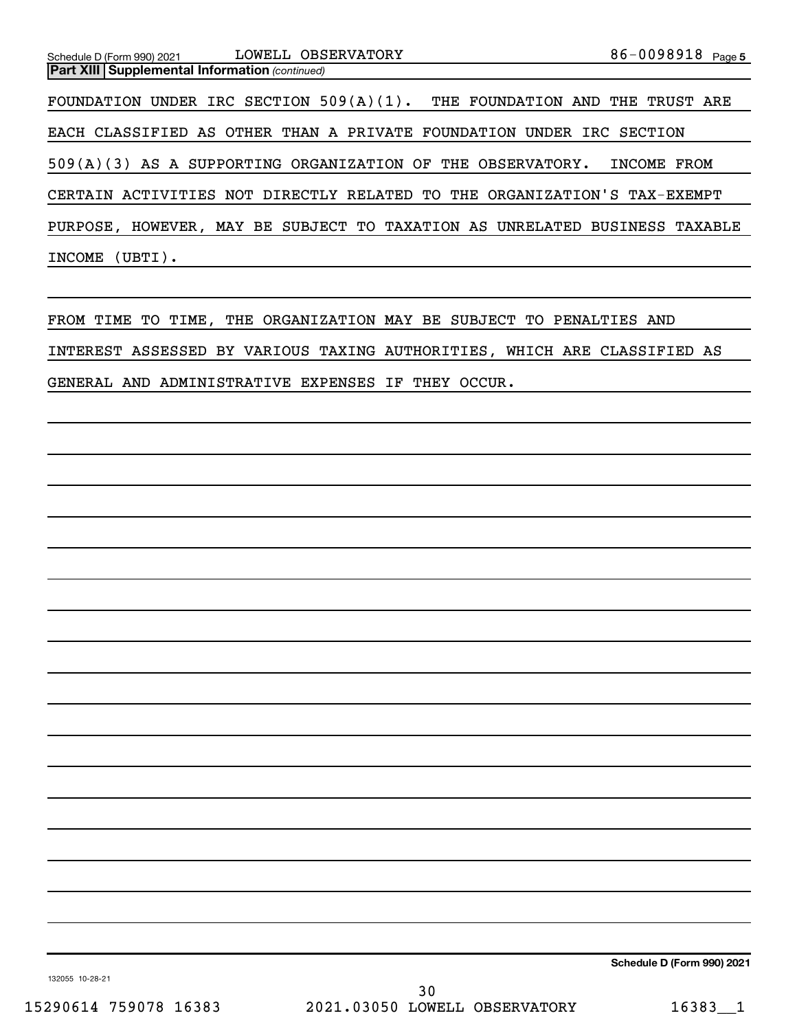| Schedule D (Form 990) 2021                            | LOWELL OBSERVATORY                                                          | 86-0098918 Page 5 |
|-------------------------------------------------------|-----------------------------------------------------------------------------|-------------------|
| <b>Part XIII Supplemental Information (continued)</b> |                                                                             |                   |
|                                                       | FOUNDATION UNDER IRC SECTION $509(A)(1)$ . THE FOUNDATION AND THE TRUST ARE |                   |
|                                                       | EACH CLASSIFIED AS OTHER THAN A PRIVATE FOUNDATION UNDER IRC SECTION        |                   |
|                                                       | 509(A)(3) AS A SUPPORTING ORGANIZATION OF THE OBSERVATORY.                  | INCOME FROM       |
|                                                       | CERTAIN ACTIVITIES NOT DIRECTLY RELATED TO THE ORGANIZATION'S TAX-EXEMPT    |                   |
|                                                       | PURPOSE, HOWEVER, MAY BE SUBJECT TO TAXATION AS UNRELATED BUSINESS TAXABLE  |                   |
| INCOME (UBTI).                                        |                                                                             |                   |

FROM TIME TO TIME, THE ORGANIZATION MAY BE SUBJECT TO PENALTIES AND INTEREST ASSESSED BY VARIOUS TAXING AUTHORITIES, WHICH ARE CLASSIFIED AS GENERAL AND ADMINISTRATIVE EXPENSES IF THEY OCCUR.

**Schedule D (Form 990) 2021**

132055 10-28-21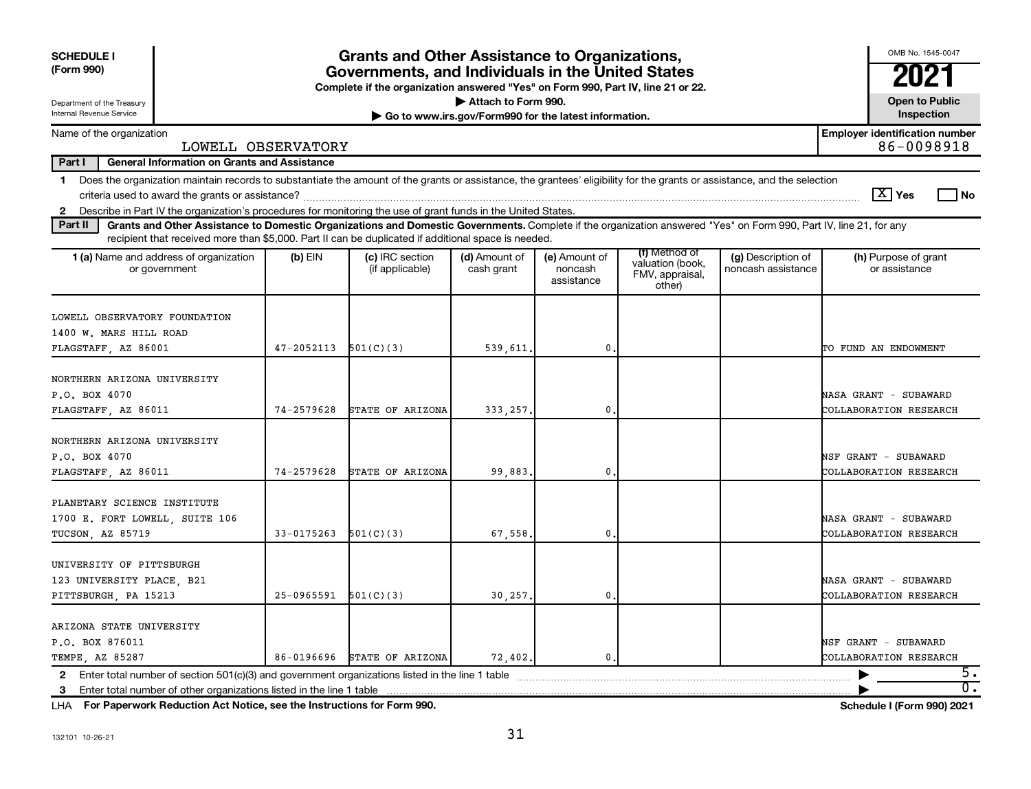| <b>SCHEDULE I</b>                                                                                                                                                                                                                                                                    |                                                                                                                                       | <b>Grants and Other Assistance to Organizations,</b> |                             |                                        |                                                                |                                          | OMB No. 1545-0047                                   |  |  |
|--------------------------------------------------------------------------------------------------------------------------------------------------------------------------------------------------------------------------------------------------------------------------------------|---------------------------------------------------------------------------------------------------------------------------------------|------------------------------------------------------|-----------------------------|----------------------------------------|----------------------------------------------------------------|------------------------------------------|-----------------------------------------------------|--|--|
| (Form 990)                                                                                                                                                                                                                                                                           | Governments, and Individuals in the United States<br>Complete if the organization answered "Yes" on Form 990, Part IV, line 21 or 22. |                                                      |                             |                                        |                                                                |                                          |                                                     |  |  |
| Department of the Treasury                                                                                                                                                                                                                                                           |                                                                                                                                       |                                                      | Attach to Form 990.         |                                        |                                                                |                                          | <b>Open to Public</b>                               |  |  |
| Internal Revenue Service<br>Inspection<br>Go to www.irs.gov/Form990 for the latest information.                                                                                                                                                                                      |                                                                                                                                       |                                                      |                             |                                        |                                                                |                                          |                                                     |  |  |
| Name of the organization<br>LOWELL OBSERVATORY                                                                                                                                                                                                                                       |                                                                                                                                       |                                                      |                             |                                        |                                                                |                                          | <b>Employer identification number</b><br>86-0098918 |  |  |
| Part I<br><b>General Information on Grants and Assistance</b>                                                                                                                                                                                                                        |                                                                                                                                       |                                                      |                             |                                        |                                                                |                                          |                                                     |  |  |
| 1 Does the organization maintain records to substantiate the amount of the grants or assistance, the grantees' eligibility for the grants or assistance, and the selection<br>$ \mathbf{X} $ Yes<br>l No                                                                             |                                                                                                                                       |                                                      |                             |                                        |                                                                |                                          |                                                     |  |  |
| Describe in Part IV the organization's procedures for monitoring the use of grant funds in the United States.<br>$\mathbf{2}$                                                                                                                                                        |                                                                                                                                       |                                                      |                             |                                        |                                                                |                                          |                                                     |  |  |
| Grants and Other Assistance to Domestic Organizations and Domestic Governments. Complete if the organization answered "Yes" on Form 990, Part IV, line 21, for any<br>Part II<br>recipient that received more than \$5,000. Part II can be duplicated if additional space is needed. |                                                                                                                                       |                                                      |                             |                                        |                                                                |                                          |                                                     |  |  |
| <b>1 (a)</b> Name and address of organization<br>or government                                                                                                                                                                                                                       | $(b)$ EIN                                                                                                                             | (c) IRC section<br>(if applicable)                   | (d) Amount of<br>cash grant | (e) Amount of<br>noncash<br>assistance | (f) Method of<br>valuation (book,<br>FMV, appraisal,<br>other) | (g) Description of<br>noncash assistance | (h) Purpose of grant<br>or assistance               |  |  |
| LOWELL OBSERVATORY FOUNDATION<br>1400 W. MARS HILL ROAD<br>FLAGSTAFF, AZ 86001                                                                                                                                                                                                       | 47-2052113                                                                                                                            | 501(C)(3)                                            | 539,611                     | 0.                                     |                                                                |                                          | TO FUND AN ENDOWMENT                                |  |  |
| NORTHERN ARIZONA UNIVERSITY<br>P.O. BOX 4070<br>FLAGSTAFF, AZ 86011                                                                                                                                                                                                                  | 74-2579628                                                                                                                            | STATE OF ARIZONA                                     | 333, 257                    | $\mathbf 0$                            |                                                                |                                          | NASA GRANT - SUBAWARD<br>COLLABORATION RESEARCH     |  |  |
| NORTHERN ARIZONA UNIVERSITY<br>P.O. BOX 4070<br>FLAGSTAFF, AZ 86011                                                                                                                                                                                                                  | 74-2579628                                                                                                                            | STATE OF ARIZONA                                     | 99,883                      | $\mathbf{0}$                           |                                                                |                                          | NSF GRANT - SUBAWARD<br>COLLABORATION RESEARCH      |  |  |
| PLANETARY SCIENCE INSTITUTE<br>1700 E. FORT LOWELL, SUITE 106<br>TUCSON, AZ 85719                                                                                                                                                                                                    | 33-0175263                                                                                                                            | 501(C)(3)                                            | 67,558                      | $\mathbf{0}$                           |                                                                |                                          | NASA GRANT - SUBAWARD<br>COLLABORATION RESEARCH     |  |  |
| UNIVERSITY OF PITTSBURGH<br>123 UNIVERSITY PLACE, B21<br>PITTSBURGH, PA 15213                                                                                                                                                                                                        | $25-0965591$ $501(C)(3)$                                                                                                              |                                                      | 30,257.                     | $\mathbf{0}$                           |                                                                |                                          | NASA GRANT - SUBAWARD<br>COLLABORATION RESEARCH     |  |  |
| ARIZONA STATE UNIVERSITY<br>P.O. BOX 876011<br>TEMPE, AZ 85287                                                                                                                                                                                                                       |                                                                                                                                       | 86-0196696 STATE OF ARIZONA                          | 72,402.                     | $\mathbf{0}$                           |                                                                |                                          | NSF GRANT - SUBAWARD<br>COLLABORATION RESEARCH      |  |  |
| 2 Enter total number of section $501(c)(3)$ and government organizations listed in the line 1 table<br>Enter total number of other organizations listed in the line 1 table<br>3                                                                                                     |                                                                                                                                       |                                                      |                             |                                        |                                                                |                                          | 5.<br>$\overline{0}$ .                              |  |  |

**For Paperwork Reduction Act Notice, see the Instructions for Form 990. Schedule I (Form 990) 2021** LHA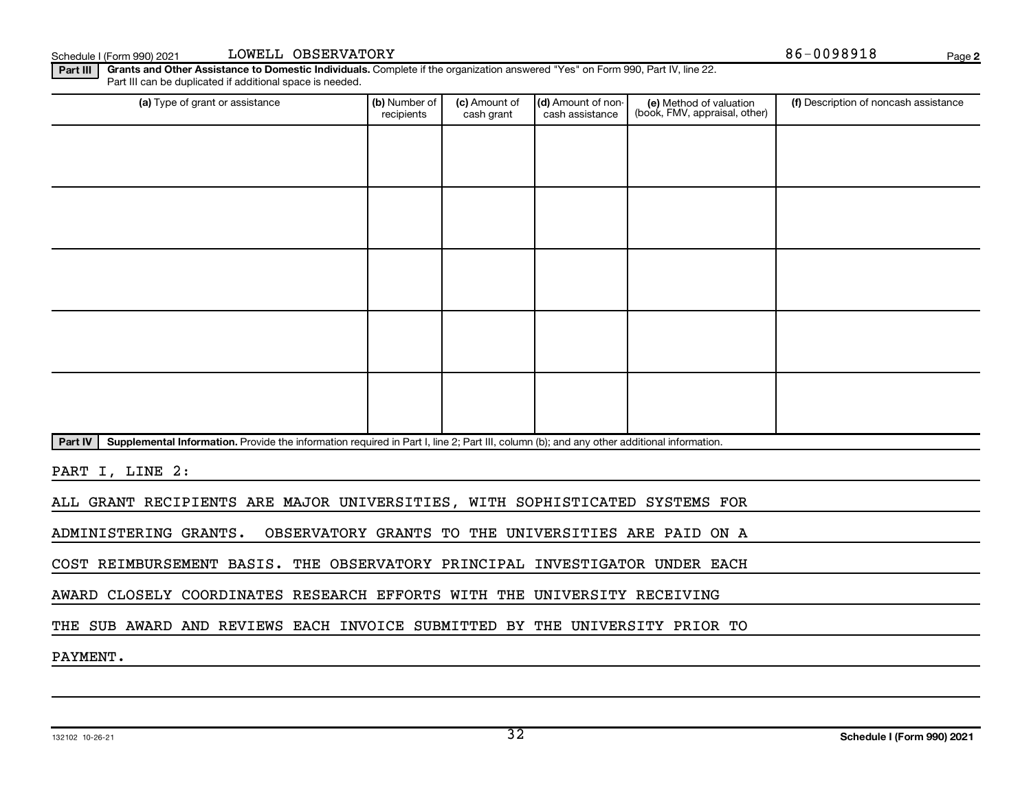**2**

**Part III | Grants and Other Assistance to Domestic Individuals.** Complete if the organization answered "Yes" on Form 990, Part IV, line 22. Part III can be duplicated if additional space is needed.

| (a) Type of grant or assistance                                                                                                                      | (b) Number of<br>recipients | (c) Amount of<br>cash grant | (d) Amount of non-<br>cash assistance | (e) Method of valuation<br>(book, FMV, appraisal, other) | (f) Description of noncash assistance |  |  |
|------------------------------------------------------------------------------------------------------------------------------------------------------|-----------------------------|-----------------------------|---------------------------------------|----------------------------------------------------------|---------------------------------------|--|--|
|                                                                                                                                                      |                             |                             |                                       |                                                          |                                       |  |  |
|                                                                                                                                                      |                             |                             |                                       |                                                          |                                       |  |  |
|                                                                                                                                                      |                             |                             |                                       |                                                          |                                       |  |  |
|                                                                                                                                                      |                             |                             |                                       |                                                          |                                       |  |  |
|                                                                                                                                                      |                             |                             |                                       |                                                          |                                       |  |  |
|                                                                                                                                                      |                             |                             |                                       |                                                          |                                       |  |  |
|                                                                                                                                                      |                             |                             |                                       |                                                          |                                       |  |  |
|                                                                                                                                                      |                             |                             |                                       |                                                          |                                       |  |  |
|                                                                                                                                                      |                             |                             |                                       |                                                          |                                       |  |  |
|                                                                                                                                                      |                             |                             |                                       |                                                          |                                       |  |  |
| Part IV<br>Supplemental Information. Provide the information required in Part I, line 2; Part III, column (b); and any other additional information. |                             |                             |                                       |                                                          |                                       |  |  |
| PART I, LINE 2:                                                                                                                                      |                             |                             |                                       |                                                          |                                       |  |  |
| ALL GRANT RECIPIENTS ARE MAJOR UNIVERSITIES, WITH SOPHISTICATED SYSTEMS FOR                                                                          |                             |                             |                                       |                                                          |                                       |  |  |
| ADMINISTERING GRANTS.                                                                                                                                |                             |                             |                                       | OBSERVATORY GRANTS TO THE UNIVERSITIES ARE PAID ON A     |                                       |  |  |

COST REIMBURSEMENT BASIS. THE OBSERVATORY PRINCIPAL INVESTIGATOR UNDER EACH

AWARD CLOSELY COORDINATES RESEARCH EFFORTS WITH THE UNIVERSITY RECEIVING

THE SUB AWARD AND REVIEWS EACH INVOICE SUBMITTED BY THE UNIVERSITY PRIOR TO

PAYMENT.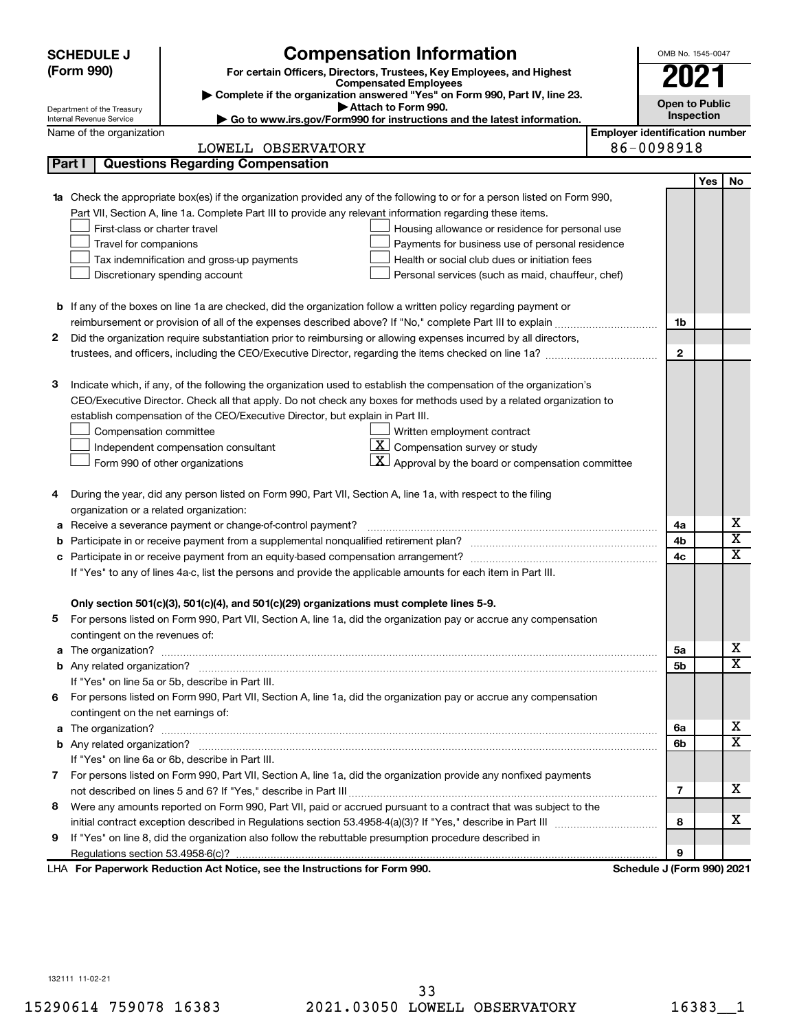|    | <b>SCHEDULE J</b>                                                                                  | <b>Compensation Information</b>                                                                                        |  | OMB No. 1545-0047          |                                       |                         |  |  |  |
|----|----------------------------------------------------------------------------------------------------|------------------------------------------------------------------------------------------------------------------------|--|----------------------------|---------------------------------------|-------------------------|--|--|--|
|    | (Form 990)                                                                                         | For certain Officers, Directors, Trustees, Key Employees, and Highest                                                  |  | 2021                       |                                       |                         |  |  |  |
|    |                                                                                                    | <b>Compensated Employees</b><br>Complete if the organization answered "Yes" on Form 990, Part IV, line 23.             |  |                            |                                       |                         |  |  |  |
|    | Attach to Form 990.<br>Department of the Treasury                                                  |                                                                                                                        |  |                            |                                       |                         |  |  |  |
|    | Go to www.irs.gov/Form990 for instructions and the latest information.<br>Internal Revenue Service |                                                                                                                        |  |                            |                                       |                         |  |  |  |
|    | Name of the organization                                                                           |                                                                                                                        |  |                            | <b>Employer identification number</b> |                         |  |  |  |
|    |                                                                                                    | LOWELL OBSERVATORY                                                                                                     |  | 86-0098918                 |                                       |                         |  |  |  |
|    | Part I                                                                                             | <b>Questions Regarding Compensation</b>                                                                                |  |                            |                                       |                         |  |  |  |
|    |                                                                                                    |                                                                                                                        |  |                            | Yes                                   | No                      |  |  |  |
| 1a |                                                                                                    | Check the appropriate box(es) if the organization provided any of the following to or for a person listed on Form 990, |  |                            |                                       |                         |  |  |  |
|    |                                                                                                    | Part VII, Section A, line 1a. Complete Part III to provide any relevant information regarding these items.             |  |                            |                                       |                         |  |  |  |
|    | First-class or charter travel                                                                      | Housing allowance or residence for personal use                                                                        |  |                            |                                       |                         |  |  |  |
|    | Travel for companions                                                                              | Payments for business use of personal residence<br>Health or social club dues or initiation fees                       |  |                            |                                       |                         |  |  |  |
|    |                                                                                                    | Tax indemnification and gross-up payments                                                                              |  |                            |                                       |                         |  |  |  |
|    |                                                                                                    | Discretionary spending account<br>Personal services (such as maid, chauffeur, chef)                                    |  |                            |                                       |                         |  |  |  |
|    |                                                                                                    |                                                                                                                        |  |                            |                                       |                         |  |  |  |
|    |                                                                                                    | <b>b</b> If any of the boxes on line 1a are checked, did the organization follow a written policy regarding payment or |  | 1b                         |                                       |                         |  |  |  |
| 2  |                                                                                                    | Did the organization require substantiation prior to reimbursing or allowing expenses incurred by all directors,       |  |                            |                                       |                         |  |  |  |
|    |                                                                                                    | trustees, and officers, including the CEO/Executive Director, regarding the items checked on line 1a?                  |  | $\mathbf{2}$               |                                       |                         |  |  |  |
|    |                                                                                                    |                                                                                                                        |  |                            |                                       |                         |  |  |  |
| з  |                                                                                                    | Indicate which, if any, of the following the organization used to establish the compensation of the organization's     |  |                            |                                       |                         |  |  |  |
|    |                                                                                                    | CEO/Executive Director. Check all that apply. Do not check any boxes for methods used by a related organization to     |  |                            |                                       |                         |  |  |  |
|    |                                                                                                    | establish compensation of the CEO/Executive Director, but explain in Part III.                                         |  |                            |                                       |                         |  |  |  |
|    | Compensation committee                                                                             | Written employment contract                                                                                            |  |                            |                                       |                         |  |  |  |
|    |                                                                                                    | $ \mathbf{X} $ Compensation survey or study<br>Independent compensation consultant                                     |  |                            |                                       |                         |  |  |  |
|    |                                                                                                    | $\mathbf{X}$ Approval by the board or compensation committee<br>Form 990 of other organizations                        |  |                            |                                       |                         |  |  |  |
|    |                                                                                                    |                                                                                                                        |  |                            |                                       |                         |  |  |  |
| 4  |                                                                                                    | During the year, did any person listed on Form 990, Part VII, Section A, line 1a, with respect to the filing           |  |                            |                                       |                         |  |  |  |
|    | organization or a related organization:                                                            |                                                                                                                        |  |                            |                                       |                         |  |  |  |
| а  |                                                                                                    | Receive a severance payment or change-of-control payment?                                                              |  | 4a                         |                                       | х                       |  |  |  |
| b  |                                                                                                    |                                                                                                                        |  | 4b                         |                                       | $\overline{\textbf{x}}$ |  |  |  |
| c  |                                                                                                    |                                                                                                                        |  | 4c                         |                                       | $\overline{\textbf{x}}$ |  |  |  |
|    |                                                                                                    | If "Yes" to any of lines 4a-c, list the persons and provide the applicable amounts for each item in Part III.          |  |                            |                                       |                         |  |  |  |
|    |                                                                                                    |                                                                                                                        |  |                            |                                       |                         |  |  |  |
|    |                                                                                                    | Only section 501(c)(3), 501(c)(4), and 501(c)(29) organizations must complete lines 5-9.                               |  |                            |                                       |                         |  |  |  |
|    |                                                                                                    | For persons listed on Form 990, Part VII, Section A, line 1a, did the organization pay or accrue any compensation      |  |                            |                                       |                         |  |  |  |
|    | contingent on the revenues of:                                                                     |                                                                                                                        |  |                            |                                       |                         |  |  |  |
|    |                                                                                                    |                                                                                                                        |  | 5a                         |                                       | х                       |  |  |  |
|    |                                                                                                    |                                                                                                                        |  | 5b                         |                                       | $\overline{\mathbf{X}}$ |  |  |  |
|    |                                                                                                    | If "Yes" on line 5a or 5b, describe in Part III.                                                                       |  |                            |                                       |                         |  |  |  |
|    |                                                                                                    | 6 For persons listed on Form 990, Part VII, Section A, line 1a, did the organization pay or accrue any compensation    |  |                            |                                       |                         |  |  |  |
|    | contingent on the net earnings of:                                                                 |                                                                                                                        |  |                            |                                       |                         |  |  |  |
|    |                                                                                                    |                                                                                                                        |  | 6a                         |                                       | х                       |  |  |  |
|    |                                                                                                    |                                                                                                                        |  | 6b                         |                                       | $\overline{\mathbf{X}}$ |  |  |  |
|    |                                                                                                    | If "Yes" on line 6a or 6b, describe in Part III.                                                                       |  |                            |                                       |                         |  |  |  |
|    |                                                                                                    | 7 For persons listed on Form 990, Part VII, Section A, line 1a, did the organization provide any nonfixed payments     |  |                            |                                       |                         |  |  |  |
|    |                                                                                                    |                                                                                                                        |  | 7                          |                                       | х                       |  |  |  |
| 8  |                                                                                                    | Were any amounts reported on Form 990, Part VII, paid or accrued pursuant to a contract that was subject to the        |  |                            |                                       |                         |  |  |  |
|    |                                                                                                    |                                                                                                                        |  | 8                          |                                       | х                       |  |  |  |
| 9. |                                                                                                    | If "Yes" on line 8, did the organization also follow the rebuttable presumption procedure described in                 |  |                            |                                       |                         |  |  |  |
|    |                                                                                                    |                                                                                                                        |  | 9                          |                                       |                         |  |  |  |
|    |                                                                                                    | LHA For Paperwork Reduction Act Notice, see the Instructions for Form 990.                                             |  | Schedule J (Form 990) 2021 |                                       |                         |  |  |  |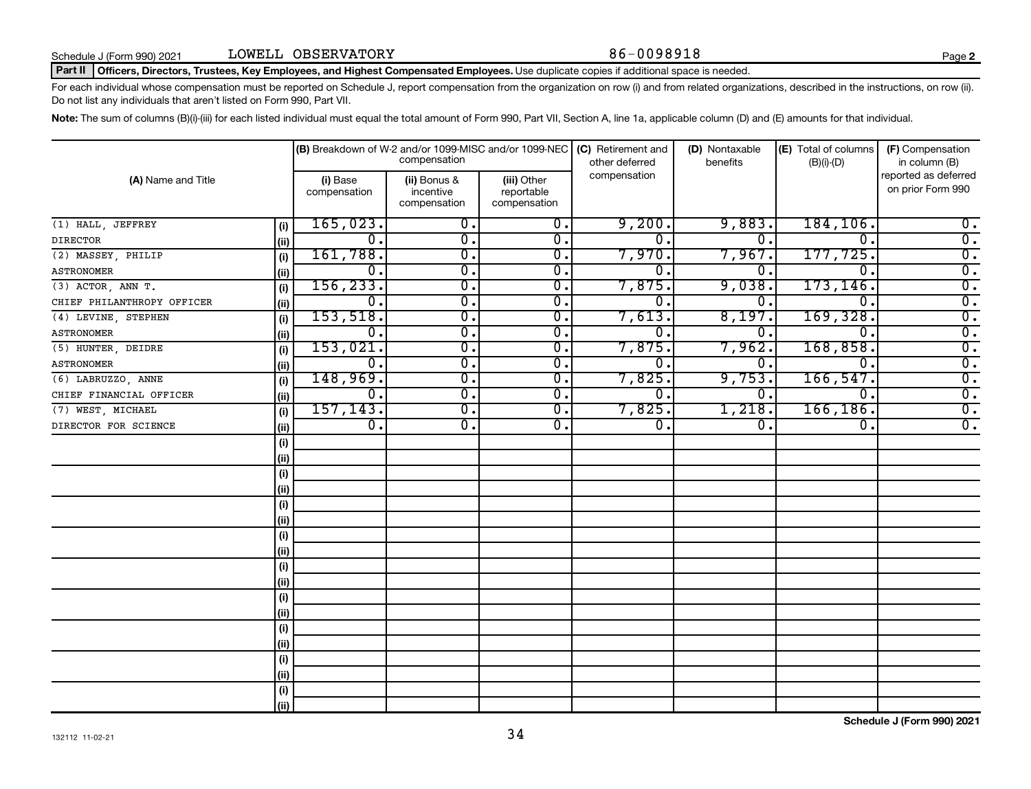#### Part II | Officers, Directors, Trustees, Key Employees, and Highest Compensated Employees. Use duplicate copies if additional space is needed.

For each individual whose compensation must be reported on Schedule J, report compensation from the organization on row (i) and from related organizations, described in the instructions, on row (ii). Do not list any individuals that aren't listed on Form 990, Part VII.

Note: The sum of columns (B)(i)-(iii) for each listed individual must equal the total amount of Form 990, Part VII, Section A, line 1a, applicable column (D) and (E) amounts for that individual.

|                            |                          | (B) Breakdown of W-2 and/or 1099-MISC and/or 1099-NEC | compensation                              |                  | (C) Retirement and<br>other deferred | (D) Nontaxable<br>benefits | (E) Total of columns<br>$(B)(i)-(D)$      | (F) Compensation<br>in column (B) |
|----------------------------|--------------------------|-------------------------------------------------------|-------------------------------------------|------------------|--------------------------------------|----------------------------|-------------------------------------------|-----------------------------------|
| (A) Name and Title         | (i) Base<br>compensation | (ii) Bonus &<br>incentive<br>compensation             | (iii) Other<br>reportable<br>compensation | compensation     |                                      |                            | reported as deferred<br>on prior Form 990 |                                   |
| (1) HALL, JEFFREY          | (i)                      | 165,023.                                              | 0.                                        | 0.               | 9,200.                               | 9,883.                     | 184, 106.                                 | $0$ .                             |
| <b>DIRECTOR</b>            | (ii)                     | $\overline{0}$ .                                      | $\overline{\mathbf{0}}$ .                 | $\mathbf{0}$ .   | $\Omega$ .                           | 0.                         | $\Omega$ .                                | $\overline{0}$ .                  |
| (2) MASSEY, PHILIP         | (i)                      | 161,788.                                              | $\overline{\mathbf{0}}$ .                 | 0.               | 7,970.                               | 7,967.                     | 177,725.                                  | $\overline{0}$ .                  |
| <b>ASTRONOMER</b>          | (ii)                     | 0.                                                    | $\overline{\mathbf{0}}$ .                 | 0.               | 0                                    | 0                          | $\Omega$ .                                | $\overline{0}$ .                  |
| $(3)$ ACTOR, ANN T.        | (i)                      | 156, 233.                                             | $\overline{\mathbf{0}}$ .                 | 0.               | 7,875.                               | 9,038.                     | 173, 146.                                 | $\overline{0}$ .                  |
| CHIEF PHILANTHROPY OFFICER | (ii)                     | 0.                                                    | $\overline{\mathbf{0}}$ .                 | 0.               | 0.                                   | 0.                         | $\Omega$ .                                | $\overline{0}$ .                  |
| (4) LEVINE, STEPHEN        | (i)                      | 153,518.                                              | $\overline{\mathbf{0}}$ .                 | $\overline{0}$ . | 7,613.                               | 8,197                      | 169,328.                                  | $\overline{0}$ .                  |
| <b>ASTRONOMER</b>          | (ii)                     | 0.                                                    | $\overline{\mathbf{0}}$ .                 | Ο.               | 0                                    | 0                          | $\overline{0}$ .                          | $\overline{0}$ .                  |
| (5) HUNTER, DEIDRE         | (i)                      | 153,021.                                              | $\overline{\mathbf{0}}$ .                 | $\overline{0}$ . | 7,875.                               | 7,962                      | 168,858.                                  | $\overline{0}$ .                  |
| <b>ASTRONOMER</b>          | (ii)                     | $\overline{0}$ .                                      | $\overline{0}$ .                          | $\overline{0}$ . | $\mathbf 0$                          | 0.                         | $\overline{0}$ .                          | $\overline{0}$ .                  |
| (6) LABRUZZO, ANNE         | (i)                      | 148,969.                                              | $\overline{\mathfrak{o}}$ .               | $\overline{0}$ . | 7,825.                               | 9,753.                     | 166, 547.                                 | $\overline{0}$ .                  |
| CHIEF FINANCIAL OFFICER    | (ii)                     | $\overline{0}$ .                                      | $\overline{\mathfrak{o}}$ .               | $\overline{0}$ . | $\overline{0}$ .                     | 0,                         | $\overline{0}$ .                          | $\overline{0}$ .                  |
| (7) WEST, MICHAEL          | (i)                      | 157, 143.                                             | $\overline{0}$ .                          | $\overline{0}$ . | 7,825.                               | 1,218.                     | 166, 186.                                 | $\overline{0}$ .                  |
| DIRECTOR FOR SCIENCE       | (ii)                     | $\overline{0}$ .                                      | $\overline{0}$ .                          | $\overline{0}$ . | $\overline{0}$ .                     | $\overline{0}$ .           | 0.                                        | $\overline{0}$ .                  |
|                            | (i)                      |                                                       |                                           |                  |                                      |                            |                                           |                                   |
|                            | (ii)                     |                                                       |                                           |                  |                                      |                            |                                           |                                   |
|                            | (i)                      |                                                       |                                           |                  |                                      |                            |                                           |                                   |
|                            | (i)                      |                                                       |                                           |                  |                                      |                            |                                           |                                   |
|                            | (i)                      |                                                       |                                           |                  |                                      |                            |                                           |                                   |
|                            | (ii)                     |                                                       |                                           |                  |                                      |                            |                                           |                                   |
|                            | (i)                      |                                                       |                                           |                  |                                      |                            |                                           |                                   |
|                            | (ii)                     |                                                       |                                           |                  |                                      |                            |                                           |                                   |
|                            | (i)                      |                                                       |                                           |                  |                                      |                            |                                           |                                   |
|                            | (ii)                     |                                                       |                                           |                  |                                      |                            |                                           |                                   |
|                            | (i)                      |                                                       |                                           |                  |                                      |                            |                                           |                                   |
|                            | (ii)                     |                                                       |                                           |                  |                                      |                            |                                           |                                   |
|                            | (i)                      |                                                       |                                           |                  |                                      |                            |                                           |                                   |
|                            | (ii)                     |                                                       |                                           |                  |                                      |                            |                                           |                                   |
|                            | (i)                      |                                                       |                                           |                  |                                      |                            |                                           |                                   |
|                            | (ii)                     |                                                       |                                           |                  |                                      |                            |                                           |                                   |
|                            | (i)                      |                                                       |                                           |                  |                                      |                            |                                           |                                   |
|                            | (ii)                     |                                                       |                                           |                  |                                      |                            |                                           |                                   |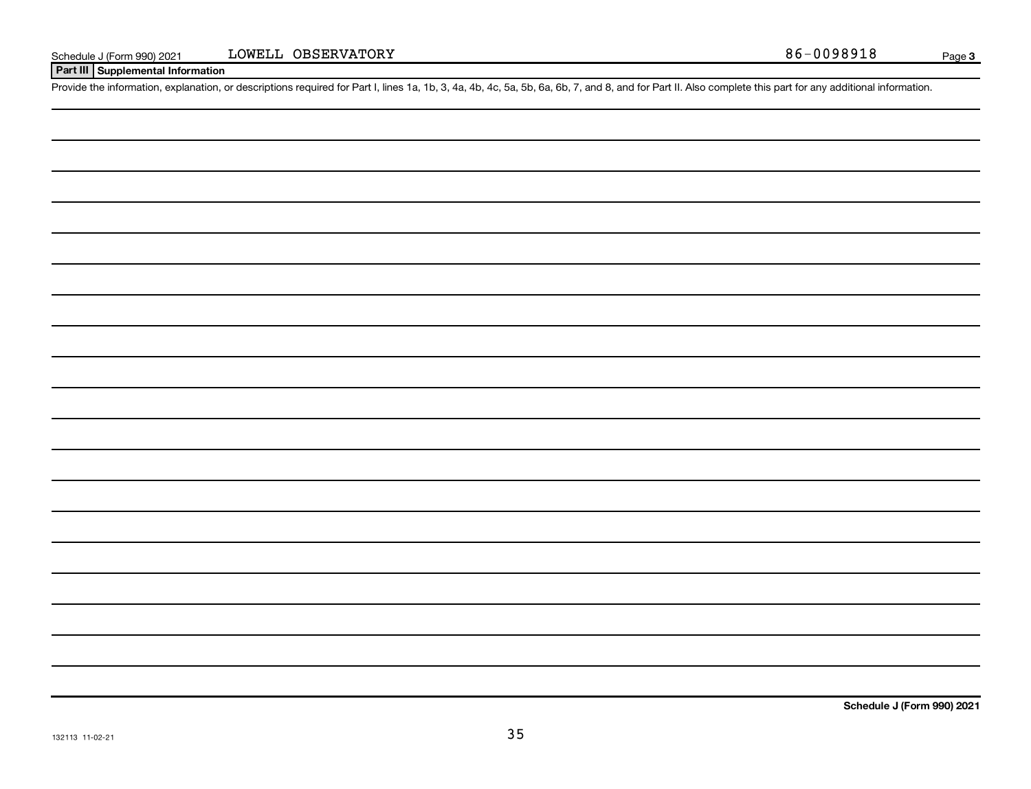**Part III Supplemental Information**

Provide the information, explanation, or descriptions required for Part I, lines 1a, 1b, 3, 4a, 4b, 4c, 5a, 5b, 6a, 6b, 7, and 8, and for Part II. Also complete this part for any additional information.

**Schedule J (Form 990) 2021**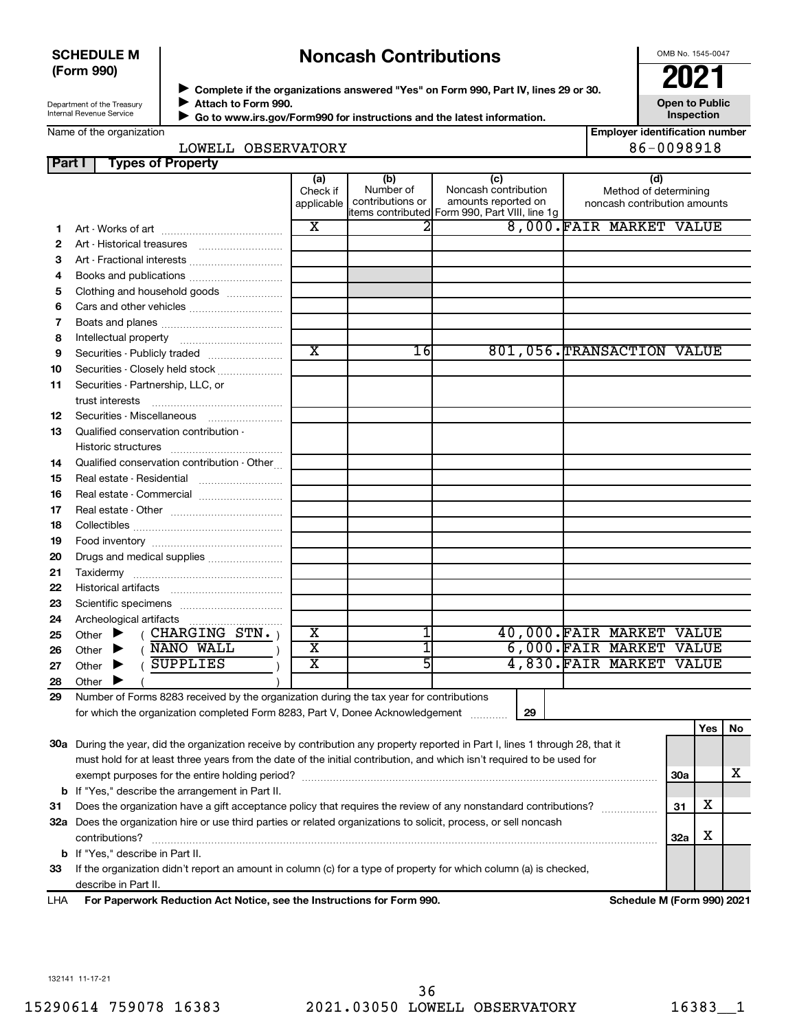### **SCHEDULE M (Form 990)**

# **Noncash Contributions**

OMB No. 1545-0047

| Department of the Treasury      |  |
|---------------------------------|--|
| <b>Internal Revenue Service</b> |  |

◆ Complete if the organizations answered "Yes" on Form 990, Part IV, lines 29 or 30.<br>▶ Complete if the organizations answered "Yes" on Form 990, Part IV, lines 29 or 30. **Attach to Form 990.**  $\blacktriangleright$ 

**Open to Public Inspection**

|  |  | Name of the organization |
|--|--|--------------------------|
|--|--|--------------------------|

 **Go to www.irs.gov/Form990 for instructions and the latest information.** J

| <b>Employer identification number</b> |
|---------------------------------------|
| 86-0098918                            |

| LOWELL OBSERVATORY |
|--------------------|

| Part I   | <b>Types of Property</b>                                                                                                       |                               |                                      |                                                                                                      |                                                              |            |            |     |
|----------|--------------------------------------------------------------------------------------------------------------------------------|-------------------------------|--------------------------------------|------------------------------------------------------------------------------------------------------|--------------------------------------------------------------|------------|------------|-----|
|          |                                                                                                                                | (a)<br>Check if<br>applicable | (b)<br>Number of<br>contributions or | (c)<br>Noncash contribution<br>amounts reported on<br>items contributed Form 990, Part VIII, line 1g | (d)<br>Method of determining<br>noncash contribution amounts |            |            |     |
| 1.       |                                                                                                                                | X                             | 2                                    |                                                                                                      | 8,000. FAIR MARKET VALUE                                     |            |            |     |
| 2        |                                                                                                                                |                               |                                      |                                                                                                      |                                                              |            |            |     |
| З        | Art - Fractional interests                                                                                                     |                               |                                      |                                                                                                      |                                                              |            |            |     |
| 4        | Books and publications                                                                                                         |                               |                                      |                                                                                                      |                                                              |            |            |     |
| 5        | Clothing and household goods                                                                                                   |                               |                                      |                                                                                                      |                                                              |            |            |     |
| 6        |                                                                                                                                |                               |                                      |                                                                                                      |                                                              |            |            |     |
| 7        |                                                                                                                                |                               |                                      |                                                                                                      |                                                              |            |            |     |
| 8        |                                                                                                                                |                               |                                      |                                                                                                      |                                                              |            |            |     |
| 9        | Securities - Publicly traded                                                                                                   | $\overline{\text{x}}$         | 16I                                  |                                                                                                      | 801,056. TRANSACTION VALUE                                   |            |            |     |
| 10       | Securities - Closely held stock                                                                                                |                               |                                      |                                                                                                      |                                                              |            |            |     |
| 11       | Securities - Partnership, LLC, or<br>trust interests                                                                           |                               |                                      |                                                                                                      |                                                              |            |            |     |
| 12       | Securities - Miscellaneous                                                                                                     |                               |                                      |                                                                                                      |                                                              |            |            |     |
| 13       | Qualified conservation contribution -                                                                                          |                               |                                      |                                                                                                      |                                                              |            |            |     |
|          |                                                                                                                                |                               |                                      |                                                                                                      |                                                              |            |            |     |
| 14<br>15 | Qualified conservation contribution - Other<br>Real estate - Residential                                                       |                               |                                      |                                                                                                      |                                                              |            |            |     |
| 16       | Real estate - Commercial                                                                                                       |                               |                                      |                                                                                                      |                                                              |            |            |     |
| 17       |                                                                                                                                |                               |                                      |                                                                                                      |                                                              |            |            |     |
| 18       |                                                                                                                                |                               |                                      |                                                                                                      |                                                              |            |            |     |
| 19       |                                                                                                                                |                               |                                      |                                                                                                      |                                                              |            |            |     |
| 20       | Drugs and medical supplies                                                                                                     |                               |                                      |                                                                                                      |                                                              |            |            |     |
| 21       |                                                                                                                                |                               |                                      |                                                                                                      |                                                              |            |            |     |
| 22       |                                                                                                                                |                               |                                      |                                                                                                      |                                                              |            |            |     |
| 23       |                                                                                                                                |                               |                                      |                                                                                                      |                                                              |            |            |     |
| 24       | Archeological artifacts                                                                                                        |                               |                                      |                                                                                                      |                                                              |            |            |     |
| 25       | $($ CHARGING STN. $)$<br>Other $\blacktriangleright$                                                                           | х                             |                                      |                                                                                                      | 40,000. FAIR MARKET VALUE                                    |            |            |     |
| 26       | ( NANO WALL<br>▶<br>Other                                                                                                      | $\overline{\text{x}}$         |                                      |                                                                                                      | 6,000.FAIR MARKET VALUE                                      |            |            |     |
| 27       | <b>SUPPLIES</b><br>Other<br>▶                                                                                                  | $\overline{\mathtt{x}}$       | 5                                    |                                                                                                      | 4,830. FAIR MARKET VALUE                                     |            |            |     |
| 28       | Other                                                                                                                          |                               |                                      |                                                                                                      |                                                              |            |            |     |
| 29       | Number of Forms 8283 received by the organization during the tax year for contributions                                        |                               |                                      |                                                                                                      |                                                              |            |            |     |
|          | for which the organization completed Form 8283, Part V, Donee Acknowledgement                                                  |                               |                                      | 29<br>.                                                                                              |                                                              |            |            |     |
|          | 30a During the year, did the organization receive by contribution any property reported in Part I, lines 1 through 28, that it |                               |                                      |                                                                                                      |                                                              |            | <b>Yes</b> | No. |
|          | must hold for at least three years from the date of the initial contribution, and which isn't required to be used for          |                               |                                      |                                                                                                      |                                                              |            |            |     |
|          |                                                                                                                                |                               |                                      |                                                                                                      |                                                              | <b>30a</b> |            | х   |
| b        | If "Yes," describe the arrangement in Part II.                                                                                 |                               |                                      |                                                                                                      |                                                              |            |            |     |
| 31       | Does the organization have a gift acceptance policy that requires the review of any nonstandard contributions?                 |                               |                                      |                                                                                                      |                                                              | Χ<br>31    |            |     |
|          | 32a Does the organization hire or use third parties or related organizations to solicit, process, or sell noncash              |                               |                                      |                                                                                                      |                                                              |            |            |     |
|          | contributions?                                                                                                                 |                               |                                      |                                                                                                      |                                                              | х<br>32a   |            |     |
| b        | If "Yes," describe in Part II.                                                                                                 |                               |                                      |                                                                                                      |                                                              |            |            |     |
| 33       | If the organization didn't report an amount in column (c) for a type of property for which column (a) is checked,              |                               |                                      |                                                                                                      |                                                              |            |            |     |
|          | describe in Part II.                                                                                                           |                               |                                      |                                                                                                      |                                                              |            |            |     |

**For Paperwork Reduction Act Notice, see the Instructions for Form 990. Schedule M (Form 990) 2021** LHA

132141 11-17-21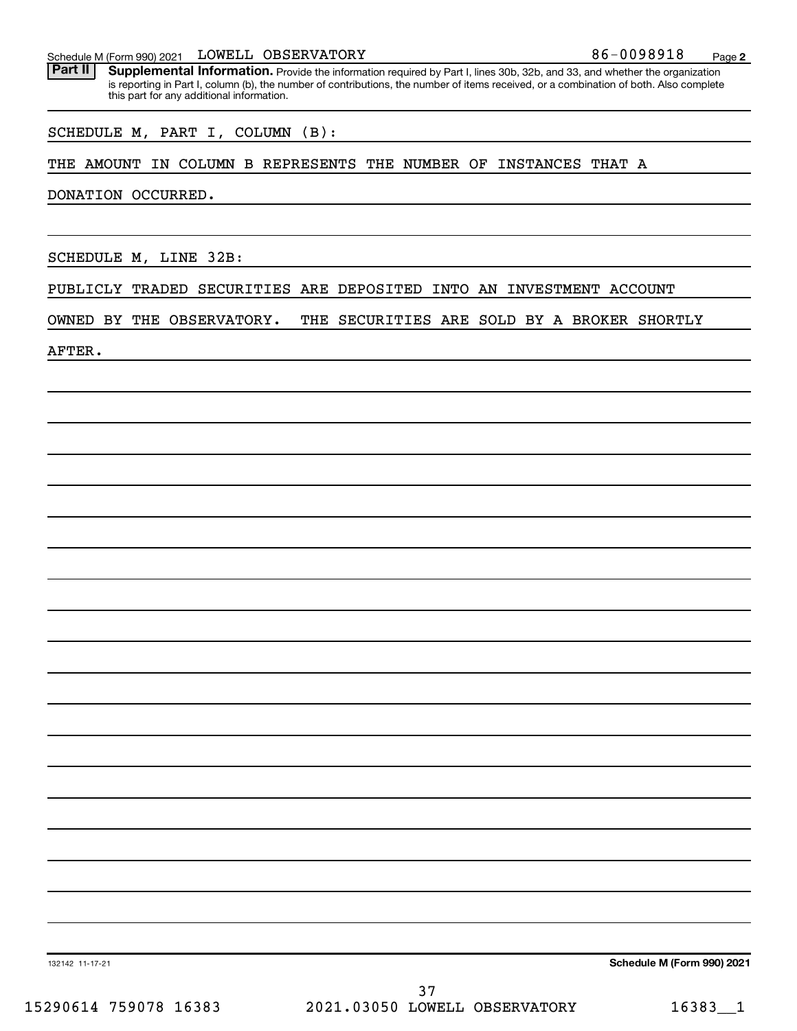#### Schedule M (Form 990) 2021  $L$   $L$   $OWELL$   $OBSERVATORY$   $86-0098918$   $Page$

Part II | Supplemental Information. Provide the information required by Part I, lines 30b, 32b, and 33, and whether the organization is reporting in Part I, column (b), the number of contributions, the number of items received, or a combination of both. Also complete this part for any additional information.

SCHEDULE M, PART I, COLUMN (B):

#### THE AMOUNT IN COLUMN B REPRESENTS THE NUMBER OF INSTANCES THAT A

DONATION OCCURRED.

SCHEDULE M, LINE 32B:

PUBLICLY TRADED SECURITIES ARE DEPOSITED INTO AN INVESTMENT ACCOUNT

OWNED BY THE OBSERVATORY. THE SECURITIES ARE SOLD BY A BROKER SHORTLY

AFTER.

**Schedule M (Form 990) 2021**

132142 11-17-21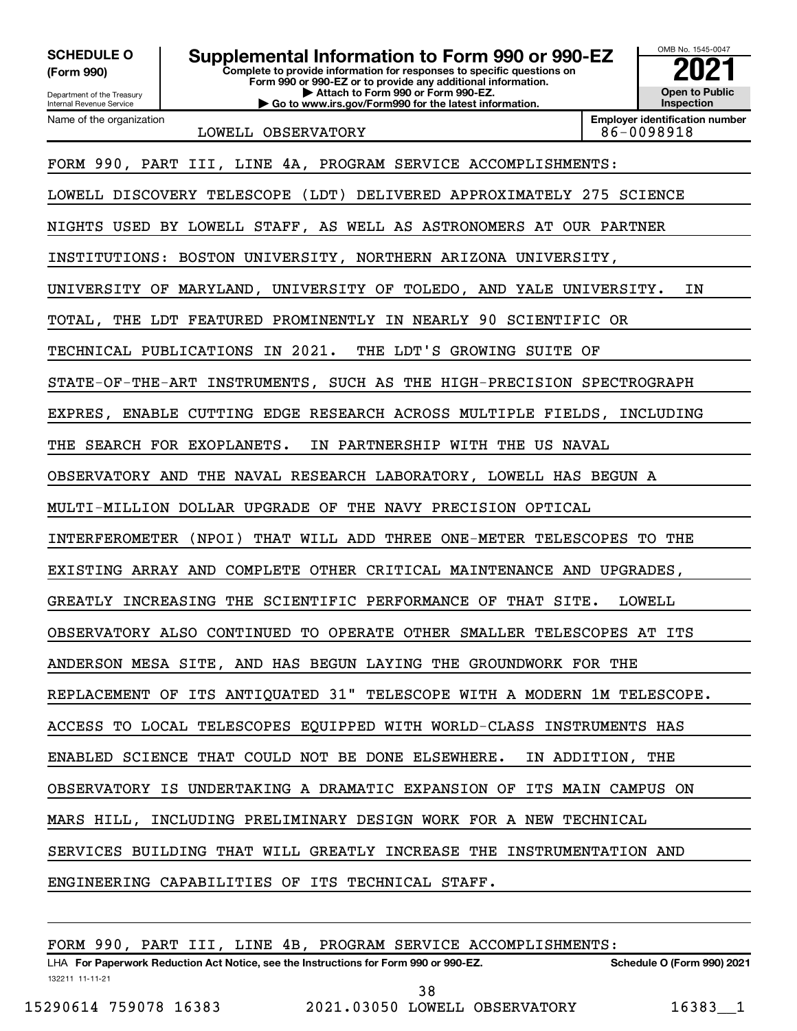**(Form 990)**

Department of the Treasury Internal Revenue Service Name of the organization

**Complete to provide information for responses to specific questions on Form 990 or 990-EZ or to provide any additional information. | Attach to Form 990 or Form 990-EZ. | Go to www.irs.gov/Form990 for the latest information. SCHEDULE O Supplemental Information to Form 990 or 990-EZ**  $\frac{100000}{2}$ 

OMB No. 1545-0047 **Open to Public Inspection**

**Employer identification number**

LOWELL OBSERVATORY 86-0098918 FORM 990, PART III, LINE 4A, PROGRAM SERVICE ACCOMPLISHMENTS: LOWELL DISCOVERY TELESCOPE (LDT) DELIVERED APPROXIMATELY 275 SCIENCE NIGHTS USED BY LOWELL STAFF, AS WELL AS ASTRONOMERS AT OUR PARTNER INSTITUTIONS: BOSTON UNIVERSITY, NORTHERN ARIZONA UNIVERSITY, UNIVERSITY OF MARYLAND, UNIVERSITY OF TOLEDO, AND YALE UNIVERSITY. IN TOTAL, THE LDT FEATURED PROMINENTLY IN NEARLY 90 SCIENTIFIC OR TECHNICAL PUBLICATIONS IN 2021. THE LDT'S GROWING SUITE OF STATE-OF-THE-ART INSTRUMENTS, SUCH AS THE HIGH-PRECISION SPECTROGRAPH EXPRES, ENABLE CUTTING EDGE RESEARCH ACROSS MULTIPLE FIELDS, INCLUDING THE SEARCH FOR EXOPLANETS. IN PARTNERSHIP WITH THE US NAVAL OBSERVATORY AND THE NAVAL RESEARCH LABORATORY, LOWELL HAS BEGUN A MULTI-MILLION DOLLAR UPGRADE OF THE NAVY PRECISION OPTICAL INTERFEROMETER (NPOI) THAT WILL ADD THREE ONE-METER TELESCOPES TO THE EXISTING ARRAY AND COMPLETE OTHER CRITICAL MAINTENANCE AND UPGRADES, GREATLY INCREASING THE SCIENTIFIC PERFORMANCE OF THAT SITE. LOWELL OBSERVATORY ALSO CONTINUED TO OPERATE OTHER SMALLER TELESCOPES AT ITS ANDERSON MESA SITE, AND HAS BEGUN LAYING THE GROUNDWORK FOR THE REPLACEMENT OF ITS ANTIQUATED 31" TELESCOPE WITH A MODERN 1M TELESCOPE. ACCESS TO LOCAL TELESCOPES EQUIPPED WITH WORLD-CLASS INSTRUMENTS HAS ENABLED SCIENCE THAT COULD NOT BE DONE ELSEWHERE. IN ADDITION, THE OBSERVATORY IS UNDERTAKING A DRAMATIC EXPANSION OF ITS MAIN CAMPUS ON MARS HILL, INCLUDING PRELIMINARY DESIGN WORK FOR A NEW TECHNICAL SERVICES BUILDING THAT WILL GREATLY INCREASE THE INSTRUMENTATION AND ENGINEERING CAPABILITIES OF ITS TECHNICAL STAFF. FORM 990, PART III, LINE 4B, PROGRAM SERVICE ACCOMPLISHMENTS: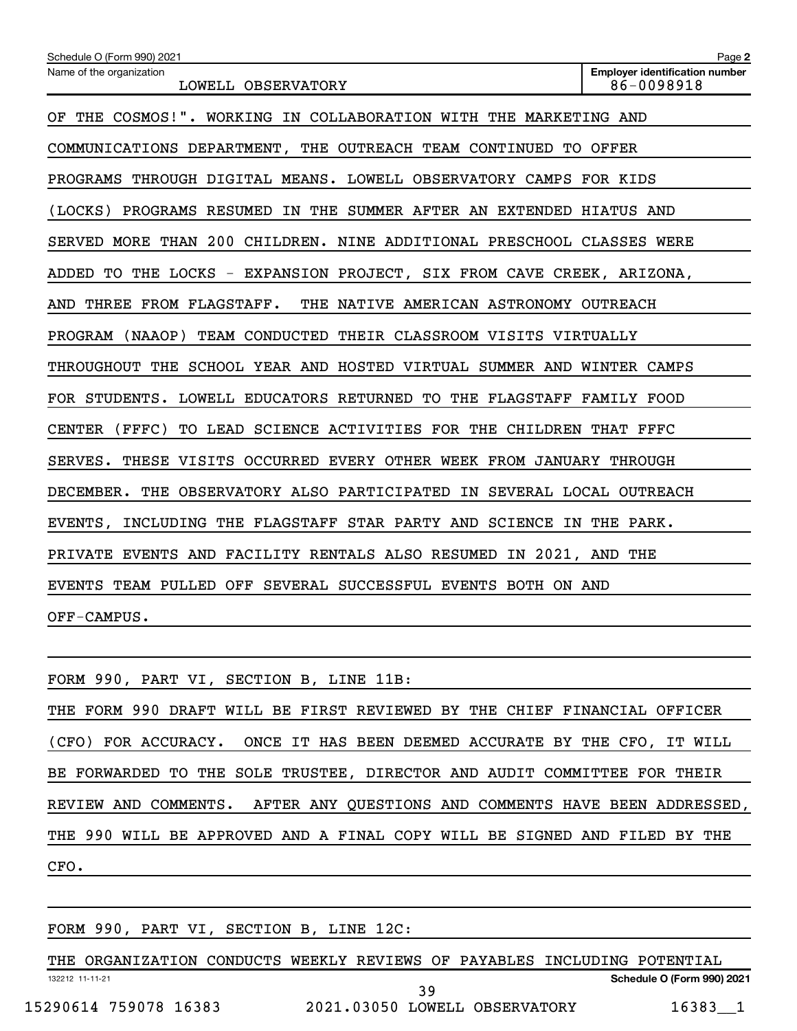| Schedule O (Form 990) 2021                                                | Page 2                                              |
|---------------------------------------------------------------------------|-----------------------------------------------------|
| Name of the organization<br>LOWELL OBSERVATORY                            | <b>Employer identification number</b><br>86-0098918 |
| OF THE COSMOS!". WORKING IN COLLABORATION WITH THE MARKETING AND          |                                                     |
| COMMUNICATIONS DEPARTMENT, THE OUTREACH TEAM CONTINUED TO OFFER           |                                                     |
| PROGRAMS THROUGH DIGITAL MEANS. LOWELL OBSERVATORY CAMPS FOR KIDS         |                                                     |
| (LOCKS)<br>PROGRAMS RESUMED IN THE SUMMER AFTER AN EXTENDED HIATUS AND    |                                                     |
| SERVED MORE THAN 200 CHILDREN. NINE ADDITIONAL PRESCHOOL CLASSES WERE     |                                                     |
| TO THE LOCKS - EXPANSION PROJECT, SIX FROM CAVE CREEK, ARIZONA,<br>ADDED  |                                                     |
| THE<br>THREE FROM FLAGSTAFF.<br>NATIVE AMERICAN ASTRONOMY OUTREACH<br>AND |                                                     |
| PROGRAM (NAAOP) TEAM CONDUCTED THEIR CLASSROOM VISITS VIRTUALLY           |                                                     |
| THROUGHOUT THE SCHOOL YEAR AND HOSTED VIRTUAL SUMMER AND WINTER CAMPS     |                                                     |
| FOR STUDENTS.<br>LOWELL EDUCATORS RETURNED TO THE FLAGSTAFF FAMILY FOOD   |                                                     |
| CENTER<br>TO LEAD SCIENCE ACTIVITIES FOR THE CHILDREN THAT FFFC<br>(FFFC) |                                                     |
| THESE VISITS OCCURRED EVERY OTHER WEEK FROM JANUARY THROUGH<br>SERVES.    |                                                     |
| DECEMBER. THE OBSERVATORY ALSO PARTICIPATED IN SEVERAL LOCAL OUTREACH     |                                                     |
| INCLUDING THE FLAGSTAFF STAR PARTY AND SCIENCE IN THE PARK.<br>EVENTS,    |                                                     |
| PRIVATE EVENTS AND FACILITY RENTALS ALSO RESUMED IN 2021, AND THE         |                                                     |
| EVENTS TEAM PULLED OFF SEVERAL SUCCESSFUL EVENTS BOTH ON AND              |                                                     |
| OFF-CAMPUS.                                                               |                                                     |

|      |  |  | FORM 990, PART VI, SECTION B, LINE 11B:                                   |  |  |  |  |  |  |                                                                            |
|------|--|--|---------------------------------------------------------------------------|--|--|--|--|--|--|----------------------------------------------------------------------------|
|      |  |  | THE FORM 990 DRAFT WILL BE FIRST REVIEWED BY THE CHIEF FINANCIAL OFFICER  |  |  |  |  |  |  |                                                                            |
|      |  |  | (CFO) FOR ACCURACY. ONCE IT HAS BEEN DEEMED ACCURATE BY THE CFO, IT WILL  |  |  |  |  |  |  |                                                                            |
|      |  |  | BE FORWARDED TO THE SOLE TRUSTEE, DIRECTOR AND AUDIT COMMITTEE FOR THEIR  |  |  |  |  |  |  |                                                                            |
|      |  |  |                                                                           |  |  |  |  |  |  | REVIEW AND COMMENTS. AFTER ANY QUESTIONS AND COMMENTS HAVE BEEN ADDRESSED, |
|      |  |  | THE 990 WILL BE APPROVED AND A FINAL COPY WILL BE SIGNED AND FILED BY THE |  |  |  |  |  |  |                                                                            |
| CFO. |  |  |                                                                           |  |  |  |  |  |  |                                                                            |
|      |  |  |                                                                           |  |  |  |  |  |  |                                                                            |

FORM 990, PART VI, SECTION B, LINE 12C:

132212 11-11-21 **Schedule O (Form 990) 2021** THE ORGANIZATION CONDUCTS WEEKLY REVIEWS OF PAYABLES INCLUDING POTENTIAL 15290614 759078 16383 2021.03050 LOWELL OBSERVATORY 16383\_\_1 39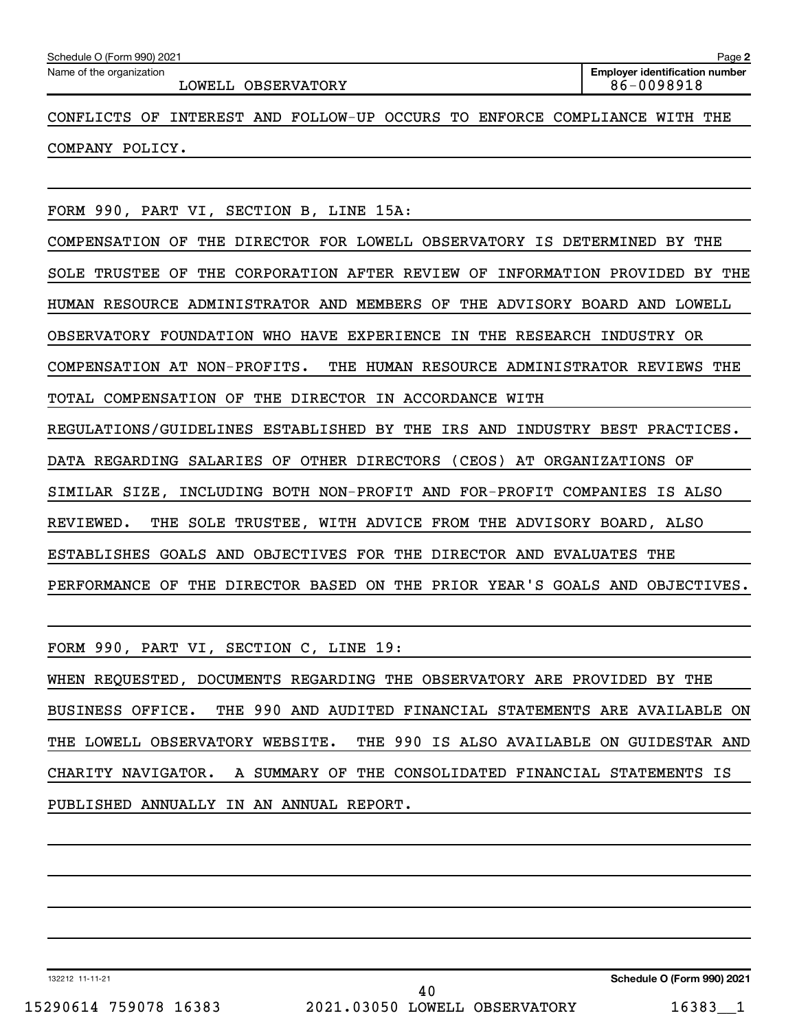| Schedule O (Form 990) 2021                                                   | Page 2                                              |
|------------------------------------------------------------------------------|-----------------------------------------------------|
| Name of the organization<br>LOWELL OBSERVATORY                               | <b>Employer identification number</b><br>86-0098918 |
| CONFLICTS OF<br>INTEREST AND FOLLOW-UP OCCURS TO                             | ENFORCE COMPLIANCE WITH THE                         |
| COMPANY POLICY.                                                              |                                                     |
|                                                                              |                                                     |
| FORM 990, PART VI, SECTION B, LINE 15A:                                      |                                                     |
| COMPENSATION OF THE DIRECTOR FOR LOWELL OBSERVATORY IS DETERMINED BY THE     |                                                     |
| SOLE TRUSTEE OF THE CORPORATION AFTER REVIEW OF INFORMATION PROVIDED BY THE  |                                                     |
| HUMAN RESOURCE ADMINISTRATOR AND MEMBERS OF THE ADVISORY BOARD AND LOWELL    |                                                     |
| OBSERVATORY FOUNDATION WHO HAVE EXPERIENCE IN THE RESEARCH INDUSTRY OR       |                                                     |
| THE HUMAN RESOURCE ADMINISTRATOR REVIEWS THE<br>COMPENSATION AT NON-PROFITS. |                                                     |
| TOTAL COMPENSATION OF THE DIRECTOR IN ACCORDANCE WITH                        |                                                     |
| REGULATIONS/GUIDELINES ESTABLISHED BY THE IRS AND INDUSTRY BEST PRACTICES.   |                                                     |
| DATA REGARDING SALARIES OF OTHER DIRECTORS (CEOS) AT ORGANIZATIONS OF        |                                                     |
| SIMILAR SIZE, INCLUDING BOTH NON-PROFIT AND FOR-PROFIT COMPANIES IS ALSO     |                                                     |
| THE SOLE TRUSTEE, WITH ADVICE FROM THE ADVISORY BOARD, ALSO<br>REVIEWED.     |                                                     |
| ESTABLISHES GOALS AND OBJECTIVES FOR THE DIRECTOR AND EVALUATES THE          |                                                     |
| PERFORMANCE OF THE DIRECTOR BASED ON THE PRIOR YEAR'S GOALS AND OBJECTIVES.  |                                                     |

FORM 990, PART VI, SECTION C, LINE 19:

WHEN REQUESTED, DOCUMENTS REGARDING THE OBSERVATORY ARE PROVIDED BY THE BUSINESS OFFICE. THE 990 AND AUDITED FINANCIAL STATEMENTS ARE AVAILABLE ON THE LOWELL OBSERVATORY WEBSITE. THE 990 IS ALSO AVAILABLE ON GUIDESTAR AND CHARITY NAVIGATOR. A SUMMARY OF THE CONSOLIDATED FINANCIAL STATEMENTS IS PUBLISHED ANNUALLY IN AN ANNUAL REPORT.

132212 11-11-21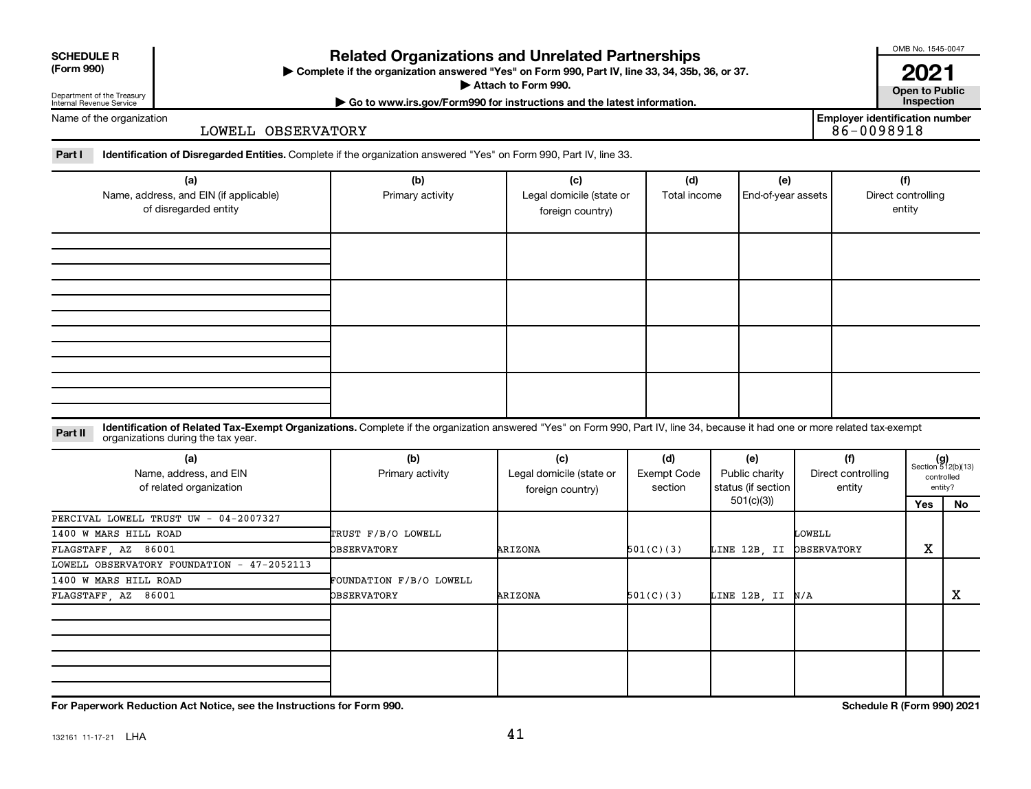| <b>SCHEDULE R</b> |  |
|-------------------|--|
|                   |  |

Department of the Treasury Internal Revenue Service

### **Related Organizations and Unrelated Partnerships**

**(Form 990) Complete if the organization answered "Yes" on Form 990, Part IV, line 33, 34, 35b, 36, or 37.** |

▶ Attach to Form 990. **Open to Public** 

**| Go to www.irs.gov/Form990 for instructions and the latest information. Inspection**

**2021**<br>Open to Public

**Employer identification number**

OMB No. 1545-0047

Name of the organization

LOWELL OBSERVATORY

Part I ldentification of Disregarded Entities. Complete if the organization answered "Yes" on Form 990, Part IV, line 33.

| (a)<br>Name, address, and EIN (if applicable) | (b)<br>Primary activity | (c)<br>Legal domicile (state or | (d)<br>Total income | (e)<br>End-of-year assets | (f)<br>Direct controlling |
|-----------------------------------------------|-------------------------|---------------------------------|---------------------|---------------------------|---------------------------|
| of disregarded entity                         |                         | foreign country)                |                     |                           | entity                    |
|                                               |                         |                                 |                     |                           |                           |
|                                               |                         |                                 |                     |                           |                           |
|                                               |                         |                                 |                     |                           |                           |
|                                               |                         |                                 |                     |                           |                           |
|                                               |                         |                                 |                     |                           |                           |
|                                               |                         |                                 |                     |                           |                           |
|                                               |                         |                                 |                     |                           |                           |

#### **Part II** Identification of Related Tax-Exempt Organizations. Complete if the organization answered "Yes" on Form 990, Part IV, line 34, because it had one or more related tax-exempt<br>Part II acconizations during the tax ye organizations during the tax year.

| (a)<br>Name, address, and EIN<br>of related organization | (b)<br>Primary activity | (c)<br>Legal domicile (state or<br>foreign country) | (d)<br><b>Exempt Code</b><br>section | (e)<br>Public charity<br>status (if section | (f)<br>Direct controlling<br>entity |        | $(g)$<br>Section 512(b)(13)<br>controlled<br>entity? |  |
|----------------------------------------------------------|-------------------------|-----------------------------------------------------|--------------------------------------|---------------------------------------------|-------------------------------------|--------|------------------------------------------------------|--|
|                                                          |                         |                                                     |                                      | 501(c)(3))                                  |                                     | Yes    | No                                                   |  |
| PERCIVAL LOWELL TRUST UW - 04-2007327                    |                         |                                                     |                                      |                                             |                                     |        |                                                      |  |
| 1400 W MARS HILL ROAD                                    | TRUST F/B/O LOWELL      |                                                     |                                      |                                             | LOWELL                              |        |                                                      |  |
| FLAGSTAFF, AZ 86001                                      | <b>OBSERVATORY</b>      | ARIZONA                                             | 501(C)(3)                            | LINE 12B, II                                | <b>OBSERVATORY</b>                  | v<br>▵ |                                                      |  |
| LOWELL OBSERVATORY FOUNDATION - 47-2052113               |                         |                                                     |                                      |                                             |                                     |        |                                                      |  |
| 1400 W MARS HILL ROAD                                    | FOUNDATION F/B/O LOWELL |                                                     |                                      |                                             |                                     |        |                                                      |  |
| FLAGSTAFF, AZ 86001                                      | <b>OBSERVATORY</b>      | ARIZONA                                             | 501(C)(3)                            | LINE 12B, II N/A                            |                                     |        | x                                                    |  |
|                                                          |                         |                                                     |                                      |                                             |                                     |        |                                                      |  |
|                                                          |                         |                                                     |                                      |                                             |                                     |        |                                                      |  |
|                                                          |                         |                                                     |                                      |                                             |                                     |        |                                                      |  |
|                                                          |                         |                                                     |                                      |                                             |                                     |        |                                                      |  |

**For Paperwork Reduction Act Notice, see the Instructions for Form 990. Schedule R (Form 990) 2021**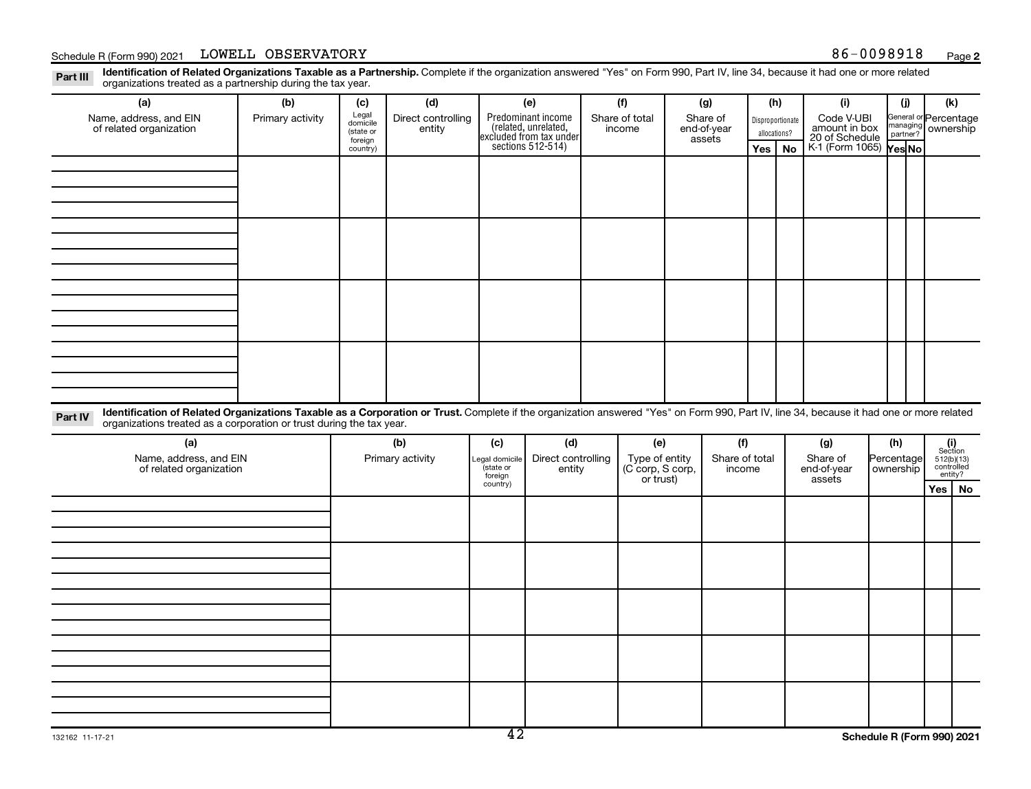Disproportionate allocations? Legal domicile (state or foreign country) General or Percentage managing partner? Part III Identification of Related Organizations Taxable as a Partnership. Complete if the organization answered "Yes" on Form 990, Part IV, line 34, because it had one or more related<br>Read to the organizations tracted as **(a) (b) (c) (d) (e) (f) (g) (h) (i) (j) (k) Yes No Yes No** K-1 (Form 1065) Predominant income (related, unrelated, excluded from tax under sections 512-514) Schedule R (Form 990) 2021 LOWELL OBSERVATORY National Schedule R (Form 990) 2021 LOWELL OBSERVATORY organizations treated as a partnership during the tax year. Name, address, and EIN of related organization Primary activity  $\left| \begin{array}{c} \text{Legal} \\ \text{demi} \end{array} \right|$  Direct controlling entity Share of total income Share of end-of-year assets Code V-UBI<br>amount in box 20 of Schedule ownership

Part IV Identification of Related Organizations Taxable as a Corporation or Trust. Complete if the organization answered "Yes" on Form 990, Part IV, line 34, because it had one or more related organizations treated as a corporation or trust during the tax year.

| (a)<br>Name, address, and EIN<br>of related organization | (b)<br>Primary activity | (c)<br>Legal domicile<br>state or<br>foreign | (d)<br>Direct controlling<br>entity | (e)<br>Type of entity<br>(C corp, S corp,<br>or trust) | (f)<br>Share of total<br>income | (g)<br>Share of<br>end-of-year<br>assets | (h)<br>Percentage<br>  ownership | $\begin{array}{c} \textbf{(i)}\\ \text{Section}\\ 5\,12 \text{(b)} \text{(13)}\\ \text{controlled} \\ \text{entity?} \end{array}$ |
|----------------------------------------------------------|-------------------------|----------------------------------------------|-------------------------------------|--------------------------------------------------------|---------------------------------|------------------------------------------|----------------------------------|-----------------------------------------------------------------------------------------------------------------------------------|
|                                                          |                         | country)                                     |                                     |                                                        |                                 |                                          |                                  | Yes   No                                                                                                                          |
|                                                          |                         |                                              |                                     |                                                        |                                 |                                          |                                  |                                                                                                                                   |
|                                                          |                         |                                              |                                     |                                                        |                                 |                                          |                                  |                                                                                                                                   |
|                                                          |                         |                                              |                                     |                                                        |                                 |                                          |                                  |                                                                                                                                   |
|                                                          |                         |                                              |                                     |                                                        |                                 |                                          |                                  |                                                                                                                                   |
|                                                          |                         |                                              |                                     |                                                        |                                 |                                          |                                  |                                                                                                                                   |
|                                                          |                         |                                              |                                     |                                                        |                                 |                                          |                                  |                                                                                                                                   |
|                                                          |                         |                                              |                                     |                                                        |                                 |                                          |                                  |                                                                                                                                   |
|                                                          |                         |                                              |                                     |                                                        |                                 |                                          |                                  |                                                                                                                                   |
|                                                          |                         |                                              |                                     |                                                        |                                 |                                          |                                  |                                                                                                                                   |
|                                                          |                         |                                              |                                     |                                                        |                                 |                                          |                                  |                                                                                                                                   |
|                                                          |                         |                                              |                                     |                                                        |                                 |                                          |                                  |                                                                                                                                   |
|                                                          |                         |                                              |                                     |                                                        |                                 |                                          |                                  |                                                                                                                                   |
|                                                          |                         |                                              |                                     |                                                        |                                 |                                          |                                  |                                                                                                                                   |
|                                                          |                         |                                              |                                     |                                                        |                                 |                                          |                                  |                                                                                                                                   |
|                                                          |                         |                                              |                                     |                                                        |                                 |                                          |                                  |                                                                                                                                   |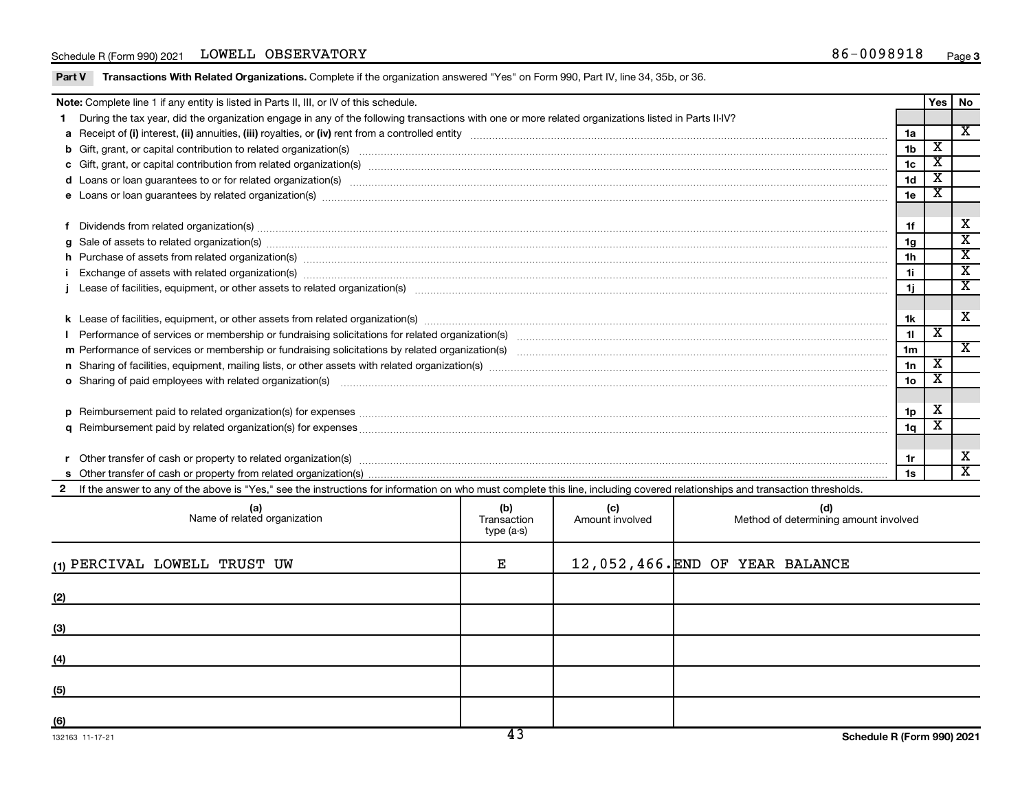#### Schedule R (Form 990) 2021 LOWELL OBSERVATORY National Schedule R (Form 990) 2021 LOWELL OBSERVATORY

Part V Transactions With Related Organizations. Complete if the organization answered "Yes" on Form 990, Part IV, line 34, 35b, or 36.

|    | Note: Complete line 1 if any entity is listed in Parts II, III, or IV of this schedule.                                                                                                                                        |                 | Yes                     | No                      |
|----|--------------------------------------------------------------------------------------------------------------------------------------------------------------------------------------------------------------------------------|-----------------|-------------------------|-------------------------|
| 1. | During the tax year, did the organization engage in any of the following transactions with one or more related organizations listed in Parts II-IV?                                                                            |                 |                         |                         |
|    |                                                                                                                                                                                                                                | 1a              |                         | $\mathbf x$             |
|    |                                                                                                                                                                                                                                | 1 <sub>b</sub>  | $\overline{\texttt{x}}$ |                         |
|    |                                                                                                                                                                                                                                | 1 <sub>c</sub>  | х                       |                         |
|    |                                                                                                                                                                                                                                | 1 <sub>d</sub>  | $\overline{\texttt{x}}$ |                         |
|    |                                                                                                                                                                                                                                | 1e              |                         |                         |
|    |                                                                                                                                                                                                                                |                 |                         |                         |
|    | Dividends from related organization(s) manufactured and contract and contract or produced and contract and contract and contract and contract and contract and contract and contract and contract and contract and contract an | 1f              |                         | х                       |
|    | $g$ Sale of assets to related organization(s) with the contraction of the contraction of the contract of the contract of the contract of the contract of the contract of the contract of the contract of the contract of the   | 1g              |                         | $\overline{\textbf{x}}$ |
|    | h Purchase of assets from related organization(s) manufactured content to the content of the content of the content of the content of the content of the content of the content of the content of the content of the content o | 1 <sub>h</sub>  |                         | $\overline{\textbf{x}}$ |
|    |                                                                                                                                                                                                                                | 1i.             |                         | $\overline{\mathbf{x}}$ |
|    |                                                                                                                                                                                                                                | 1j              |                         | $\overline{\texttt{x}}$ |
|    |                                                                                                                                                                                                                                |                 |                         |                         |
|    |                                                                                                                                                                                                                                | 1k              |                         | х                       |
|    |                                                                                                                                                                                                                                | 11              | x                       |                         |
|    |                                                                                                                                                                                                                                | 1 <sub>m</sub>  |                         | X                       |
|    | n Sharing of facilities, equipment, mailing lists, or other assets with related organization(s) marror manufactured manufactured manufactured manufactured manufactured manufactured manufactured manufactured manufactured ma | 1n              | $\overline{\mathbf{X}}$ |                         |
|    | o Sharing of paid employees with related organization(s) manufaction(s) and contain a substitution of the state or state or state or state or state or state or state or state or state or state or state or state or state or | 10 <sub>o</sub> | х                       |                         |
|    |                                                                                                                                                                                                                                |                 |                         |                         |
|    | p Reimbursement paid to related organization(s) for expenses [1111] and the content of the content of the content of the content of the content of the content of the content of the content of the content of the content of  | 1p              | х                       |                         |
|    |                                                                                                                                                                                                                                | 1 <sub>q</sub>  | х                       |                         |
|    |                                                                                                                                                                                                                                |                 |                         |                         |
| r  |                                                                                                                                                                                                                                | 1r              |                         | х                       |
|    |                                                                                                                                                                                                                                | 1s              |                         | $\overline{\mathbf{X}}$ |
|    | 2 If the answer to any of the above is "Yes," see the instructions for information on who must complete this line, including covered relationships and transaction thresholds.                                                 |                 |                         |                         |
|    |                                                                                                                                                                                                                                |                 |                         |                         |

| (a)<br>Name of related organization | (b)<br>Transaction<br>type (a-s) | (c)<br>Amount involved | (d)<br>Method of determining amount involved |
|-------------------------------------|----------------------------------|------------------------|----------------------------------------------|
| (1) PERCIVAL LOWELL TRUST UW        | Е                                |                        | 12,052,466.END OF YEAR BALANCE               |
| (2)                                 |                                  |                        |                                              |
| (3)                                 |                                  |                        |                                              |
| (4)                                 |                                  |                        |                                              |
| (5)                                 |                                  |                        |                                              |
| (6)                                 |                                  |                        |                                              |
| 132163 11-17-21                     | 43                               |                        | Schedule R (Form 990) 2021                   |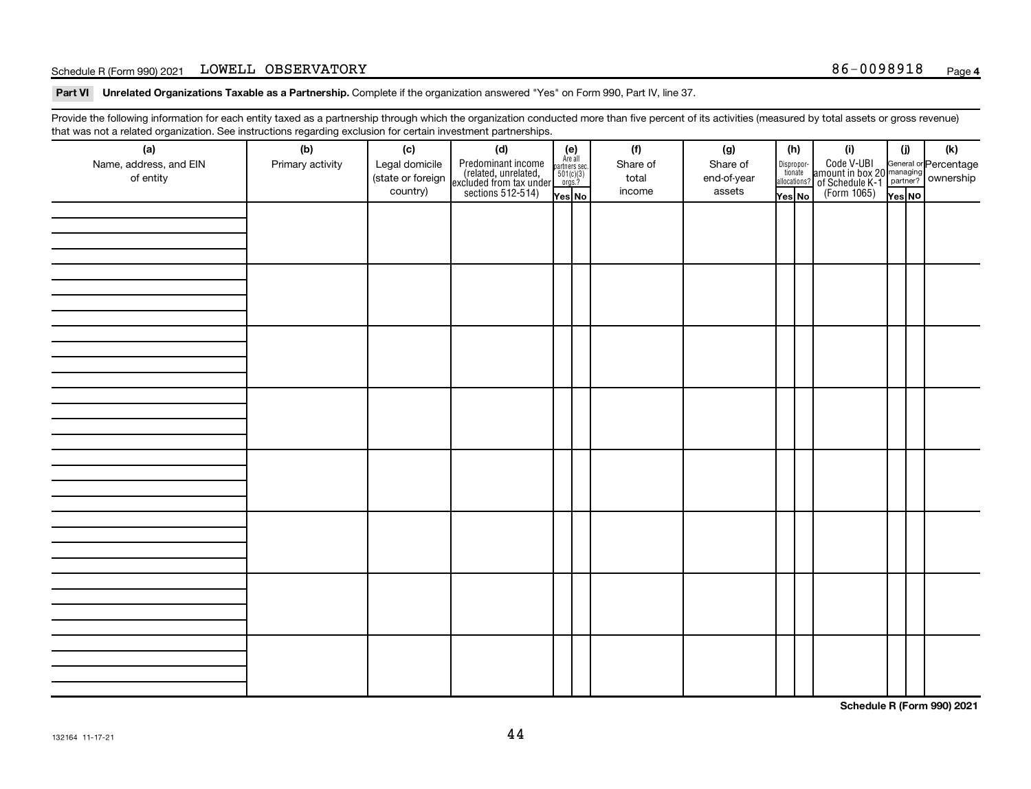#### Schedule R (Form 990) 2021 LOWELL OBSERVATORY National Schedule R (Form 990) 2021 LOWELL OBSERVATORY

Part VI Unrelated Organizations Taxable as a Partnership. Complete if the organization answered "Yes" on Form 990, Part IV, line 37.

Provide the following information for each entity taxed as a partnership through which the organization conducted more than five percent of its activities (measured by total assets or gross revenue) that was not a related organization. See instructions regarding exclusion for certain investment partnerships.

| $\sim$<br>(a)<br>Name, address, and EIN<br>of entity | ۔ ت<br>(b)<br>Primary activity | (c)<br>Legal domicile<br>(state or foreign<br>country) | - - - - - - <b>-</b> -<br>(d)<br>Predominant income<br>(related, unrelated,<br>excluded from tax under<br>sections 512-514) | (e)<br>Are all<br>partners sec.<br>$501(c)(3)$<br>orgs.?<br>Yes No | (f)<br>Share of<br>total<br>income | (g)<br>Share of<br>end-of-year<br>assets | (h)<br>Dispropor-<br>tionate<br>allocations?<br>Yes No | (i)<br>Code V-UBI<br>amount in box 20 managing<br>of Schedule K-1<br>(Form 1065)<br>$\overline{Yes}$ No | (i)<br>Yes NO | (k) |
|------------------------------------------------------|--------------------------------|--------------------------------------------------------|-----------------------------------------------------------------------------------------------------------------------------|--------------------------------------------------------------------|------------------------------------|------------------------------------------|--------------------------------------------------------|---------------------------------------------------------------------------------------------------------|---------------|-----|
|                                                      |                                |                                                        |                                                                                                                             |                                                                    |                                    |                                          |                                                        |                                                                                                         |               |     |
|                                                      |                                |                                                        |                                                                                                                             |                                                                    |                                    |                                          |                                                        |                                                                                                         |               |     |
|                                                      |                                |                                                        |                                                                                                                             |                                                                    |                                    |                                          |                                                        |                                                                                                         |               |     |
|                                                      |                                |                                                        |                                                                                                                             |                                                                    |                                    |                                          |                                                        |                                                                                                         |               |     |
|                                                      |                                |                                                        |                                                                                                                             |                                                                    |                                    |                                          |                                                        |                                                                                                         |               |     |
|                                                      |                                |                                                        |                                                                                                                             |                                                                    |                                    |                                          |                                                        |                                                                                                         |               |     |
|                                                      |                                |                                                        |                                                                                                                             |                                                                    |                                    |                                          |                                                        |                                                                                                         |               |     |
|                                                      |                                |                                                        |                                                                                                                             |                                                                    |                                    |                                          |                                                        |                                                                                                         |               |     |

**Schedule R (Form 990) 2021**